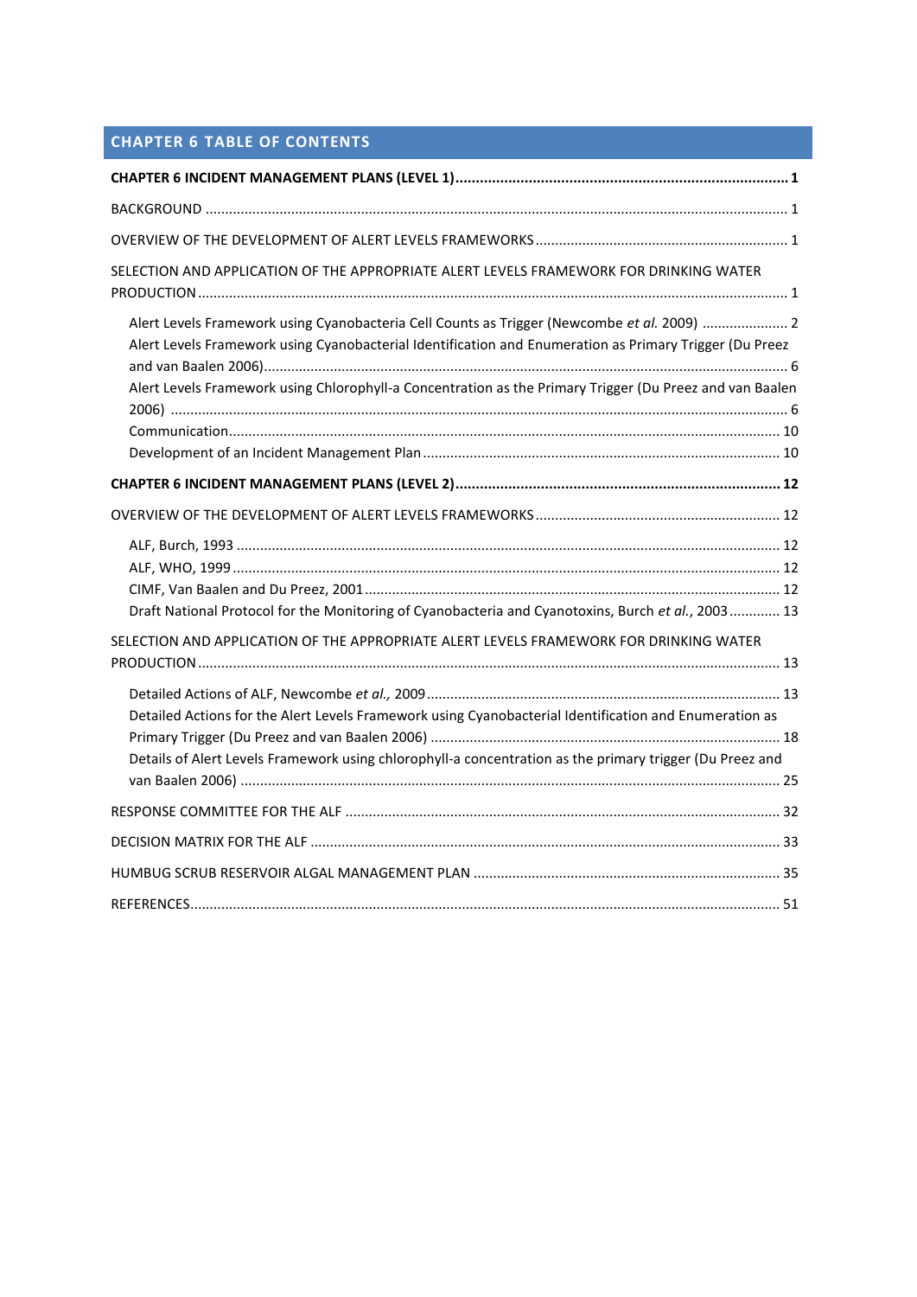# **CHAPTER 6 TABLE OF CONTENTS**

| SELECTION AND APPLICATION OF THE APPROPRIATE ALERT LEVELS FRAMEWORK FOR DRINKING WATER                                                                                                                                                                                                                             |
|--------------------------------------------------------------------------------------------------------------------------------------------------------------------------------------------------------------------------------------------------------------------------------------------------------------------|
| Alert Levels Framework using Cyanobacteria Cell Counts as Trigger (Newcombe et al. 2009)  2<br>Alert Levels Framework using Cyanobacterial Identification and Enumeration as Primary Trigger (Du Preez<br>Alert Levels Framework using Chlorophyll-a Concentration as the Primary Trigger (Du Preez and van Baalen |
|                                                                                                                                                                                                                                                                                                                    |
|                                                                                                                                                                                                                                                                                                                    |
| Draft National Protocol for the Monitoring of Cyanobacteria and Cyanotoxins, Burch et al., 2003 13                                                                                                                                                                                                                 |
| SELECTION AND APPLICATION OF THE APPROPRIATE ALERT LEVELS FRAMEWORK FOR DRINKING WATER                                                                                                                                                                                                                             |
|                                                                                                                                                                                                                                                                                                                    |
| Detailed Actions for the Alert Levels Framework using Cyanobacterial Identification and Enumeration as<br>Details of Alert Levels Framework using chlorophyll-a concentration as the primary trigger (Du Preez and                                                                                                 |
|                                                                                                                                                                                                                                                                                                                    |
|                                                                                                                                                                                                                                                                                                                    |
|                                                                                                                                                                                                                                                                                                                    |
|                                                                                                                                                                                                                                                                                                                    |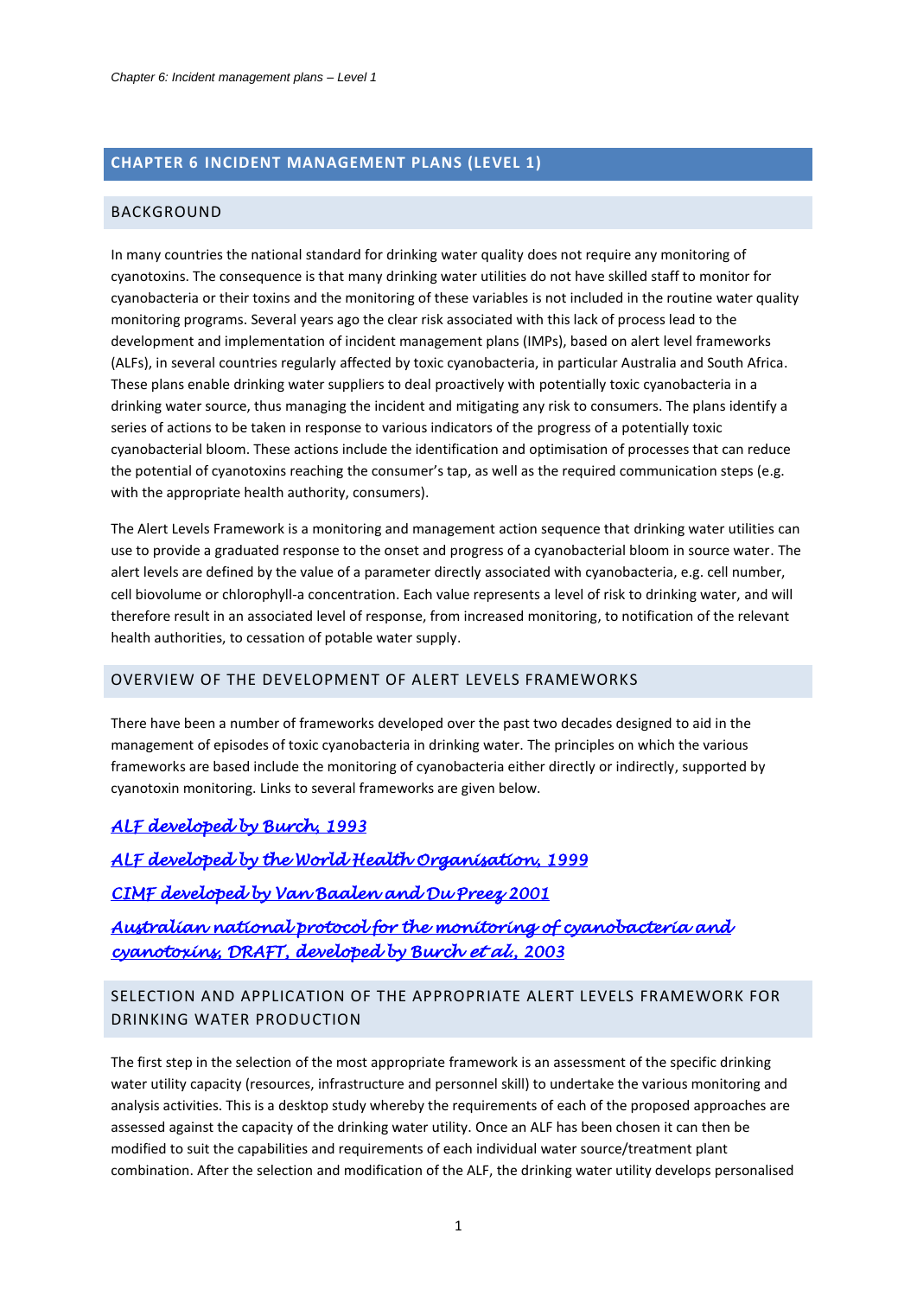## <span id="page-1-0"></span>**CHAPTER 6 INCIDENT MANAGEMENT PLANS (LEVEL 1)**

## <span id="page-1-1"></span>BACKGROUND

In many countries the national standard for drinking water quality does not require any monitoring of cyanotoxins. The consequence is that many drinking water utilities do not have skilled staff to monitor for cyanobacteria or their toxins and the monitoring of these variables is not included in the routine water quality monitoring programs. Several years ago the clear risk associated with this lack of process lead to the development and implementation of incident management plans (IMPs), based on alert level frameworks (ALFs), in several countries regularly affected by toxic cyanobacteria, in particular Australia and South Africa. These plans enable drinking water suppliers to deal proactively with potentially toxic cyanobacteria in a drinking water source, thus managing the incident and mitigating any risk to consumers. The plans identify a series of actions to be taken in response to various indicators of the progress of a potentially toxic cyanobacterial bloom. These actions include the identification and optimisation of processes that can reduce the potential of cyanotoxins reaching the consumer's tap, as well as the required communication steps (e.g. with the appropriate health authority, consumers).

The Alert Levels Framework is a monitoring and management action sequence that drinking water utilities can use to provide a graduated response to the onset and progress of a cyanobacterial bloom in source water. The alert levels are defined by the value of a parameter directly associated with cyanobacteria, e.g. cell number, cell biovolume or chlorophyll-a concentration. Each value represents a level of risk to drinking water, and will therefore result in an associated level of response, from increased monitoring, to notification of the relevant health authorities, to cessation of potable water supply.

#### <span id="page-1-2"></span>OVERVIEW OF THE DEVELOPMENT OF ALERT LEVELS FRAMEWORKS

There have been a number of frameworks developed over the past two decades designed to aid in the management of episodes of toxic cyanobacteria in drinking water. The principles on which the various frameworks are based include the monitoring of cyanobacteria either directly or indirectly, supported by cyanotoxin monitoring. Links to several frameworks are given below.

## *[ALF developed by Burch, 1993](#page-12-2)*

*[ALF developed by the World Health Organisation, 1999](#page-12-3)  [CIMF developed by Van Baalen and Du Preez 2001](#page-12-4)  [Australian national protocol for the monitoring of cyanobacteria and](#page-13-0)  [cyanotoxins, DRAFT, developed by Burch](#page-13-0) et al., 2003* 

# <span id="page-1-3"></span>SELECTION AND APPLICATION OF THE APPROPRIATE ALERT LEVELS FRAMEWORK FOR DRINKING WATER PRODUCTION

The first step in the selection of the most appropriate framework is an assessment of the specific drinking water utility capacity (resources, infrastructure and personnel skill) to undertake the various monitoring and analysis activities. This is a desktop study whereby the requirements of each of the proposed approaches are assessed against the capacity of the drinking water utility. Once an ALF has been chosen it can then be modified to suit the capabilities and requirements of each individual water source/treatment plant combination. After the selection and modification of the ALF, the drinking water utility develops personalised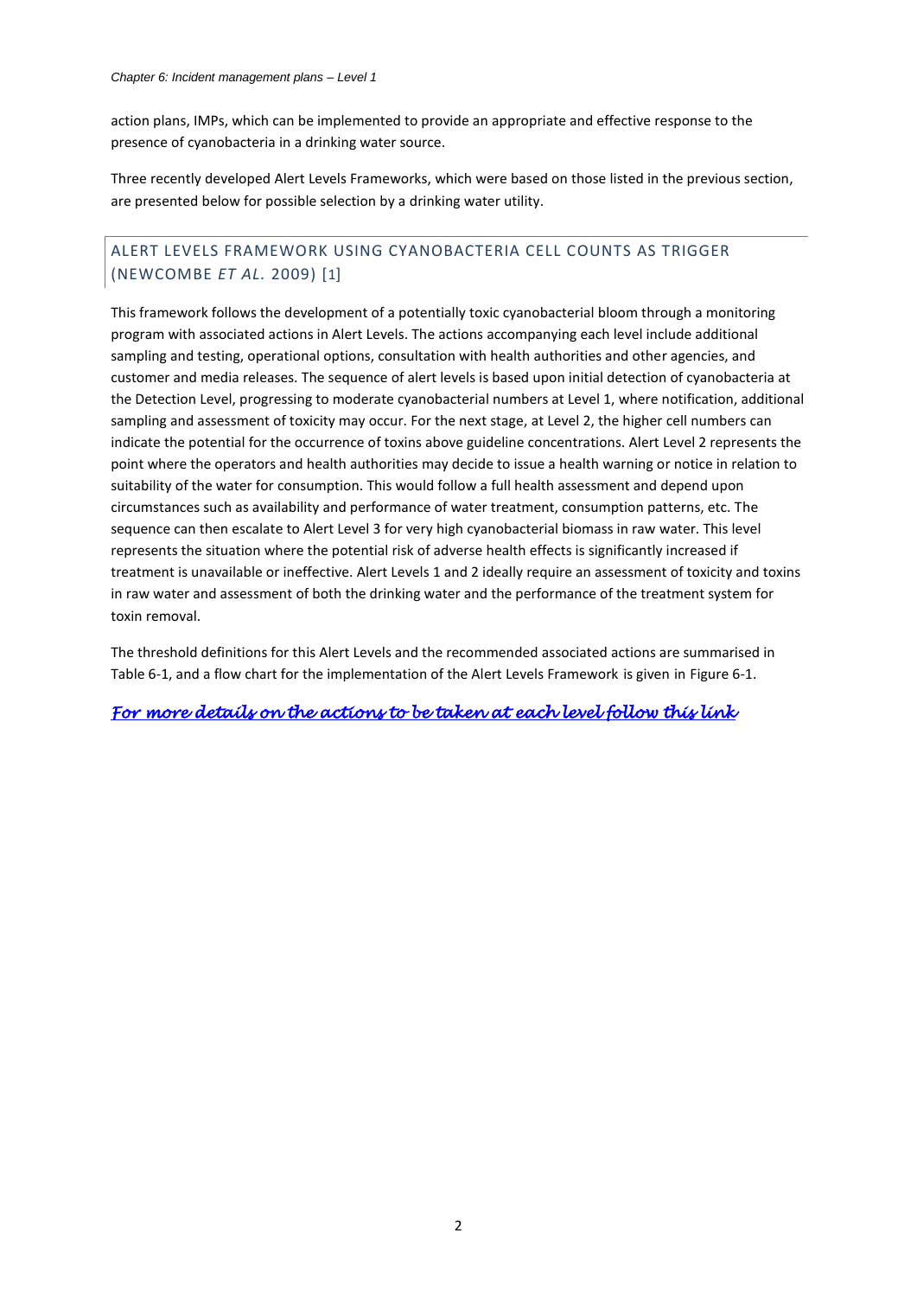<span id="page-2-2"></span>action plans, IMPs, which can be implemented to provide an appropriate and effective response to the presence of cyanobacteria in a drinking water source.

Three recently developed Alert Levels Frameworks, which were based on those listed in the previous section, are presented below for possible selection by a drinking water utility.

# <span id="page-2-1"></span><span id="page-2-0"></span>ALERT LEVELS FRAMEWORK USING CYANOBACTERIA CELL COUNTS AS TRIGGER (NEWCOMBE *ET AL.* 2009) [1]

This framework follows the development of a potentially toxic cyanobacterial bloom through a monitoring program with associated actions in Alert Levels. The actions accompanying each level include additional sampling and testing, operational options, consultation with health authorities and other agencies, and customer and media releases. The sequence of alert levels is based upon initial detection of cyanobacteria at the Detection Level, progressing to moderate cyanobacterial numbers at Level 1, where notification, additional sampling and assessment of toxicity may occur. For the next stage, at Level 2, the higher cell numbers can indicate the potential for the occurrence of toxins above guideline concentrations. Alert Level 2 represents the point where the operators and health authorities may decide to issue a health warning or notice in relation to suitability of the water for consumption. This would follow a full health assessment and depend upon circumstances such as availability and performance of water treatment, consumption patterns, etc. The sequence can then escalate to Alert Level 3 for very high cyanobacterial biomass in raw water. This level represents the situation where the potential risk of adverse health effects is significantly increased if treatment is unavailable or ineffective. Alert Levels 1 and 2 ideally require an assessment of toxicity and toxins in raw water and assessment of both the drinking water and the performance of the treatment system for toxin removal.

The threshold definitions for this Alert Levels and the recommended associated actions are summarised in [Table 6-1,](#page-3-0) and a flow chart for the implementation of the Alert Levels Framework is given in [Figure 6-1](#page-5-0).

*[For more details on the actions to be taken at each level follow this link](#page-13-2)*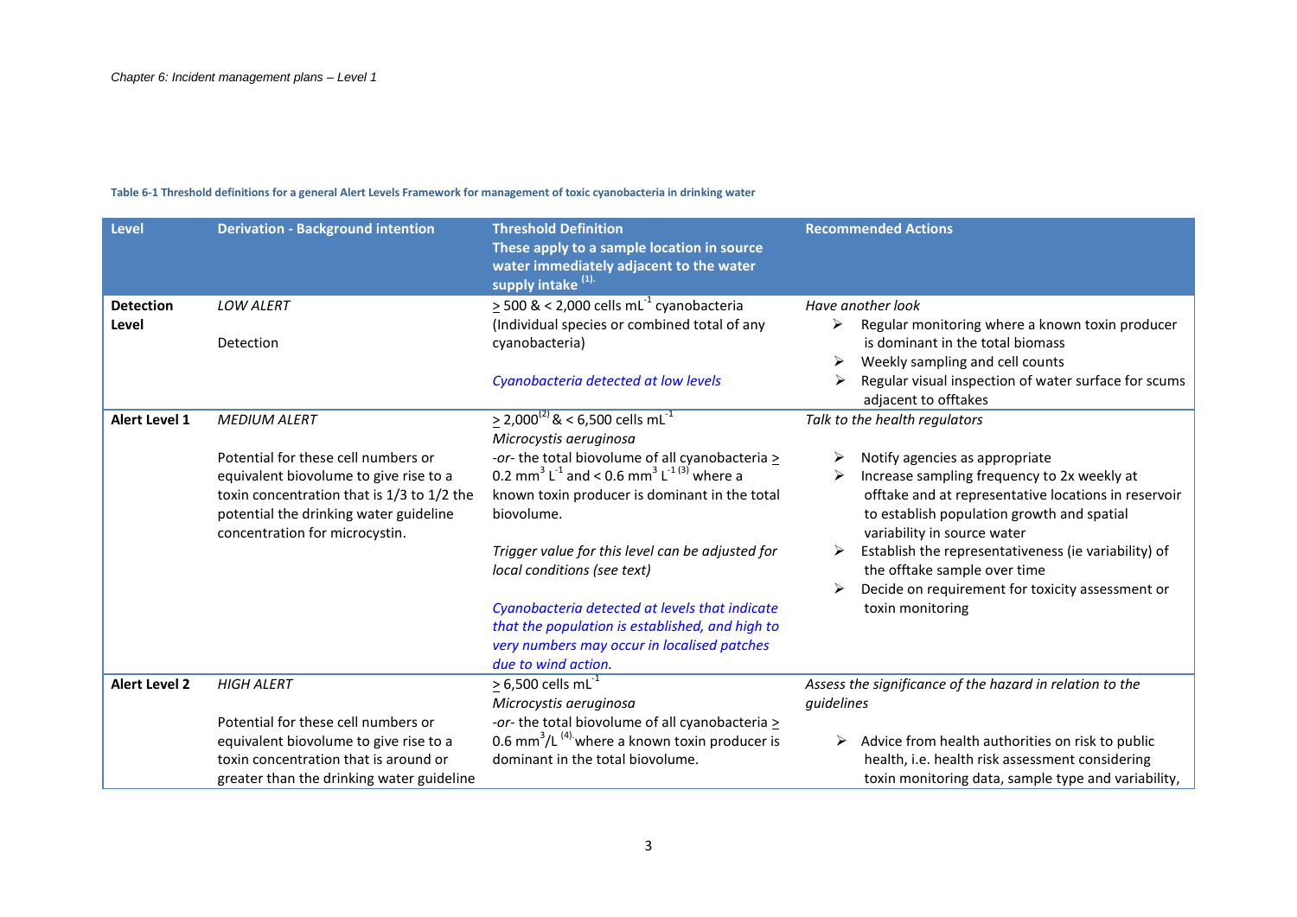#### **Table 6-1 Threshold definitions for a general Alert Levels Framework for management of toxic cyanobacteria in drinking water**

<span id="page-3-0"></span>

| <b>Level</b>         | <b>Derivation - Background intention</b>                                                                               | <b>Threshold Definition</b><br>These apply to a sample location in source<br>water immediately adjacent to the water<br>supply intake <sup>(1).</sup>                   | <b>Recommended Actions</b>                                                                                                        |
|----------------------|------------------------------------------------------------------------------------------------------------------------|-------------------------------------------------------------------------------------------------------------------------------------------------------------------------|-----------------------------------------------------------------------------------------------------------------------------------|
| <b>Detection</b>     | <b>LOW ALERT</b>                                                                                                       | $\geq$ 500 & < 2,000 cells mL <sup>-1</sup> cyanobacteria                                                                                                               | Have another look                                                                                                                 |
| Level                | Detection                                                                                                              | (Individual species or combined total of any<br>cyanobacteria)                                                                                                          | Regular monitoring where a known toxin producer<br>➤<br>is dominant in the total biomass                                          |
|                      |                                                                                                                        | Cyanobacteria detected at low levels                                                                                                                                    | Weekly sampling and cell counts<br>⋗<br>Regular visual inspection of water surface for scums<br>➤<br>adjacent to offtakes         |
| <b>Alert Level 1</b> | <b>MEDIUM ALERT</b>                                                                                                    | $\geq$ 2,000 <sup>(2)</sup> & < 6,500 cells mL <sup>-1</sup><br>Microcystis aeruginosa                                                                                  | Talk to the health regulators                                                                                                     |
|                      | Potential for these cell numbers or                                                                                    | -or- the total biovolume of all cyanobacteria >                                                                                                                         | Notify agencies as appropriate<br>⋗                                                                                               |
|                      | equivalent biovolume to give rise to a                                                                                 | 0.2 mm <sup>3</sup> L <sup>-1</sup> and < 0.6 mm <sup>3</sup> L <sup>-1(3)</sup> where a                                                                                | Increase sampling frequency to 2x weekly at                                                                                       |
|                      | toxin concentration that is 1/3 to 1/2 the<br>potential the drinking water guideline<br>concentration for microcystin. | known toxin producer is dominant in the total<br>biovolume.                                                                                                             | offtake and at representative locations in reservoir<br>to establish population growth and spatial<br>variability in source water |
|                      |                                                                                                                        | Trigger value for this level can be adjusted for<br>local conditions (see text)                                                                                         | Establish the representativeness (ie variability) of<br>the offtake sample over time                                              |
|                      |                                                                                                                        |                                                                                                                                                                         | Decide on requirement for toxicity assessment or                                                                                  |
|                      |                                                                                                                        | Cyanobacteria detected at levels that indicate<br>that the population is established, and high to<br>very numbers may occur in localised patches<br>due to wind action. | toxin monitoring                                                                                                                  |
| <b>Alert Level 2</b> | <b>HIGH ALERT</b>                                                                                                      | $\geq$ 6,500 cells mL <sup>-1</sup>                                                                                                                                     | Assess the significance of the hazard in relation to the                                                                          |
|                      |                                                                                                                        | Microcystis aeruginosa                                                                                                                                                  | guidelines                                                                                                                        |
|                      | Potential for these cell numbers or                                                                                    | -or- the total biovolume of all cyanobacteria >                                                                                                                         |                                                                                                                                   |
|                      | equivalent biovolume to give rise to a                                                                                 | 0.6 mm <sup>3</sup> /L <sup>(4)</sup> where a known toxin producer is                                                                                                   | Advice from health authorities on risk to public<br>➤                                                                             |
|                      | toxin concentration that is around or                                                                                  | dominant in the total biovolume.                                                                                                                                        | health, i.e. health risk assessment considering                                                                                   |
|                      | greater than the drinking water guideline                                                                              |                                                                                                                                                                         | toxin monitoring data, sample type and variability,                                                                               |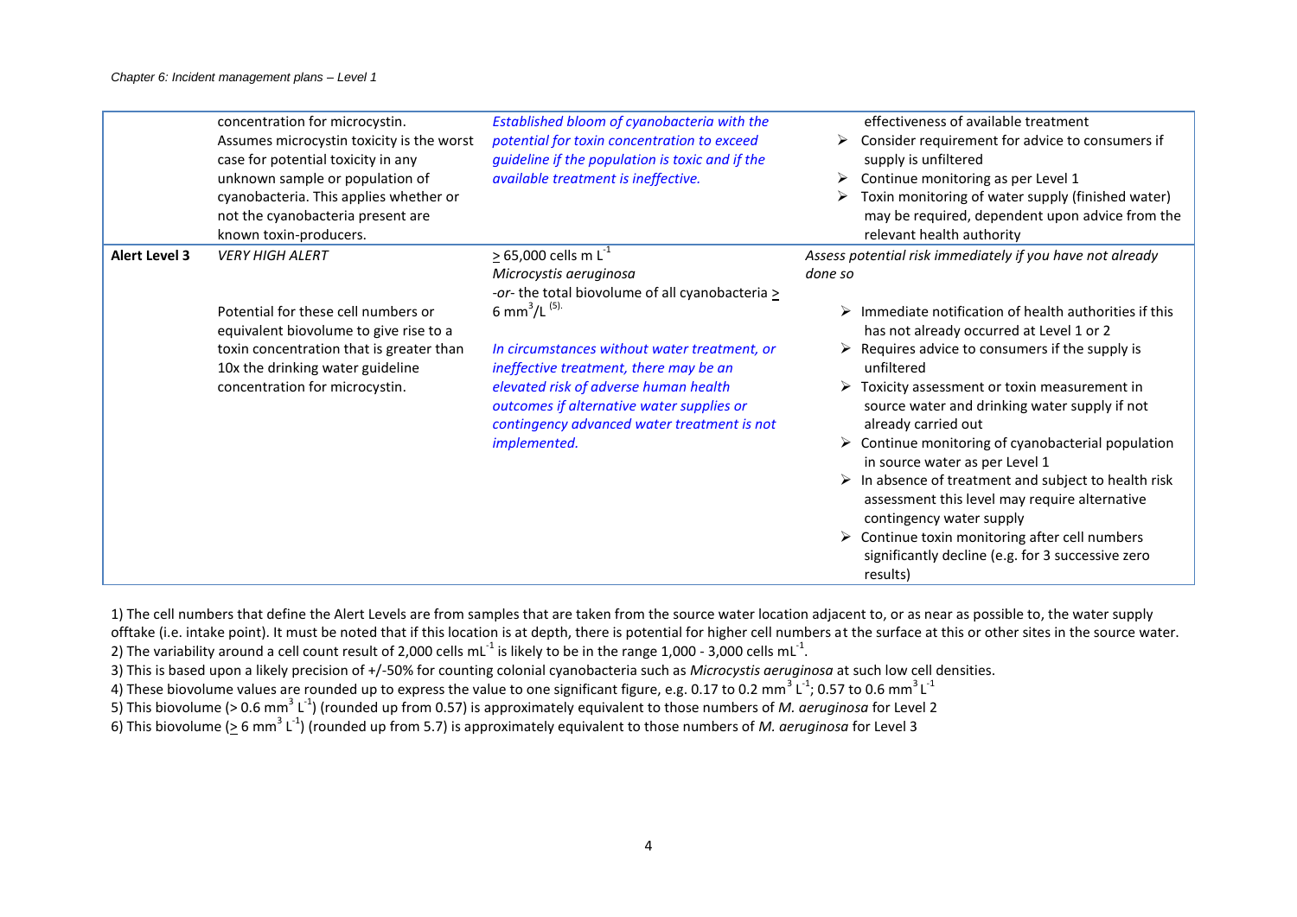|                      | concentration for microcystin.<br>Assumes microcystin toxicity is the worst<br>case for potential toxicity in any<br>unknown sample or population of<br>cyanobacteria. This applies whether or<br>not the cyanobacteria present are<br>known toxin-producers. | Established bloom of cyanobacteria with the<br>potential for toxin concentration to exceed<br>guideline if the population is toxic and if the<br>available treatment is ineffective.                                                                                                                                                                                                                      | effectiveness of available treatment<br>Consider requirement for advice to consumers if<br>➤<br>supply is unfiltered<br>$\triangleright$ Continue monitoring as per Level 1<br>$\triangleright$ Toxin monitoring of water supply (finished water)<br>may be required, dependent upon advice from the<br>relevant health authority                                                                                                                                                                                                                                                                                                                                                                                                                                                             |
|----------------------|---------------------------------------------------------------------------------------------------------------------------------------------------------------------------------------------------------------------------------------------------------------|-----------------------------------------------------------------------------------------------------------------------------------------------------------------------------------------------------------------------------------------------------------------------------------------------------------------------------------------------------------------------------------------------------------|-----------------------------------------------------------------------------------------------------------------------------------------------------------------------------------------------------------------------------------------------------------------------------------------------------------------------------------------------------------------------------------------------------------------------------------------------------------------------------------------------------------------------------------------------------------------------------------------------------------------------------------------------------------------------------------------------------------------------------------------------------------------------------------------------|
| <b>Alert Level 3</b> | <b>VERY HIGH ALERT</b><br>Potential for these cell numbers or<br>equivalent biovolume to give rise to a<br>toxin concentration that is greater than<br>10x the drinking water guideline<br>concentration for microcystin.                                     | $\geq$ 65,000 cells m L <sup>-1</sup><br>Microcystis aeruginosa<br>-or- the total biovolume of all cyanobacteria ><br>6 mm <sup>3</sup> /L <sup>(5).</sup><br>In circumstances without water treatment, or<br>ineffective treatment, there may be an<br>elevated risk of adverse human health<br>outcomes if alternative water supplies or<br>contingency advanced water treatment is not<br>implemented. | Assess potential risk immediately if you have not already<br>done so<br>Immediate notification of health authorities if this<br>has not already occurred at Level 1 or 2<br>$\triangleright$ Requires advice to consumers if the supply is<br>unfiltered<br>$\triangleright$ Toxicity assessment or toxin measurement in<br>source water and drinking water supply if not<br>already carried out<br>$\triangleright$ Continue monitoring of cyanobacterial population<br>in source water as per Level 1<br>$\triangleright$ In absence of treatment and subject to health risk<br>assessment this level may require alternative<br>contingency water supply<br>$\triangleright$ Continue toxin monitoring after cell numbers<br>significantly decline (e.g. for 3 successive zero<br>results) |

1) The cell numbers that define the Alert Levels are from samples that are taken from the source water location adjacent to, or as near as possible to, the water supply offtake (i.e. intake point). It must be noted that if this location is at depth, there is potential for higher cell numbers at the surface at this or other sites in the source water.

2) The variability around a cell count result of 2,000 cells mL<sup>-1</sup> is likely to be in the range 1,000 - 3,000 cells mL<sup>-1</sup>.

3) This is based upon a likely precision of +/-50% for counting colonial cyanobacteria such as *Microcystis aeruginosa* at such low cell densities.

4) These biovolume values are rounded up to express the value to one significant figure, e.g. 0.17 to 0.2 mm $^3$  L $^1$ ; 0.57 to 0.6 mm $^3$  L $^1$ 

5) This biovolume (> 0.6 mm<sup>3</sup> L<sup>-1</sup>) (rounded up from 0.57) is approximately equivalent to those numbers of *M. aeruginosa* for Level 2

6) This biovolume ( $\geq$  6 mm<sup>3</sup> L<sup>-1</sup>) (rounded up from 5.7) is approximately equivalent to those numbers of *M. aeruginosa* for Level 3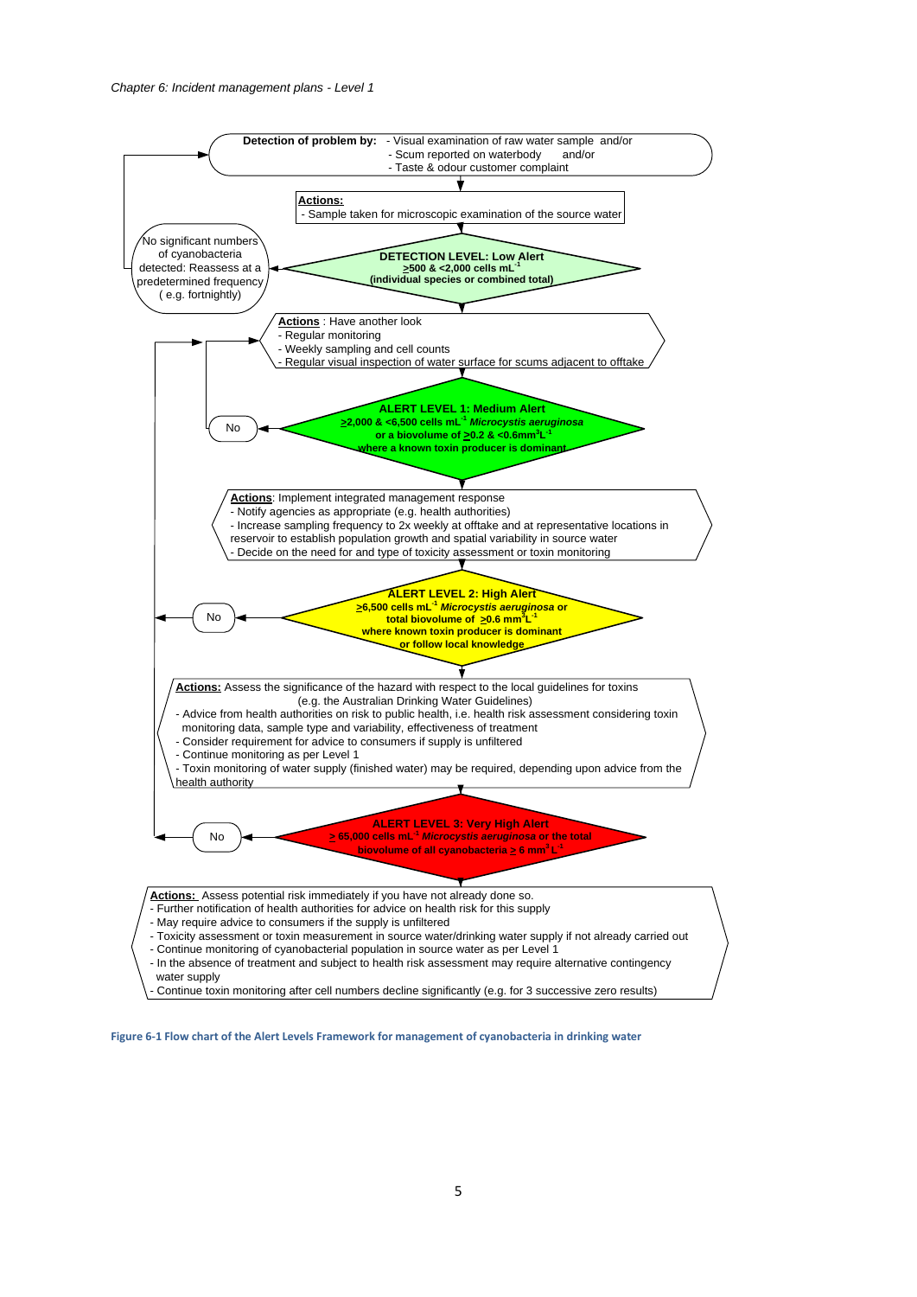

<span id="page-5-0"></span>**Figure 6-1 Flow chart of the Alert Levels Framework for management of cyanobacteria in drinking water**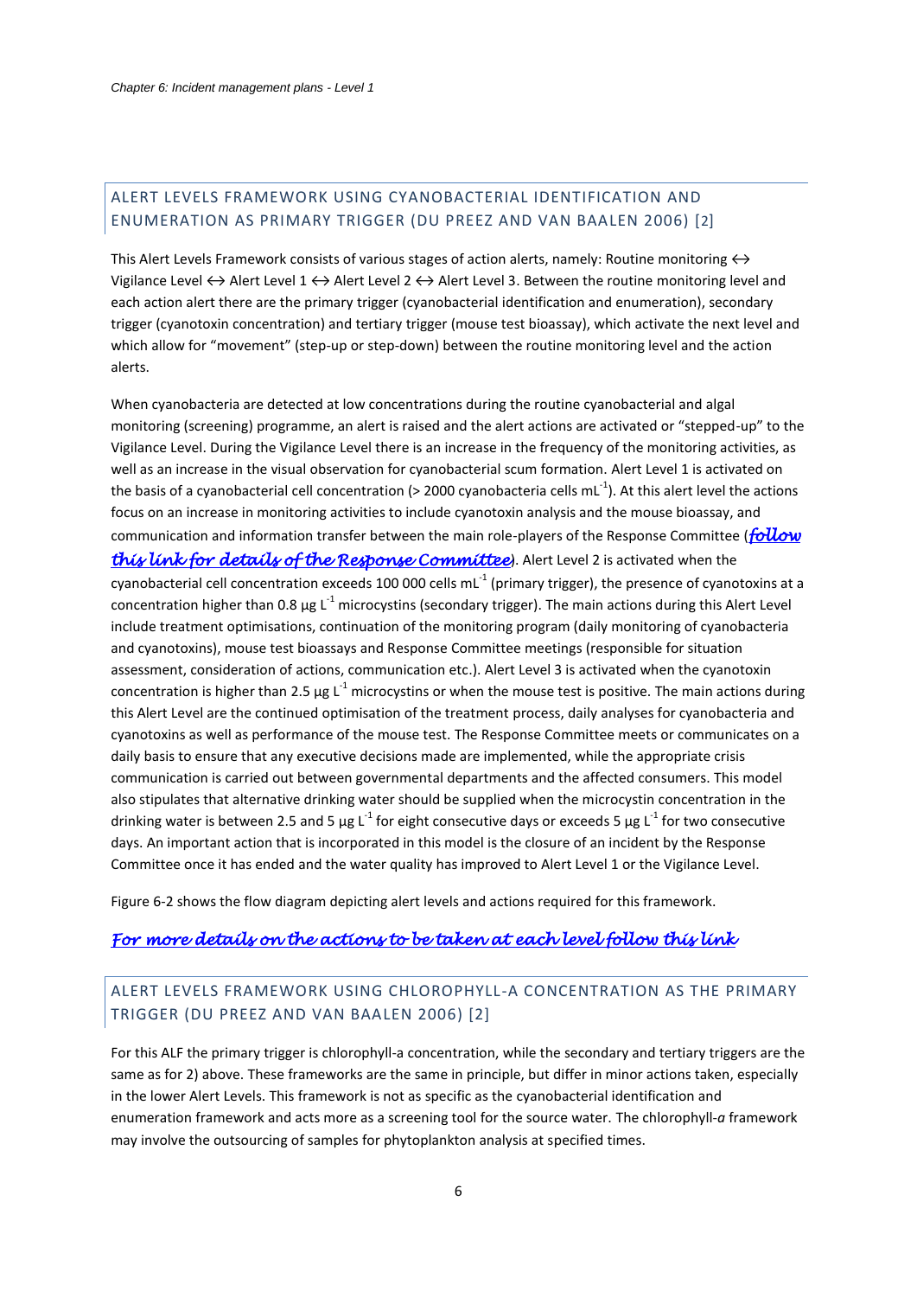# <span id="page-6-2"></span><span id="page-6-0"></span>ALERT LEVELS FRAMEWORK USING CYANOBACTERIAL IDENTIFICATION AND ENUMERATION AS PRIMARY TRIGGER (DU PREEZ AND VAN BAALEN 2006) [2]

This Alert Levels Framework consists of various stages of action alerts, namely: Routine monitoring  $\leftrightarrow$ Vigilance Level  $\leftrightarrow$  Alert Level 1  $\leftrightarrow$  Alert Level 2  $\leftrightarrow$  Alert Level 3. Between the routine monitoring level and each action alert there are the primary trigger (cyanobacterial identification and enumeration), secondary trigger (cyanotoxin concentration) and tertiary trigger (mouse test bioassay), which activate the next level and which allow for "movement" (step-up or step-down) between the routine monitoring level and the action alerts.

<span id="page-6-3"></span>When cyanobacteria are detected at low concentrations during the routine cyanobacterial and algal monitoring (screening) programme, an alert is raised and the alert actions are activated or "stepped-up" to the Vigilance Level. During the Vigilance Level there is an increase in the frequency of the monitoring activities, as well as an increase in the visual observation for cyanobacterial scum formation. Alert Level 1 is activated on the basis of a cyanobacterial cell concentration (> 2000 cyanobacteria cells mL<sup>-1</sup>). At this alert level the actions focus on an increase in monitoring activities to include cyanotoxin analysis and the mouse bioassay, and communication and information transfer between the main role-players of the Response Committee (*[follow](#page-32-0)  [this link for details of the Response Committee](#page-32-0)*). Alert Level 2 is activated when the cyanobacterial cell concentration exceeds 100 000 cells mL $^{-1}$  (primary trigger), the presence of cyanotoxins at a concentration higher than 0.8  $\mu$ g L<sup>-1</sup> microcystins (secondary trigger). The main actions during this Alert Level include treatment optimisations, continuation of the monitoring program (daily monitoring of cyanobacteria and cyanotoxins), mouse test bioassays and Response Committee meetings (responsible for situation assessment, consideration of actions, communication etc.). Alert Level 3 is activated when the cyanotoxin concentration is higher than 2.5  $\mu$ g L<sup>-1</sup> microcystins or when the mouse test is positive. The main actions during this Alert Level are the continued optimisation of the treatment process, daily analyses for cyanobacteria and cyanotoxins as well as performance of the mouse test. The Response Committee meets or communicates on a daily basis to ensure that any executive decisions made are implemented, while the appropriate crisis communication is carried out between governmental departments and the affected consumers. This model also stipulates that alternative drinking water should be supplied when the microcystin concentration in the drinking water is between 2.5 and 5 µg L<sup>-1</sup> for eight consecutive days or exceeds 5 µg L<sup>-1</sup> for two consecutive days. An important action that is incorporated in this model is the closure of an incident by the Response Committee once it has ended and the water quality has improved to Alert Level 1 or the Vigilance Level.

[Figure 6-2](#page-8-0) shows the flow diagram depicting alert levels and actions required for this framework.

## *[For more details on the actions to be taken at each level follow this link](#page-18-0)*

# <span id="page-6-1"></span>ALERT LEVELS FRAMEWORK USING CHLOROPHYLL-A CONCENTRATION AS THE PRIMARY TRIGGER (DU PREEZ AND VAN BAALEN 2006) [\[2\]](#page-6-2)

For this ALF the primary trigger is chlorophyll-a concentration, while the secondary and tertiary triggers are the same as for 2) above. These frameworks are the same in principle, but differ in minor actions taken, especially in the lower Alert Levels. This framework is not as specific as the cyanobacterial identification and enumeration framework and acts more as a screening tool for the source water. The chlorophyll-*a* framework may involve the outsourcing of samples for phytoplankton analysis at specified times.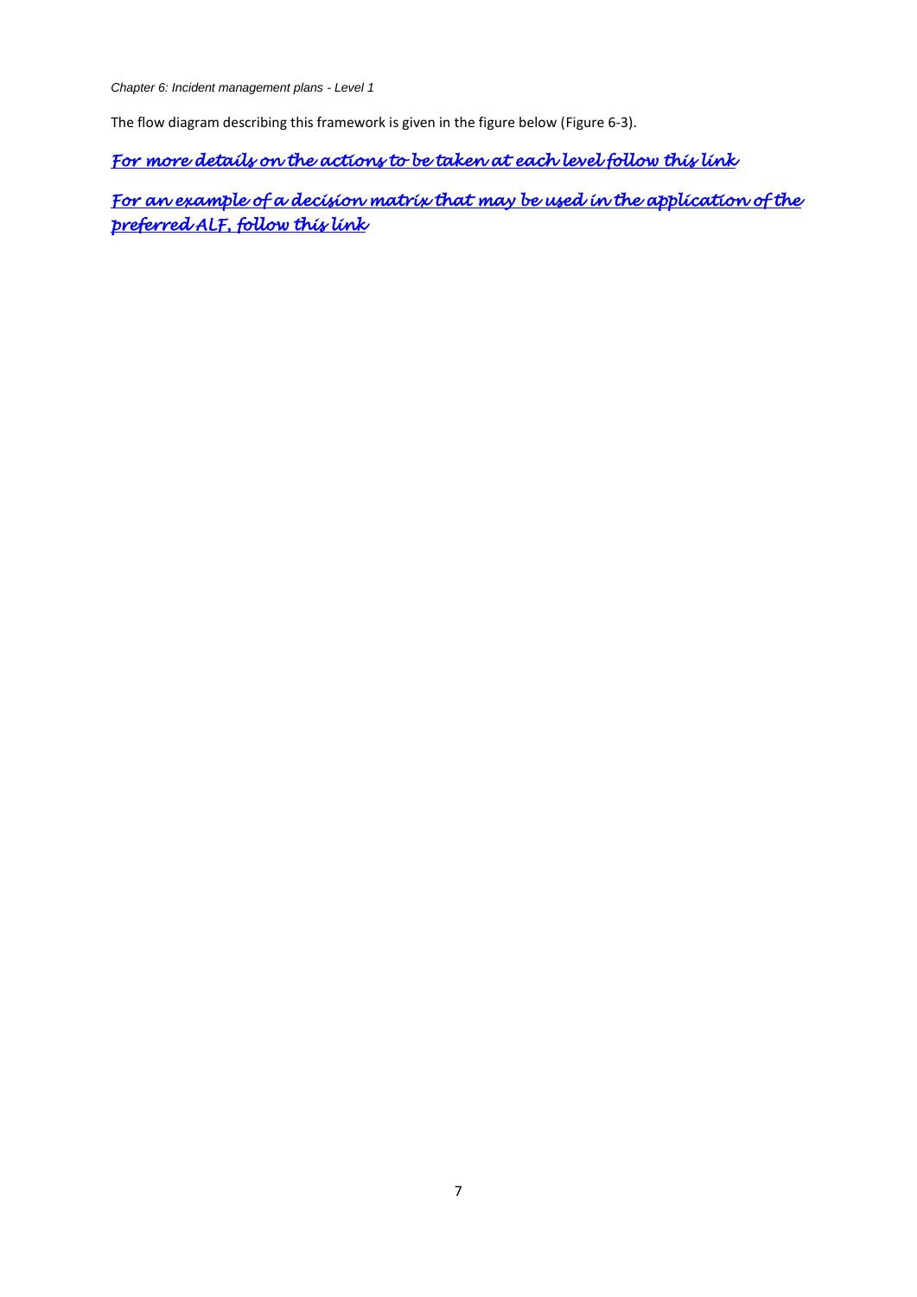*Chapter 6: Incident management plans - Level 1*

<span id="page-7-0"></span>The flow diagram describing this framework is given in the figure below [\(Figure 6-3\)](#page-9-0).

*[For more details on the actions to be taken at each level follow this link](#page-25-0)* 

*[For an example of a decision matrix that may be used in the application of the](#page-33-1)  [preferred ALF, follow this link](#page-33-1)*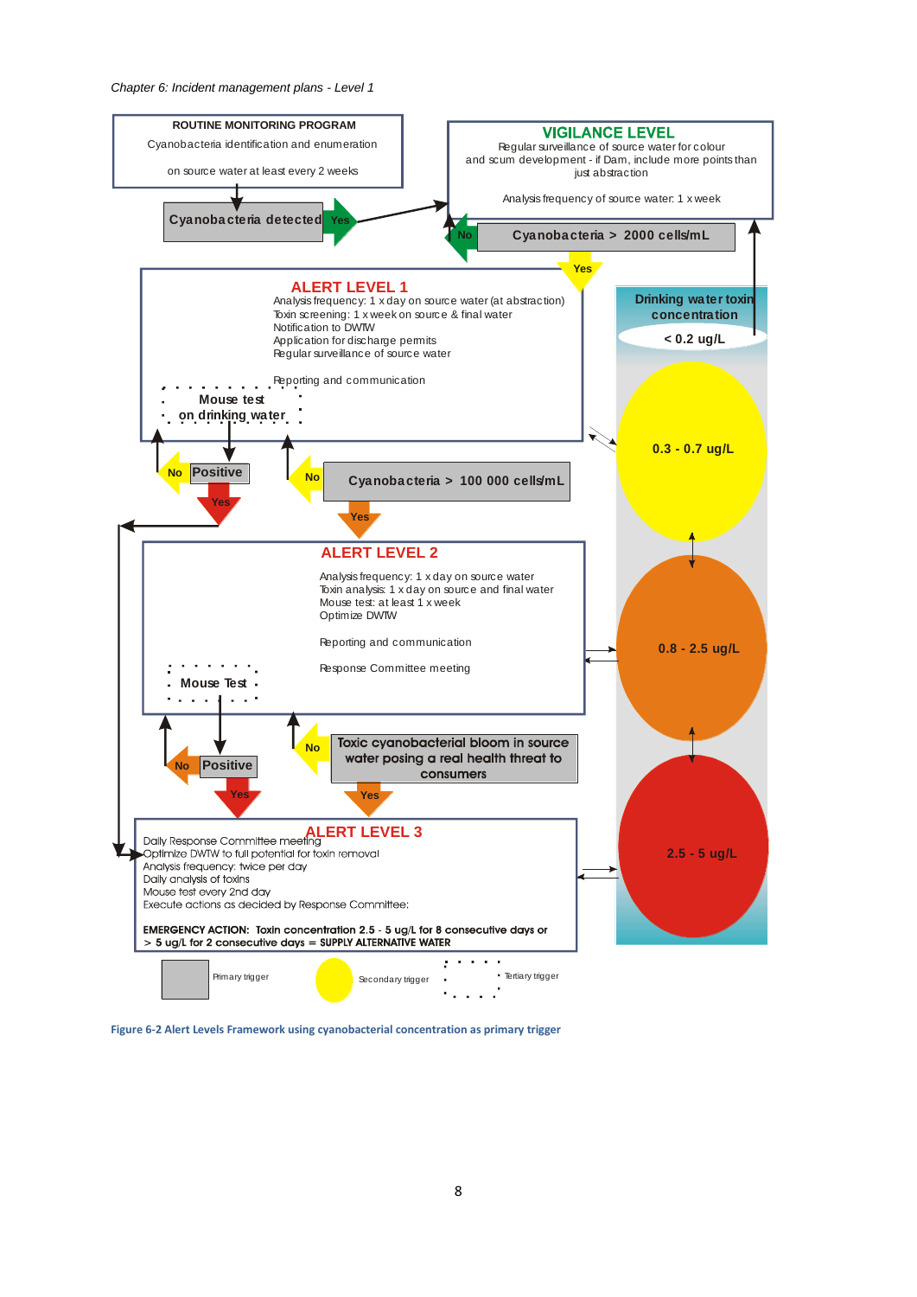

<span id="page-8-0"></span>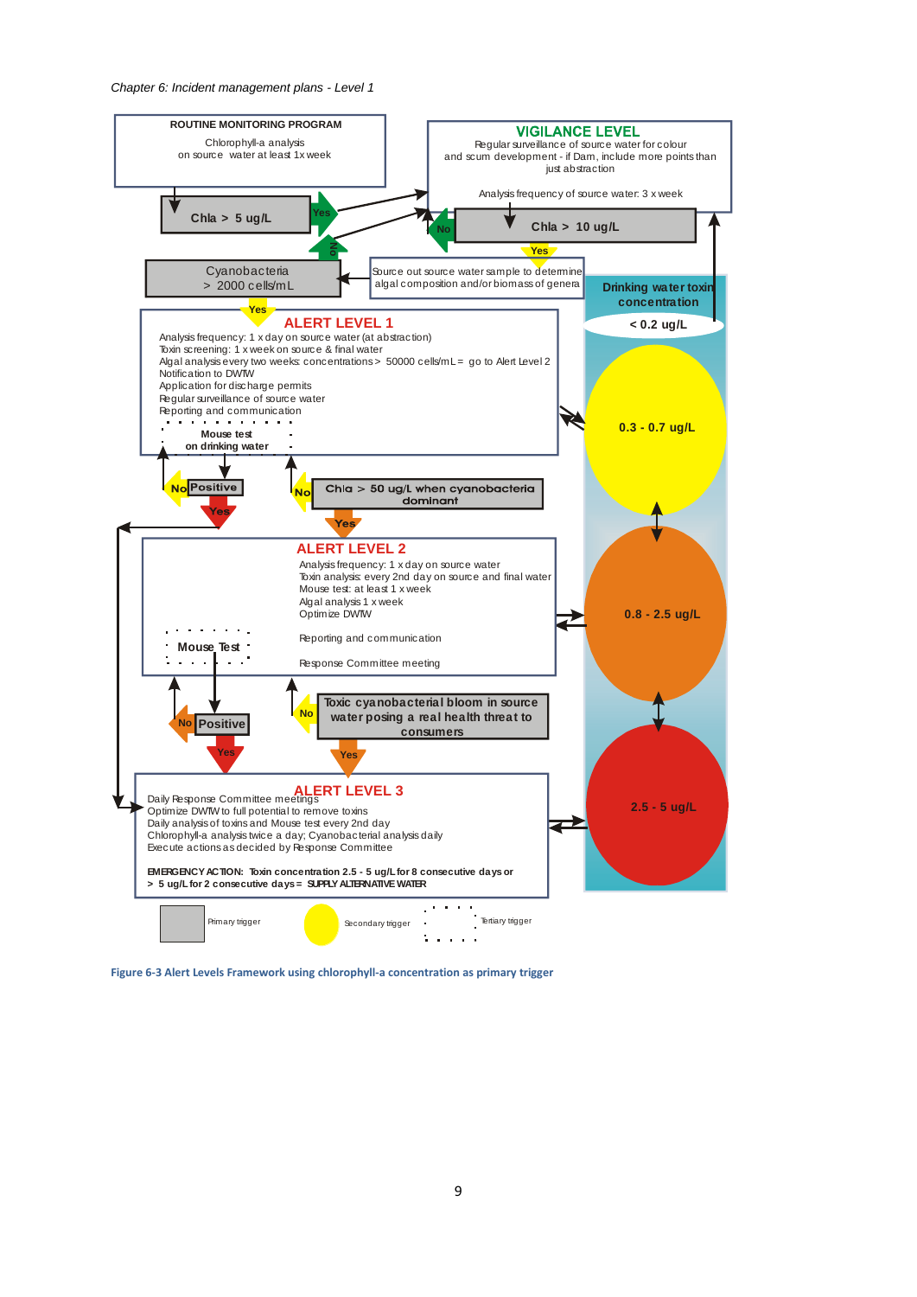*Chapter 6: Incident management plans - Level 1*



<span id="page-9-0"></span>**Figure 6-3 Alert Levels Framework using chlorophyll-a concentration as primary trigger**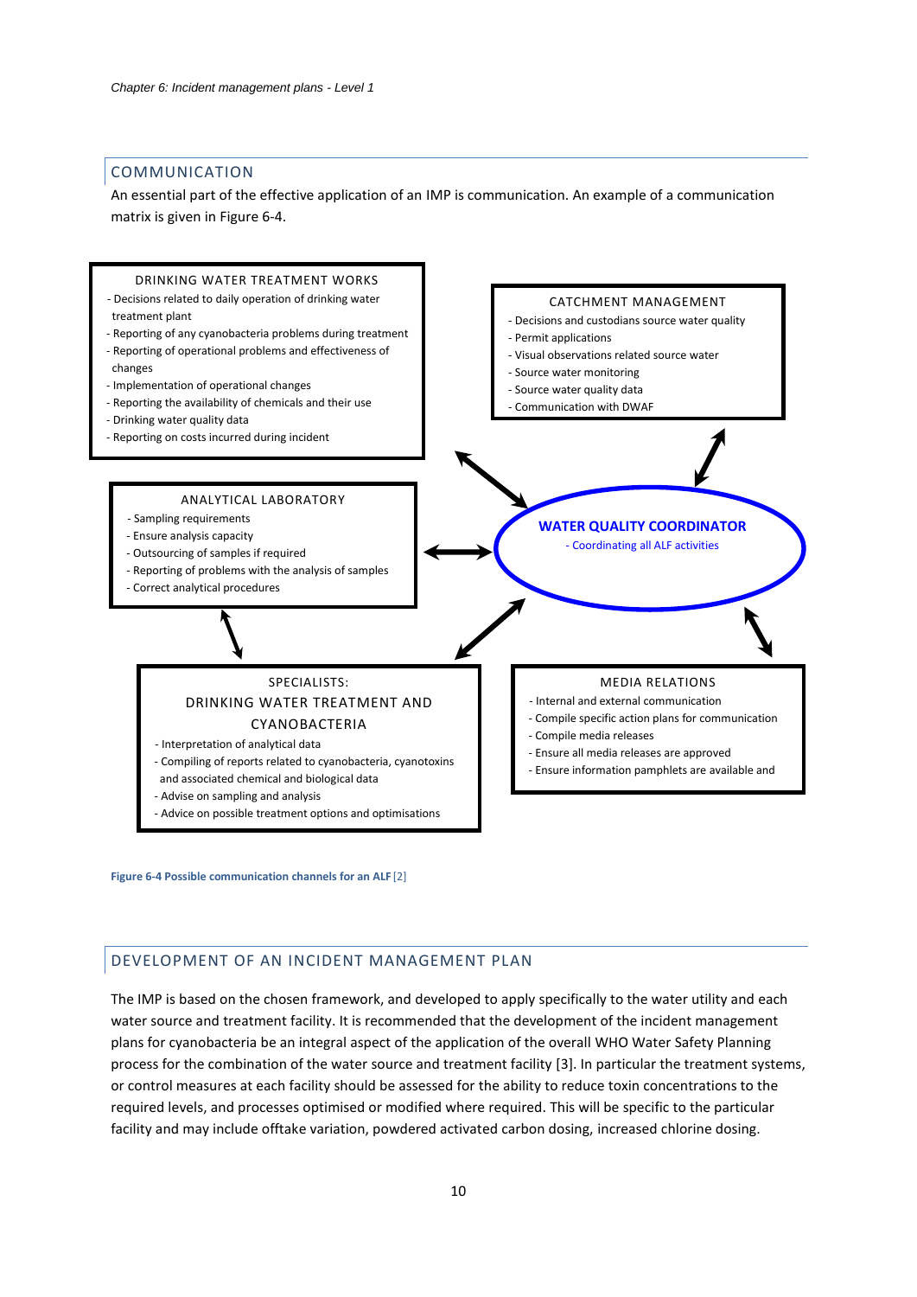#### <span id="page-10-0"></span>COMMUNICATION

An essential part of the effective application of an IMP is communication. An example of a communication matrix is given in [Figure 6-4.](#page-10-2)



<span id="page-10-2"></span>**Figure 6-4 Possible communication channels for an ALF** [\[2\]](#page-6-2)

## <span id="page-10-1"></span>DEVELOPMENT OF AN INCIDENT MANAGEMENT PLAN

<span id="page-10-3"></span>The IMP is based on the chosen framework, and developed to apply specifically to the water utility and each water source and treatment facility. It is recommended that the development of the incident management plans for cyanobacteria be an integral aspect of the application of the overall WHO Water Safety Planning process for the combination of the water source and treatment facility [3]. In particular the treatment systems, or control measures at each facility should be assessed for the ability to reduce toxin concentrations to the required levels, and processes optimised or modified where required. This will be specific to the particular facility and may include offtake variation, powdered activated carbon dosing, increased chlorine dosing.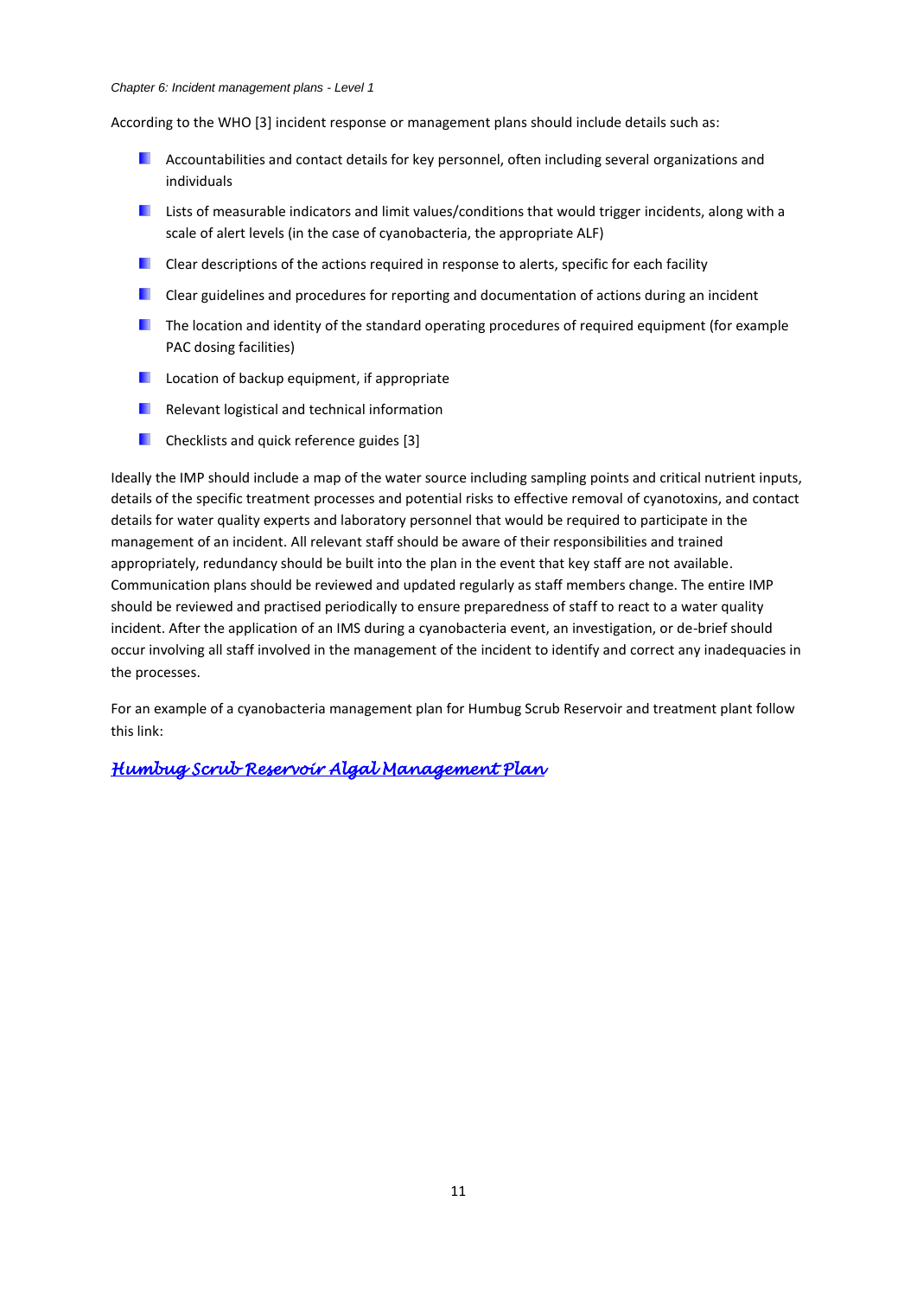#### *Chapter 6: Incident management plans - Level 1*

According to the WHO [\[3\]](#page-10-3) incident response or management plans should include details such as:

- **Accountabilities and contact details for key personnel, often including several organizations and** individuals
- **Lists of measurable indicators and limit values/conditions that would trigger incidents, along with a** scale of alert levels (in the case of cyanobacteria, the appropriate ALF)
- $\Box$  Clear descriptions of the actions required in response to alerts, specific for each facility
- **E** Clear guidelines and procedures for reporting and documentation of actions during an incident
- **The location and identity of the standard operating procedures of required equipment (for example** PAC dosing facilities)
- **Location of backup equipment, if appropriate**
- **Relevant logistical and technical information**
- **Checklists and quick reference guides** [\[3\]](#page-10-3)

Ideally the IMP should include a map of the water source including sampling points and critical nutrient inputs, details of the specific treatment processes and potential risks to effective removal of cyanotoxins, and contact details for water quality experts and laboratory personnel that would be required to participate in the management of an incident. All relevant staff should be aware of their responsibilities and trained appropriately, redundancy should be built into the plan in the event that key staff are not available. Communication plans should be reviewed and updated regularly as staff members change. The entire IMP should be reviewed and practised periodically to ensure preparedness of staff to react to a water quality incident. After the application of an IMS during a cyanobacteria event, an investigation, or de-brief should occur involving all staff involved in the management of the incident to identify and correct any inadequacies in the processes.

<span id="page-11-0"></span>For an example of a cyanobacteria management plan for Humbug Scrub Reservoir and treatment plant follow this link:

*[Humbug Scrub Reservoir Algal Management Plan](#page-35-1)*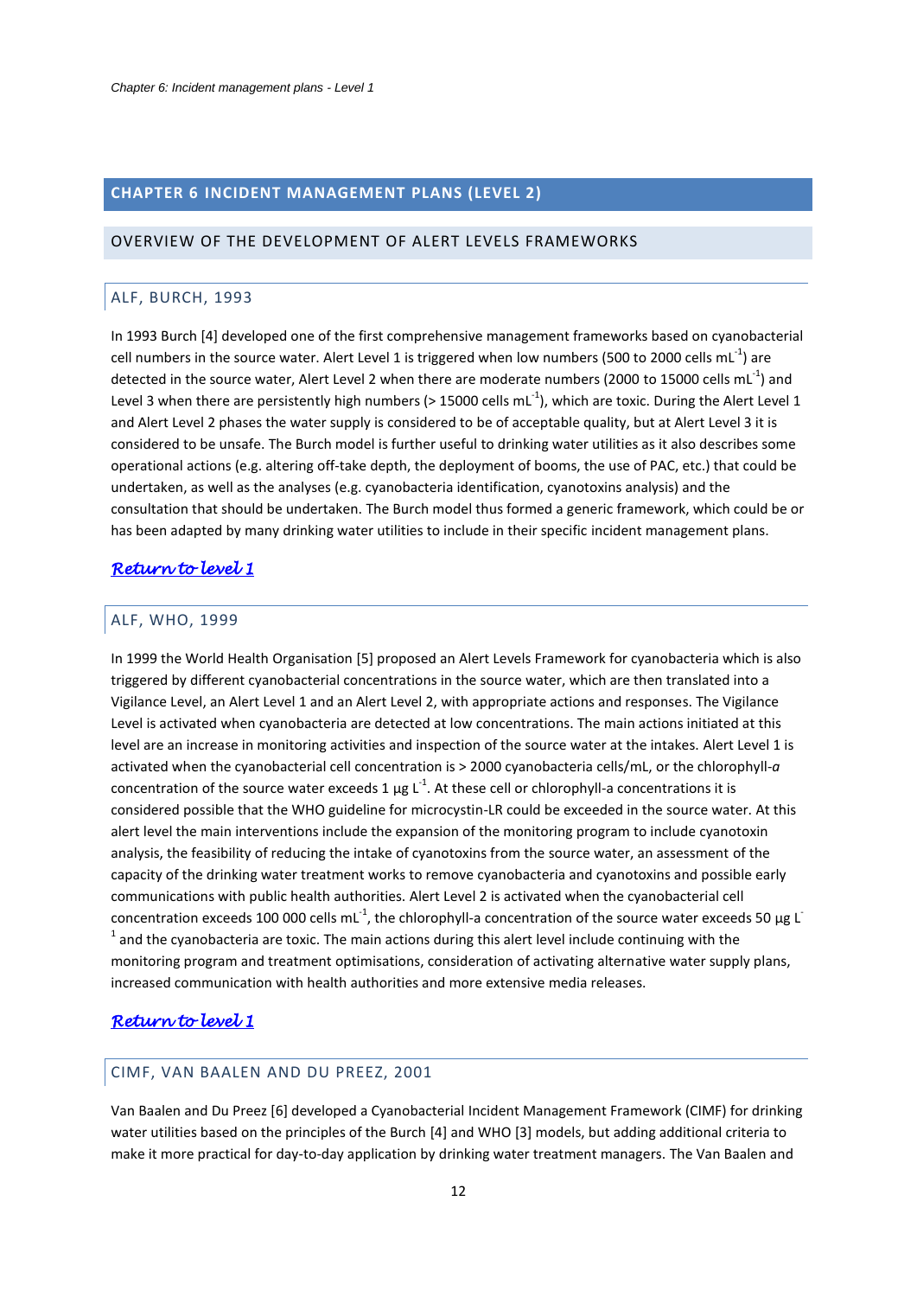# <span id="page-12-0"></span>**CHAPTER 6 INCIDENT MANAGEMENT PLANS (LEVEL 2)**

#### <span id="page-12-2"></span><span id="page-12-1"></span>OVERVIEW OF THE DEVELOPMENT OF ALERT LEVELS FRAMEWORKS

#### ALF, BURCH, 1993

<span id="page-12-5"></span>In 1993 Burch [4] developed one of the first comprehensive management frameworks based on cyanobacterial cell numbers in the source water. Alert Level 1 is triggered when low numbers (500 to 2000 cells mL<sup>-1</sup>) are detected in the source water, Alert Level 2 when there are moderate numbers (2000 to 15000 cells mL<sup>-1</sup>) and Level 3 when there are persistently high numbers (> 15000 cells mL<sup>-1</sup>), which are toxic. During the Alert Level 1 and Alert Level 2 phases the water supply is considered to be of acceptable quality, but at Alert Level 3 it is considered to be unsafe. The Burch model is further useful to drinking water utilities as it also describes some operational actions (e.g. altering off-take depth, the deployment of booms, the use of PAC, etc.) that could be undertaken, as well as the analyses (e.g. cyanobacteria identification, cyanotoxins analysis) and the consultation that should be undertaken. The Burch model thus formed a generic framework, which could be or has been adapted by many drinking water utilities to include in their specific incident management plans.

## *[Return to level 1](#page-1-2)*

## <span id="page-12-3"></span>ALF, WHO, 1999

In 1999 the World Health Organisation [5] proposed an Alert Levels Framework for cyanobacteria which is also triggered by different cyanobacterial concentrations in the source water, which are then translated into a Vigilance Level, an Alert Level 1 and an Alert Level 2, with appropriate actions and responses. The Vigilance Level is activated when cyanobacteria are detected at low concentrations. The main actions initiated at this level are an increase in monitoring activities and inspection of the source water at the intakes. Alert Level 1 is activated when the cyanobacterial cell concentration is > 2000 cyanobacteria cells/mL, or the chlorophyll-*a* concentration of the source water exceeds 1  $\mu$ g L<sup>-1</sup>. At these cell or chlorophyll-a concentrations it is considered possible that the WHO guideline for microcystin-LR could be exceeded in the source water. At this alert level the main interventions include the expansion of the monitoring program to include cyanotoxin analysis, the feasibility of reducing the intake of cyanotoxins from the source water, an assessment of the capacity of the drinking water treatment works to remove cyanobacteria and cyanotoxins and possible early communications with public health authorities. Alert Level 2 is activated when the cyanobacterial cell concentration exceeds 100 000 cells mL<sup>-1</sup>, the chlorophyll-a concentration of the source water exceeds 50 µg L  $<sup>1</sup>$  and the cyanobacteria are toxic. The main actions during this alert level include continuing with the</sup> monitoring program and treatment optimisations, consideration of activating alternative water supply plans, increased communication with health authorities and more extensive media releases.

# *[Return to level 1](#page-1-2)*

## <span id="page-12-4"></span>CIMF, VAN BAALEN AND DU PREEZ, 2001

Van Baalen and Du Preez [6] developed a Cyanobacterial Incident Management Framework (CIMF) for drinking water utilities based on the principles of the Burch [\[4\]](#page-12-5) and WHO [\[3\]](#page-10-3) models, but adding additional criteria to make it more practical for day-to-day application by drinking water treatment managers. The Van Baalen and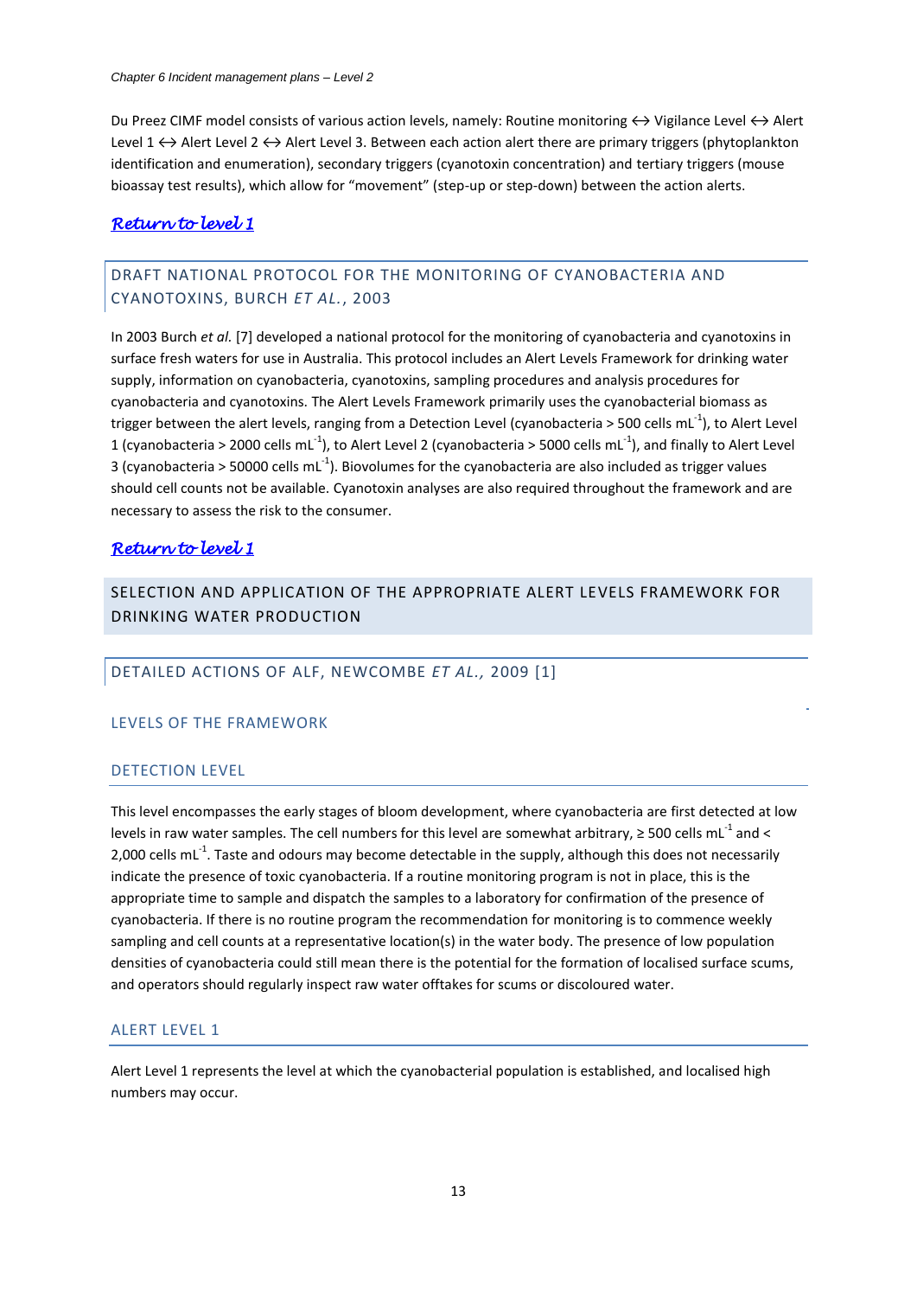Du Preez CIMF model consists of various action levels, namely: Routine monitoring  $\leftrightarrow$  Vigilance Level  $\leftrightarrow$  Alert Level  $1 \leftrightarrow$  Alert Level 2  $\leftrightarrow$  Alert Level 3. Between each action alert there are primary triggers (phytoplankton identification and enumeration), secondary triggers (cyanotoxin concentration) and tertiary triggers (mouse bioassay test results), which allow for "movement" (step-up or step-down) between the action alerts.

## *[Return to level 1](#page-1-2)*

# <span id="page-13-0"></span>DRAFT NATIONAL PROTOCOL FOR THE MONITORING OF CYANOBACTERIA AND CYANOTOXINS, BURCH *ET AL.*, 2003

In 2003 Burch *et al.* [7] developed a national protocol for the monitoring of cyanobacteria and cyanotoxins in surface fresh waters for use in Australia. This protocol includes an Alert Levels Framework for drinking water supply, information on cyanobacteria, cyanotoxins, sampling procedures and analysis procedures for cyanobacteria and cyanotoxins. The Alert Levels Framework primarily uses the cyanobacterial biomass as trigger between the alert levels, ranging from a Detection Level (cyanobacteria > 500 cells mL<sup>-1</sup>), to Alert Level 1 (cyanobacteria > 2000 cells mL<sup>-1</sup>), to Alert Level 2 (cyanobacteria > 5000 cells mL<sup>-1</sup>), and finally to Alert Level 3 (cyanobacteria > 50000 cells mL<sup>-1</sup>). Biovolumes for the cyanobacteria are also included as trigger values should cell counts not be available. Cyanotoxin analyses are also required throughout the framework and are necessary to assess the risk to the consumer.

## *[Return to level 1](#page-1-2)*

<span id="page-13-1"></span>SELECTION AND APPLICATION OF THE APPROPRIATE ALERT LEVELS FRAMEWORK FOR DRINKING WATER PRODUCTION

## <span id="page-13-2"></span>DETAILED ACTIONS OF ALF, NEWCOMBE *ET AL.,* 2009 [\[1\]](#page-2-1)

## LEVELS OF THE FRAMEWORK

## DETECTION LEVEL

This level encompasses the early stages of bloom development, where cyanobacteria are first detected at low levels in raw water samples. The cell numbers for this level are somewhat arbitrary,  $\geq 500$  cells mL<sup>-1</sup> and < 2,000 cells mL $^{-1}$ . Taste and odours may become detectable in the supply, although this does not necessarily indicate the presence of toxic cyanobacteria. If a routine monitoring program is not in place, this is the appropriate time to sample and dispatch the samples to a laboratory for confirmation of the presence of cyanobacteria. If there is no routine program the recommendation for monitoring is to commence weekly sampling and cell counts at a representative location(s) in the water body. The presence of low population densities of cyanobacteria could still mean there is the potential for the formation of localised surface scums, and operators should regularly inspect raw water offtakes for scums or discoloured water.

## ALERT LEVEL 1

Alert Level 1 represents the level at which the cyanobacterial population is established, and localised high numbers may occur.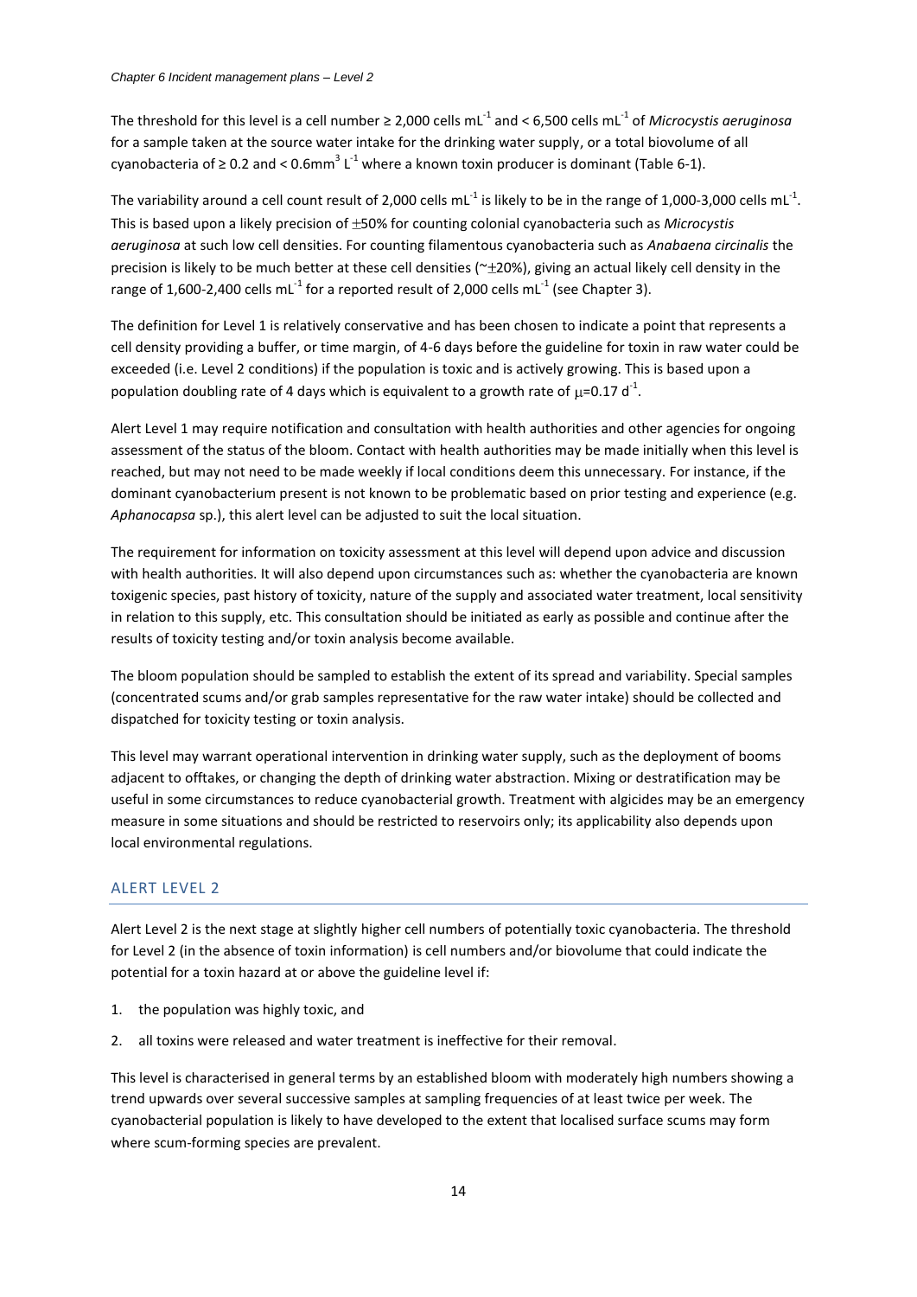The threshold for this level is a cell number ≥ 2,000 cells mL<sup>-1</sup> and < 6,500 cells mL<sup>-1</sup> of *Microcystis aeruginosa* for a sample taken at the source water intake for the drinking water supply, or a total biovolume of all cyanobacteria of ≥ 0.2 and < 0.6mm<sup>3</sup> L<sup>-1</sup> where a known toxin producer is dominant [\(Table 6-1\)](#page-3-0).

The variability around a cell count result of 2,000 cells mL<sup>-1</sup> is likely to be in the range of 1,000-3,000 cells mL<sup>-1</sup>. This is based upon a likely precision of  $\pm$ 50% for counting colonial cyanobacteria such as *Microcystis aeruginosa* at such low cell densities. For counting filamentous cyanobacteria such as *Anabaena circinalis* the precision is likely to be much better at these cell densities ( $\approx$  ±20%), giving an actual likely cell density in the range of 1,600-2,400 cells mL<sup>-1</sup> for a reported result of 2,000 cells mL<sup>-1</sup> (see Chapter 3).

The definition for Level 1 is relatively conservative and has been chosen to indicate a point that represents a cell density providing a buffer, or time margin, of 4-6 days before the guideline for toxin in raw water could be exceeded (i.e. Level 2 conditions) if the population is toxic and is actively growing. This is based upon a population doubling rate of 4 days which is equivalent to a growth rate of  $\mu$ =0.17 d<sup>-1</sup>.

Alert Level 1 may require notification and consultation with health authorities and other agencies for ongoing assessment of the status of the bloom. Contact with health authorities may be made initially when this level is reached, but may not need to be made weekly if local conditions deem this unnecessary. For instance, if the dominant cyanobacterium present is not known to be problematic based on prior testing and experience (e.g. *Aphanocapsa* sp.), this alert level can be adjusted to suit the local situation.

The requirement for information on toxicity assessment at this level will depend upon advice and discussion with health authorities. It will also depend upon circumstances such as: whether the cyanobacteria are known toxigenic species, past history of toxicity, nature of the supply and associated water treatment, local sensitivity in relation to this supply, etc. This consultation should be initiated as early as possible and continue after the results of toxicity testing and/or toxin analysis become available.

The bloom population should be sampled to establish the extent of its spread and variability. Special samples (concentrated scums and/or grab samples representative for the raw water intake) should be collected and dispatched for toxicity testing or toxin analysis.

This level may warrant operational intervention in drinking water supply, such as the deployment of booms adjacent to offtakes, or changing the depth of drinking water abstraction. Mixing or destratification may be useful in some circumstances to reduce cyanobacterial growth. Treatment with algicides may be an emergency measure in some situations and should be restricted to reservoirs only; its applicability also depends upon local environmental regulations.

#### ALERT LEVEL 2

Alert Level 2 is the next stage at slightly higher cell numbers of potentially toxic cyanobacteria. The threshold for Level 2 (in the absence of toxin information) is cell numbers and/or biovolume that could indicate the potential for a toxin hazard at or above the guideline level if:

- 1. the population was highly toxic, and
- 2. all toxins were released and water treatment is ineffective for their removal.

This level is characterised in general terms by an established bloom with moderately high numbers showing a trend upwards over several successive samples at sampling frequencies of at least twice per week. The cyanobacterial population is likely to have developed to the extent that localised surface scums may form where scum-forming species are prevalent.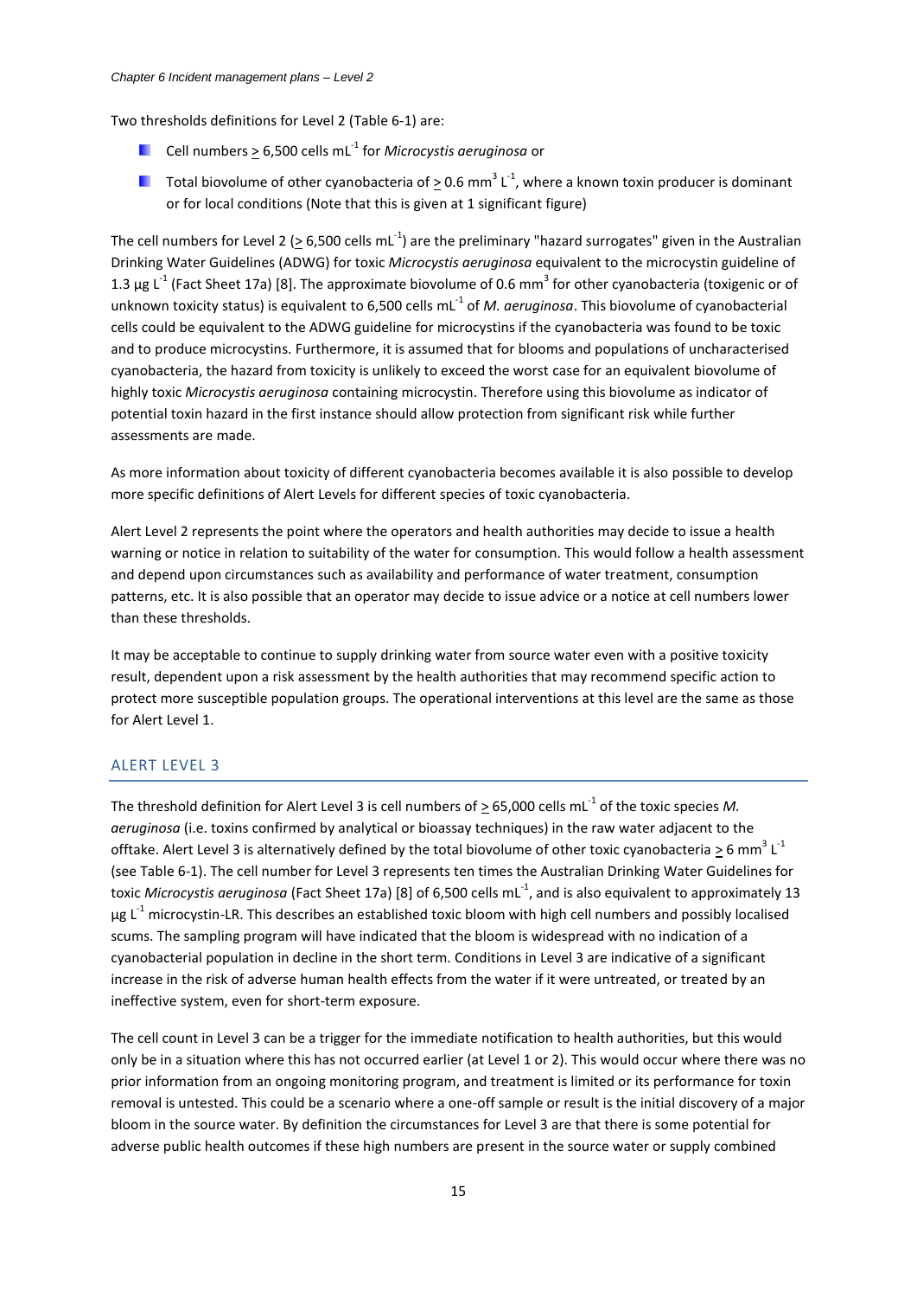Two thresholds definitions for Level 2 [\(Table 6-1\)](#page-3-0) are:

- Cell numbers  $\geq$  6,500 cells mL<sup>-1</sup> for *Microcystis aeruginosa* or
- <span id="page-15-0"></span>Total biovolume of other cyanobacteria of  $\geq$  0.6 mm<sup>3</sup> L<sup>-1</sup>, where a known toxin producer is dominant or for local conditions (Note that this is given at 1 significant figure)

The cell numbers for Level 2 ( $\geq$  6,500 cells mL<sup>-1</sup>) are the preliminary "hazard surrogates" given in the Australian Drinking Water Guidelines (ADWG) for toxic *Microcystis aeruginosa* equivalent to the microcystin guideline of 1.3 μg L<sup>-1</sup> (Fact Sheet 17a) [8]. The approximate biovolume of 0.6 mm<sup>3</sup> for other cyanobacteria (toxigenic or of unknown toxicity status) is equivalent to 6,500 cells mL<sup>-1</sup> of *M. aeruginosa*. This biovolume of cyanobacterial cells could be equivalent to the ADWG guideline for microcystins if the cyanobacteria was found to be toxic and to produce microcystins. Furthermore, it is assumed that for blooms and populations of uncharacterised cyanobacteria, the hazard from toxicity is unlikely to exceed the worst case for an equivalent biovolume of highly toxic *Microcystis aeruginosa* containing microcystin. Therefore using this biovolume as indicator of potential toxin hazard in the first instance should allow protection from significant risk while further assessments are made.

As more information about toxicity of different cyanobacteria becomes available it is also possible to develop more specific definitions of Alert Levels for different species of toxic cyanobacteria.

Alert Level 2 represents the point where the operators and health authorities may decide to issue a health warning or notice in relation to suitability of the water for consumption. This would follow a health assessment and depend upon circumstances such as availability and performance of water treatment, consumption patterns, etc. It is also possible that an operator may decide to issue advice or a notice at cell numbers lower than these thresholds.

It may be acceptable to continue to supply drinking water from source water even with a positive toxicity result, dependent upon a risk assessment by the health authorities that may recommend specific action to protect more susceptible population groups. The operational interventions at this level are the same as those for Alert Level 1.

## ALERT LEVEL 3

The threshold definition for Alert Level 3 is cell numbers of  $\geq 65,000$  cells mL<sup>-1</sup> of the toxic species M. *aeruginosa* (i.e. toxins confirmed by analytical or bioassay techniques) in the raw water adjacent to the offtake. Alert Level 3 is alternatively defined by the total biovolume of other toxic cyanobacteria  $\geq$  6 mm<sup>3</sup> L<sup>-1</sup> (see [Table 6-1\)](#page-3-0). The cell number for Level 3 represents ten times the Australian Drinking Water Guidelines for toxic *Microcystis aeruginosa* (Fact Sheet 17a) [\[8\]](#page-15-0) of 6,500 cells mL<sup>-1</sup>, and is also equivalent to approximately 13  $\mu$ g L<sup>-1</sup> microcystin-LR. This describes an established toxic bloom with high cell numbers and possibly localised scums. The sampling program will have indicated that the bloom is widespread with no indication of a cyanobacterial population in decline in the short term. Conditions in Level 3 are indicative of a significant increase in the risk of adverse human health effects from the water if it were untreated, or treated by an ineffective system, even for short-term exposure.

The cell count in Level 3 can be a trigger for the immediate notification to health authorities, but this would only be in a situation where this has not occurred earlier (at Level 1 or 2). This would occur where there was no prior information from an ongoing monitoring program, and treatment is limited or its performance for toxin removal is untested. This could be a scenario where a one-off sample or result is the initial discovery of a major bloom in the source water. By definition the circumstances for Level 3 are that there is some potential for adverse public health outcomes if these high numbers are present in the source water or supply combined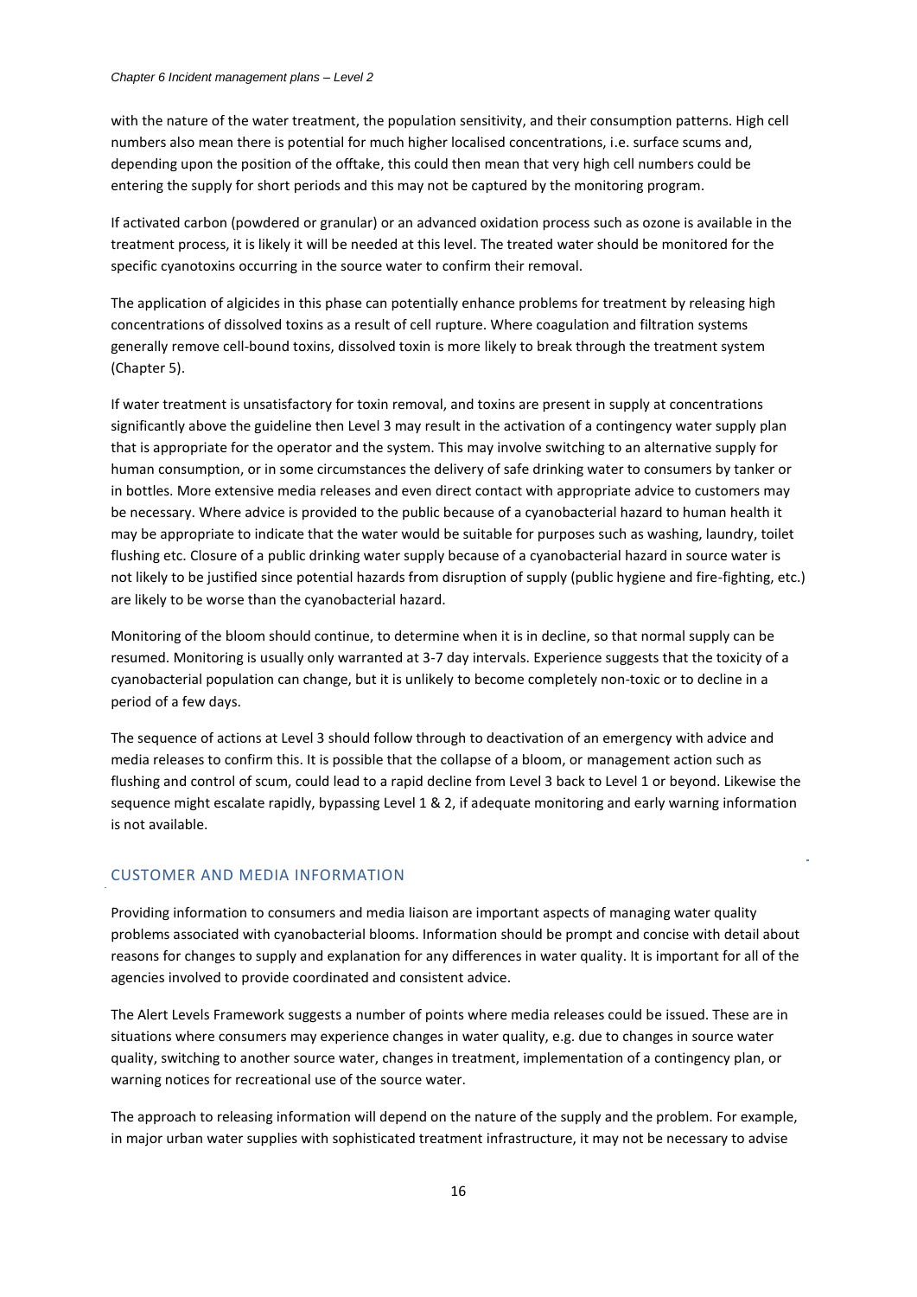with the nature of the water treatment, the population sensitivity, and their consumption patterns. High cell numbers also mean there is potential for much higher localised concentrations, i.e. surface scums and, depending upon the position of the offtake, this could then mean that very high cell numbers could be entering the supply for short periods and this may not be captured by the monitoring program.

If activated carbon (powdered or granular) or an advanced oxidation process such as ozone is available in the treatment process, it is likely it will be needed at this level. The treated water should be monitored for the specific cyanotoxins occurring in the source water to confirm their removal.

The application of algicides in this phase can potentially enhance problems for treatment by releasing high concentrations of dissolved toxins as a result of cell rupture. Where coagulation and filtration systems generally remove cell-bound toxins, dissolved toxin is more likely to break through the treatment system (Chapter 5).

If water treatment is unsatisfactory for toxin removal, and toxins are present in supply at concentrations significantly above the guideline then Level 3 may result in the activation of a contingency water supply plan that is appropriate for the operator and the system. This may involve switching to an alternative supply for human consumption, or in some circumstances the delivery of safe drinking water to consumers by tanker or in bottles. More extensive media releases and even direct contact with appropriate advice to customers may be necessary. Where advice is provided to the public because of a cyanobacterial hazard to human health it may be appropriate to indicate that the water would be suitable for purposes such as washing, laundry, toilet flushing etc. Closure of a public drinking water supply because of a cyanobacterial hazard in source water is not likely to be justified since potential hazards from disruption of supply (public hygiene and fire-fighting, etc.) are likely to be worse than the cyanobacterial hazard.

Monitoring of the bloom should continue, to determine when it is in decline, so that normal supply can be resumed. Monitoring is usually only warranted at 3-7 day intervals. Experience suggests that the toxicity of a cyanobacterial population can change, but it is unlikely to become completely non-toxic or to decline in a period of a few days.

The sequence of actions at Level 3 should follow through to deactivation of an emergency with advice and media releases to confirm this. It is possible that the collapse of a bloom, or management action such as flushing and control of scum, could lead to a rapid decline from Level 3 back to Level 1 or beyond. Likewise the sequence might escalate rapidly, bypassing Level 1 & 2, if adequate monitoring and early warning information is not available.

#### CUSTOMER AND MEDIA INFORMATION

Providing information to consumers and media liaison are important aspects of managing water quality problems associated with cyanobacterial blooms. Information should be prompt and concise with detail about reasons for changes to supply and explanation for any differences in water quality. It is important for all of the agencies involved to provide coordinated and consistent advice.

The Alert Levels Framework suggests a number of points where media releases could be issued. These are in situations where consumers may experience changes in water quality, e.g. due to changes in source water quality, switching to another source water, changes in treatment, implementation of a contingency plan, or warning notices for recreational use of the source water.

The approach to releasing information will depend on the nature of the supply and the problem. For example, in major urban water supplies with sophisticated treatment infrastructure, it may not be necessary to advise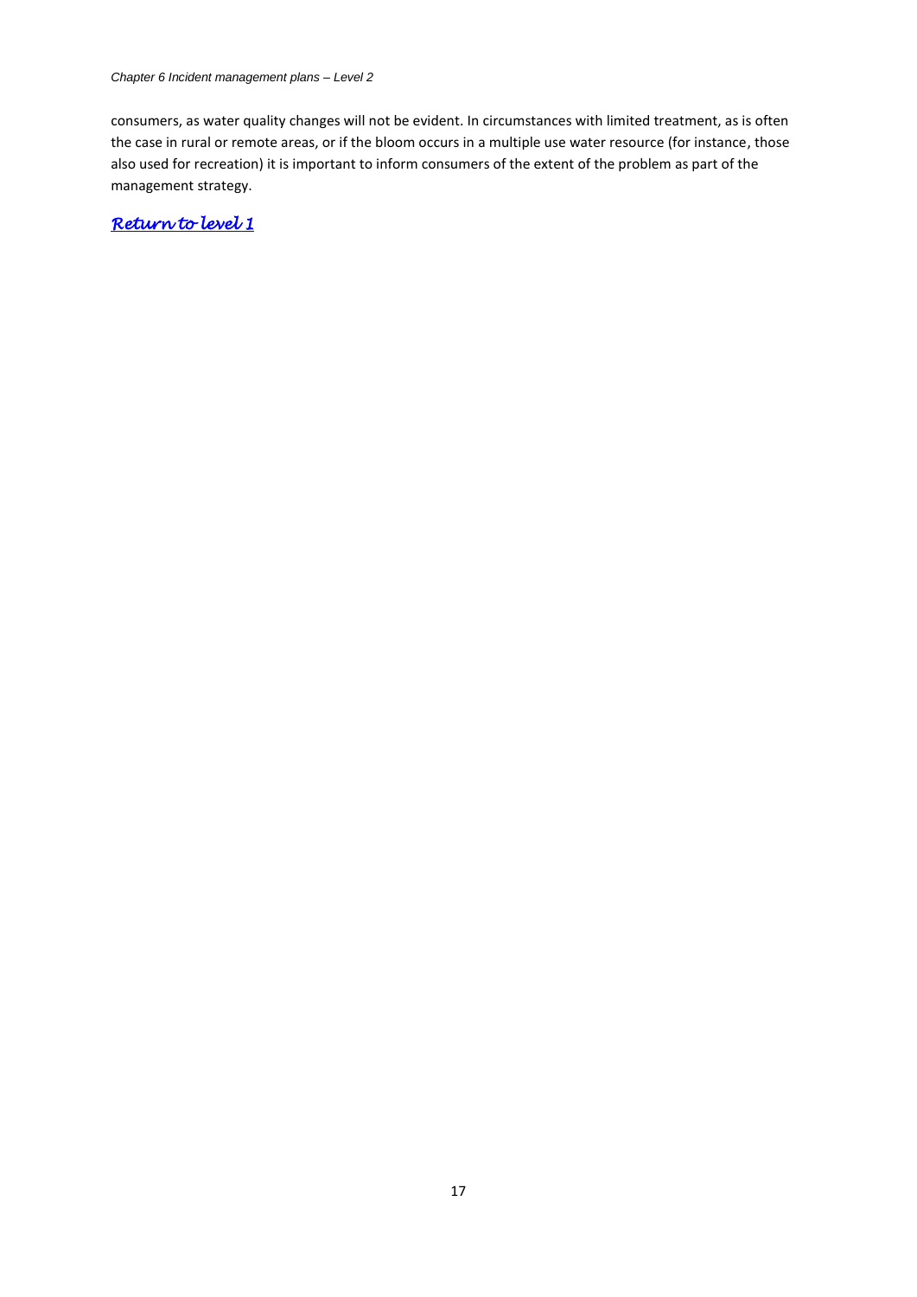*Chapter 6 Incident management plans – Level 2*

consumers, as water quality changes will not be evident. In circumstances with limited treatment, as is often the case in rural or remote areas, or if the bloom occurs in a multiple use water resource (for instance, those also used for recreation) it is important to inform consumers of the extent of the problem as part of the management strategy.

*[Return to level 1](#page-2-2)*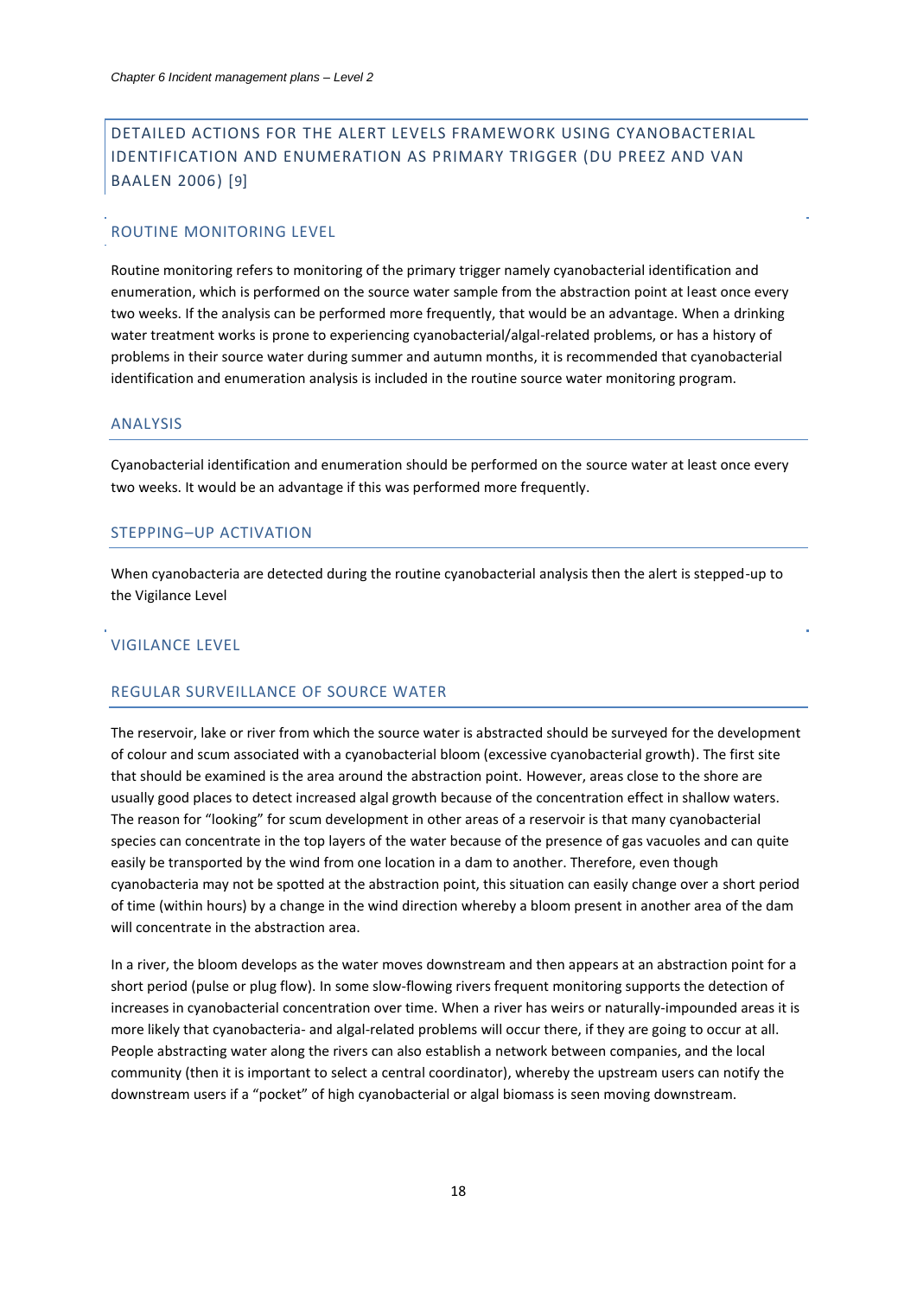# <span id="page-18-0"></span>DETAILED ACTIONS FOR THE ALERT LEVELS FRAMEWORK USING CYANOBACTERIAL IDENTIFICATION AND ENUMERATION AS PRIMARY TRIGGER (DU PREEZ AND VAN BAALEN 2006) [9]

#### ROUTINE MONITORING LEVEL

Routine monitoring refers to monitoring of the primary trigger namely cyanobacterial identification and enumeration, which is performed on the source water sample from the abstraction point at least once every two weeks. If the analysis can be performed more frequently, that would be an advantage. When a drinking water treatment works is prone to experiencing cyanobacterial/algal-related problems, or has a history of problems in their source water during summer and autumn months, it is recommended that cyanobacterial identification and enumeration analysis is included in the routine source water monitoring program.

#### ANALYSIS

Cyanobacterial identification and enumeration should be performed on the source water at least once every two weeks. It would be an advantage if this was performed more frequently.

## STEPPING–UP ACTIVATION

When cyanobacteria are detected during the routine cyanobacterial analysis then the alert is stepped-up to the Vigilance Level

#### VIGILANCE LEVEL

## REGULAR SURVEILLANCE OF SOURCE WATER

The reservoir, lake or river from which the source water is abstracted should be surveyed for the development of colour and scum associated with a cyanobacterial bloom (excessive cyanobacterial growth). The first site that should be examined is the area around the abstraction point. However, areas close to the shore are usually good places to detect increased algal growth because of the concentration effect in shallow waters. The reason for "looking" for scum development in other areas of a reservoir is that many cyanobacterial species can concentrate in the top layers of the water because of the presence of gas vacuoles and can quite easily be transported by the wind from one location in a dam to another. Therefore, even though cyanobacteria may not be spotted at the abstraction point, this situation can easily change over a short period of time (within hours) by a change in the wind direction whereby a bloom present in another area of the dam will concentrate in the abstraction area.

In a river, the bloom develops as the water moves downstream and then appears at an abstraction point for a short period (pulse or plug flow). In some slow-flowing rivers frequent monitoring supports the detection of increases in cyanobacterial concentration over time. When a river has weirs or naturally-impounded areas it is more likely that cyanobacteria- and algal-related problems will occur there, if they are going to occur at all. People abstracting water along the rivers can also establish a network between companies, and the local community (then it is important to select a central coordinator), whereby the upstream users can notify the downstream users if a "pocket" of high cyanobacterial or algal biomass is seen moving downstream.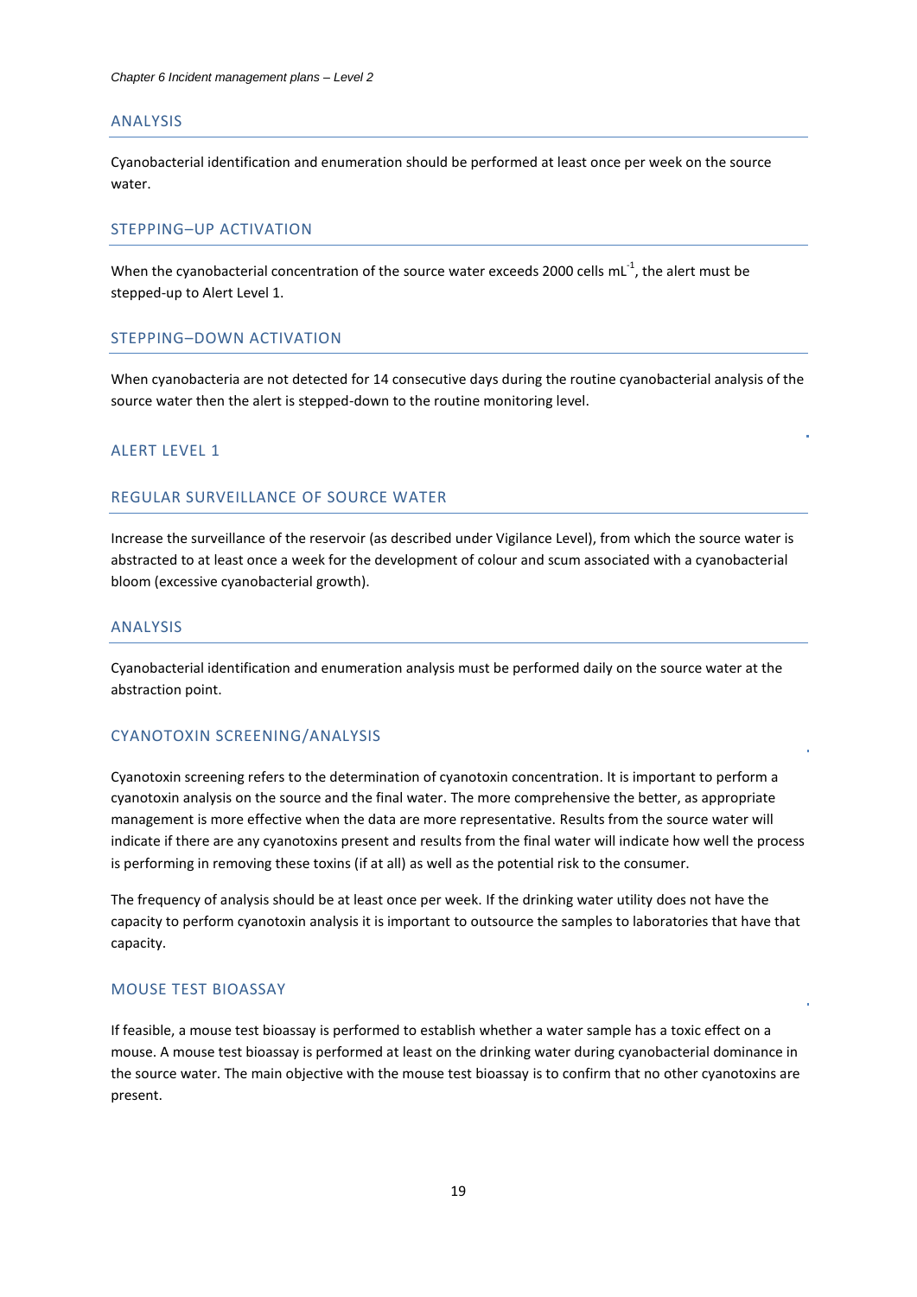#### ANALYSIS

Cyanobacterial identification and enumeration should be performed at least once per week on the source water.

## STEPPING–UP ACTIVATION

When the cyanobacterial concentration of the source water exceeds 2000 cells mL<sup>-1</sup>, the alert must be stepped-up to Alert Level 1.

#### STEPPING–DOWN ACTIVATION

When cyanobacteria are not detected for 14 consecutive days during the routine cyanobacterial analysis of the source water then the alert is stepped-down to the routine monitoring level.

## ALERT LEVEL 1

## REGULAR SURVEILLANCE OF SOURCE WATER

Increase the surveillance of the reservoir (as described under Vigilance Level), from which the source water is abstracted to at least once a week for the development of colour and scum associated with a cyanobacterial bloom (excessive cyanobacterial growth).

#### ANALYSIS

Cyanobacterial identification and enumeration analysis must be performed daily on the source water at the abstraction point.

#### CYANOTOXIN SCREENING/ANALYSIS

Cyanotoxin screening refers to the determination of cyanotoxin concentration. It is important to perform a cyanotoxin analysis on the source and the final water. The more comprehensive the better, as appropriate management is more effective when the data are more representative. Results from the source water will indicate if there are any cyanotoxins present and results from the final water will indicate how well the process is performing in removing these toxins (if at all) as well as the potential risk to the consumer.

The frequency of analysis should be at least once per week. If the drinking water utility does not have the capacity to perform cyanotoxin analysis it is important to outsource the samples to laboratories that have that capacity.

#### MOUSE TEST BIOASSAY

If feasible, a mouse test bioassay is performed to establish whether a water sample has a toxic effect on a mouse. A mouse test bioassay is performed at least on the drinking water during cyanobacterial dominance in the source water. The main objective with the mouse test bioassay is to confirm that no other cyanotoxins are present.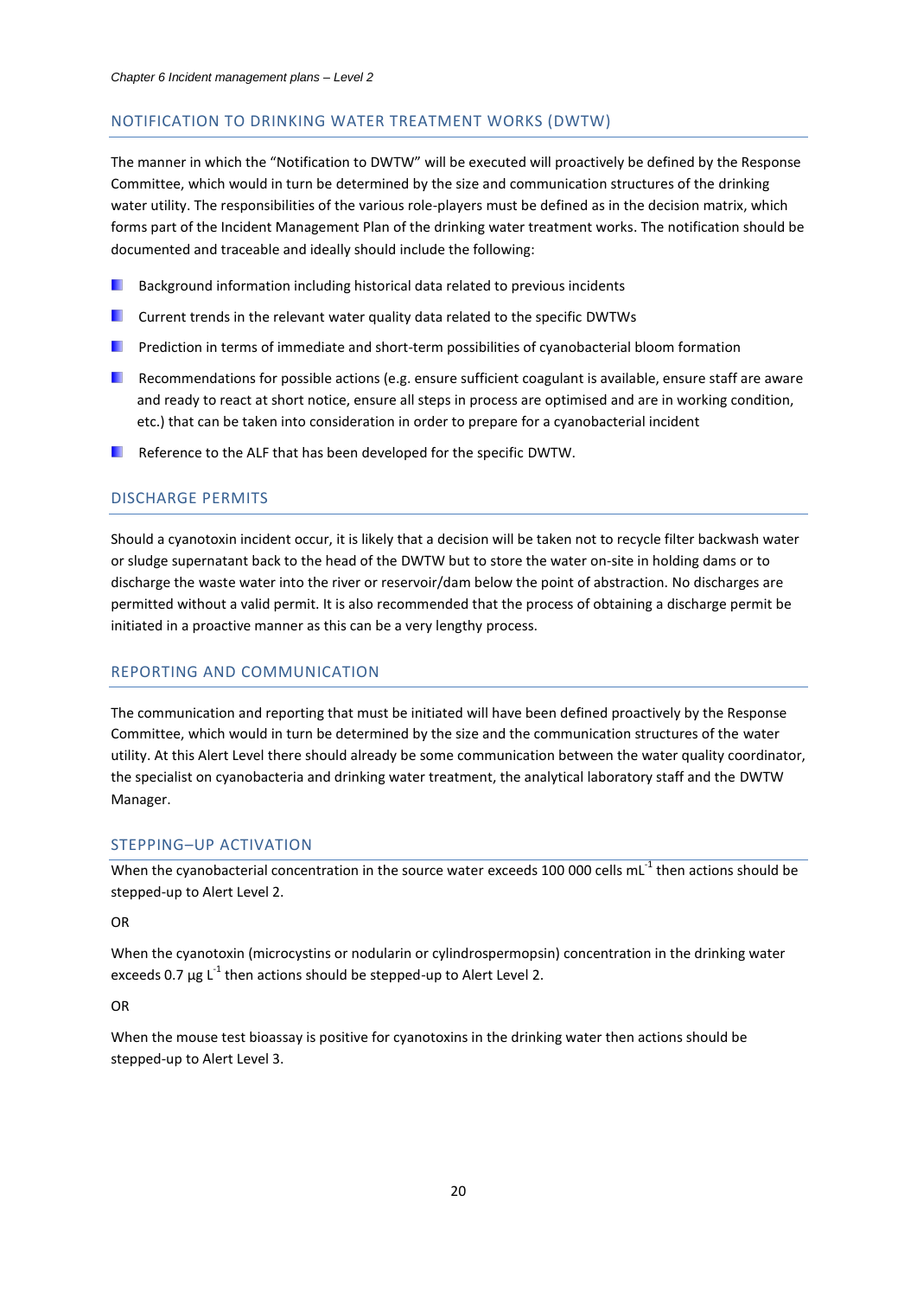#### NOTIFICATION TO DRINKING WATER TREATMENT WORKS (DWTW)

The manner in which the "Notification to DWTW" will be executed will proactively be defined by the Response Committee, which would in turn be determined by the size and communication structures of the drinking water utility. The responsibilities of the various role-players must be defined as in the decision matrix, which forms part of the Incident Management Plan of the drinking water treatment works. The notification should be documented and traceable and ideally should include the following:

- . . Background information including historical data related to previous incidents
- **Current trends in the relevant water quality data related to the specific DWTWs**
- **Prediction in terms of immediate and short-term possibilities of cyanobacterial bloom formation**
- **Recommendations for possible actions (e.g. ensure sufficient coagulant is available, ensure staff are aware** and ready to react at short notice, ensure all steps in process are optimised and are in working condition, etc.) that can be taken into consideration in order to prepare for a cyanobacterial incident
- **Reference to the ALF that has been developed for the specific DWTW.**

## DISCHARGE PERMITS

Should a cyanotoxin incident occur, it is likely that a decision will be taken not to recycle filter backwash water or sludge supernatant back to the head of the DWTW but to store the water on-site in holding dams or to discharge the waste water into the river or reservoir/dam below the point of abstraction. No discharges are permitted without a valid permit. It is also recommended that the process of obtaining a discharge permit be initiated in a proactive manner as this can be a very lengthy process.

## REPORTING AND COMMUNICATION

The communication and reporting that must be initiated will have been defined proactively by the Response Committee, which would in turn be determined by the size and the communication structures of the water utility. At this Alert Level there should already be some communication between the water quality coordinator, the specialist on cyanobacteria and drinking water treatment, the analytical laboratory staff and the DWTW Manager.

#### STEPPING–UP ACTIVATION

When the cyanobacterial concentration in the source water exceeds 100 000 cells mL $^{-1}$  then actions should be stepped-up to Alert Level 2.

#### OR

When the cyanotoxin (microcystins or nodularin or cylindrospermopsin) concentration in the drinking water exceeds 0.7  $\mu$ g L<sup>-1</sup> then actions should be stepped-up to Alert Level 2.

#### OR

When the mouse test bioassay is positive for cyanotoxins in the drinking water then actions should be stepped-up to Alert Level 3.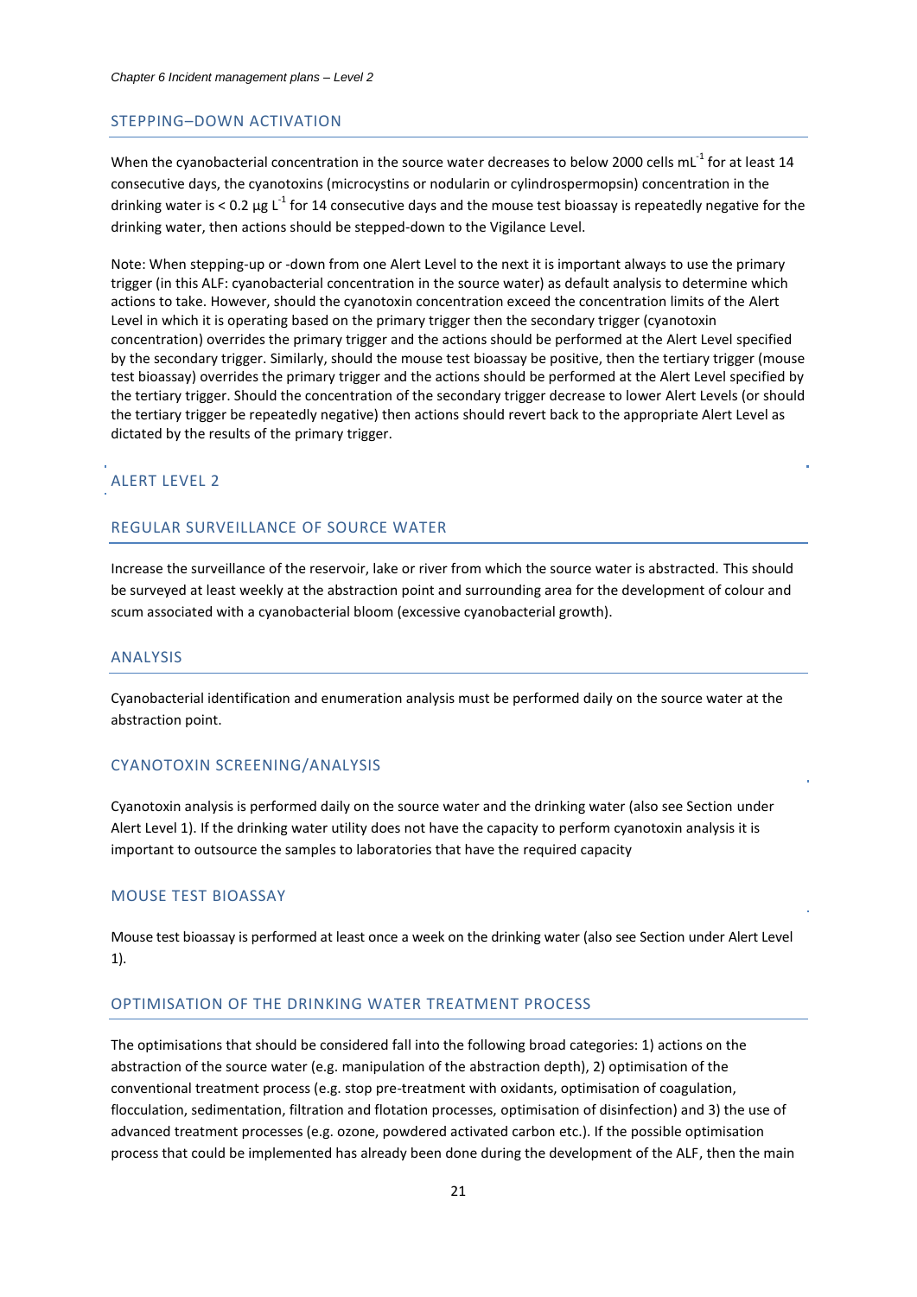#### STEPPING–DOWN ACTIVATION

When the cyanobacterial concentration in the source water decreases to below 2000 cells mL<sup>-1</sup> for at least 14 consecutive days, the cyanotoxins (microcystins or nodularin or cylindrospermopsin) concentration in the drinking water is < 0.2  $\mu$ g L<sup>-1</sup> for 14 consecutive days and the mouse test bioassay is repeatedly negative for the drinking water, then actions should be stepped-down to the Vigilance Level.

Note: When stepping-up or -down from one Alert Level to the next it is important always to use the primary trigger (in this ALF: cyanobacterial concentration in the source water) as default analysis to determine which actions to take. However, should the cyanotoxin concentration exceed the concentration limits of the Alert Level in which it is operating based on the primary trigger then the secondary trigger (cyanotoxin concentration) overrides the primary trigger and the actions should be performed at the Alert Level specified by the secondary trigger. Similarly, should the mouse test bioassay be positive, then the tertiary trigger (mouse test bioassay) overrides the primary trigger and the actions should be performed at the Alert Level specified by the tertiary trigger. Should the concentration of the secondary trigger decrease to lower Alert Levels (or should the tertiary trigger be repeatedly negative) then actions should revert back to the appropriate Alert Level as dictated by the results of the primary trigger.

## ALERT LEVEL 2

## REGULAR SURVEILLANCE OF SOURCE WATER

Increase the surveillance of the reservoir, lake or river from which the source water is abstracted. This should be surveyed at least weekly at the abstraction point and surrounding area for the development of colour and scum associated with a cyanobacterial bloom (excessive cyanobacterial growth).

#### ANALYSIS

Cyanobacterial identification and enumeration analysis must be performed daily on the source water at the abstraction point.

#### CYANOTOXIN SCREENING/ANALYSIS

Cyanotoxin analysis is performed daily on the source water and the drinking water (also see Section under Alert Level 1). If the drinking water utility does not have the capacity to perform cyanotoxin analysis it is important to outsource the samples to laboratories that have the required capacity

#### MOUSE TEST BIOASSAY

Mouse test bioassay is performed at least once a week on the drinking water (also see Section under Alert Level 1).

## OPTIMISATION OF THE DRINKING WATER TREATMENT PROCESS

The optimisations that should be considered fall into the following broad categories: 1) actions on the abstraction of the source water (e.g. manipulation of the abstraction depth), 2) optimisation of the conventional treatment process (e.g. stop pre-treatment with oxidants, optimisation of coagulation, flocculation, sedimentation, filtration and flotation processes, optimisation of disinfection) and 3) the use of advanced treatment processes (e.g. ozone, powdered activated carbon etc.). If the possible optimisation process that could be implemented has already been done during the development of the ALF, then the main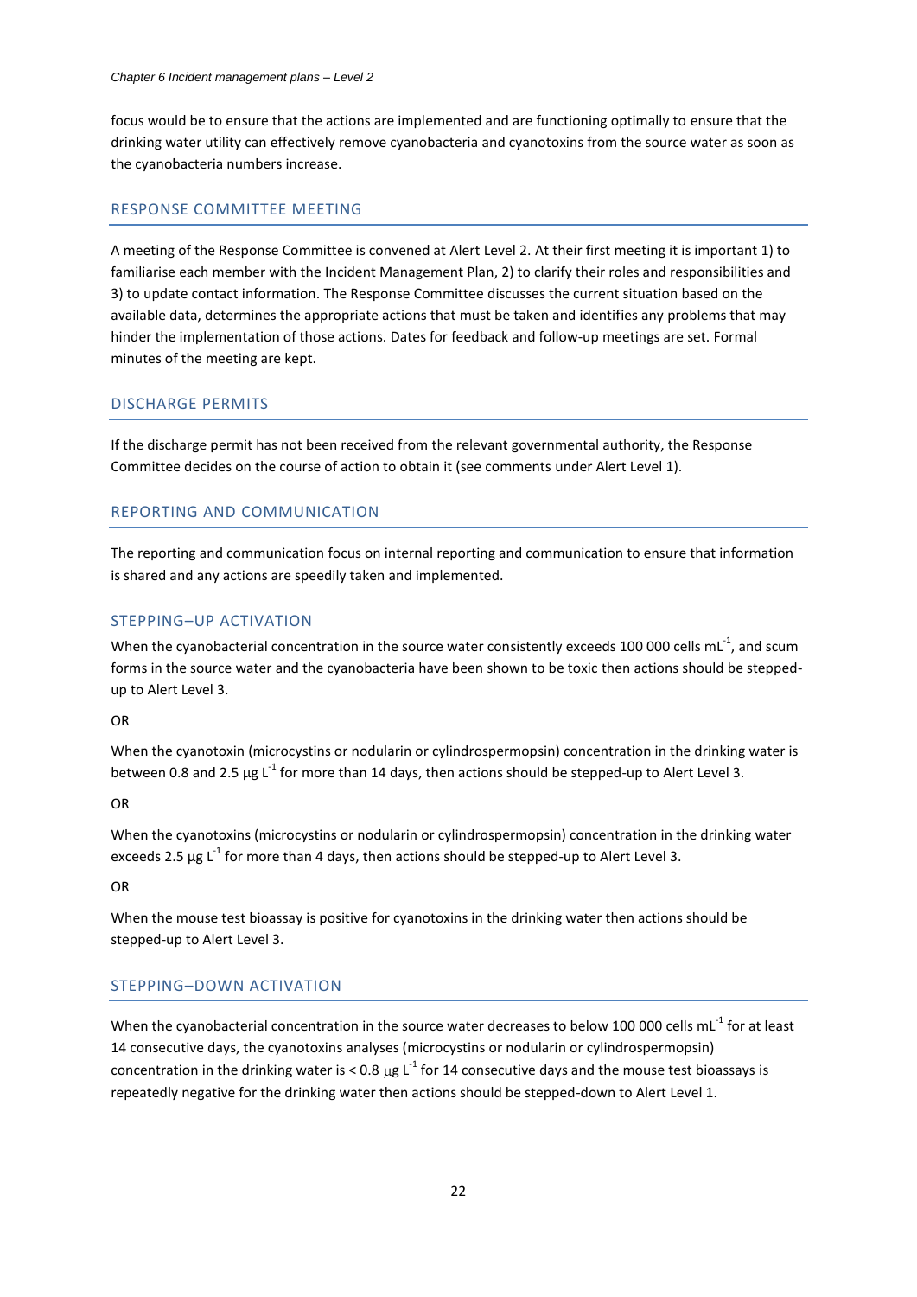focus would be to ensure that the actions are implemented and are functioning optimally to ensure that the drinking water utility can effectively remove cyanobacteria and cyanotoxins from the source water as soon as the cyanobacteria numbers increase.

## RESPONSE COMMITTEE MEETING

A meeting of the Response Committee is convened at Alert Level 2. At their first meeting it is important 1) to familiarise each member with the Incident Management Plan, 2) to clarify their roles and responsibilities and 3) to update contact information. The Response Committee discusses the current situation based on the available data, determines the appropriate actions that must be taken and identifies any problems that may hinder the implementation of those actions. Dates for feedback and follow-up meetings are set. Formal minutes of the meeting are kept.

#### DISCHARGE PERMITS

If the discharge permit has not been received from the relevant governmental authority, the Response Committee decides on the course of action to obtain it (see comments under Alert Level 1).

## REPORTING AND COMMUNICATION

The reporting and communication focus on internal reporting and communication to ensure that information is shared and any actions are speedily taken and implemented.

## STEPPING–UP ACTIVATION

When the cyanobacterial concentration in the source water consistently exceeds 100 000 cells mL<sup>-1</sup>, and scum forms in the source water and the cyanobacteria have been shown to be toxic then actions should be steppedup to Alert Level 3.

OR

When the cyanotoxin (microcystins or nodularin or cylindrospermopsin) concentration in the drinking water is between 0.8 and 2.5  $\mu$ g L<sup>-1</sup> for more than 14 days, then actions should be stepped-up to Alert Level 3.

#### OR

When the cyanotoxins (microcystins or nodularin or cylindrospermopsin) concentration in the drinking water exceeds 2.5  $\mu$ g L<sup>-1</sup> for more than 4 days, then actions should be stepped-up to Alert Level 3.

OR

When the mouse test bioassay is positive for cyanotoxins in the drinking water then actions should be stepped-up to Alert Level 3.

## STEPPING–DOWN ACTIVATION

When the cyanobacterial concentration in the source water decreases to below 100 000 cells mL<sup>-1</sup> for at least 14 consecutive days, the cyanotoxins analyses (microcystins or nodularin or cylindrospermopsin) concentration in the drinking water is < 0.8  $\mu$ g L<sup>-1</sup> for 14 consecutive days and the mouse test bioassays is repeatedly negative for the drinking water then actions should be stepped-down to Alert Level 1.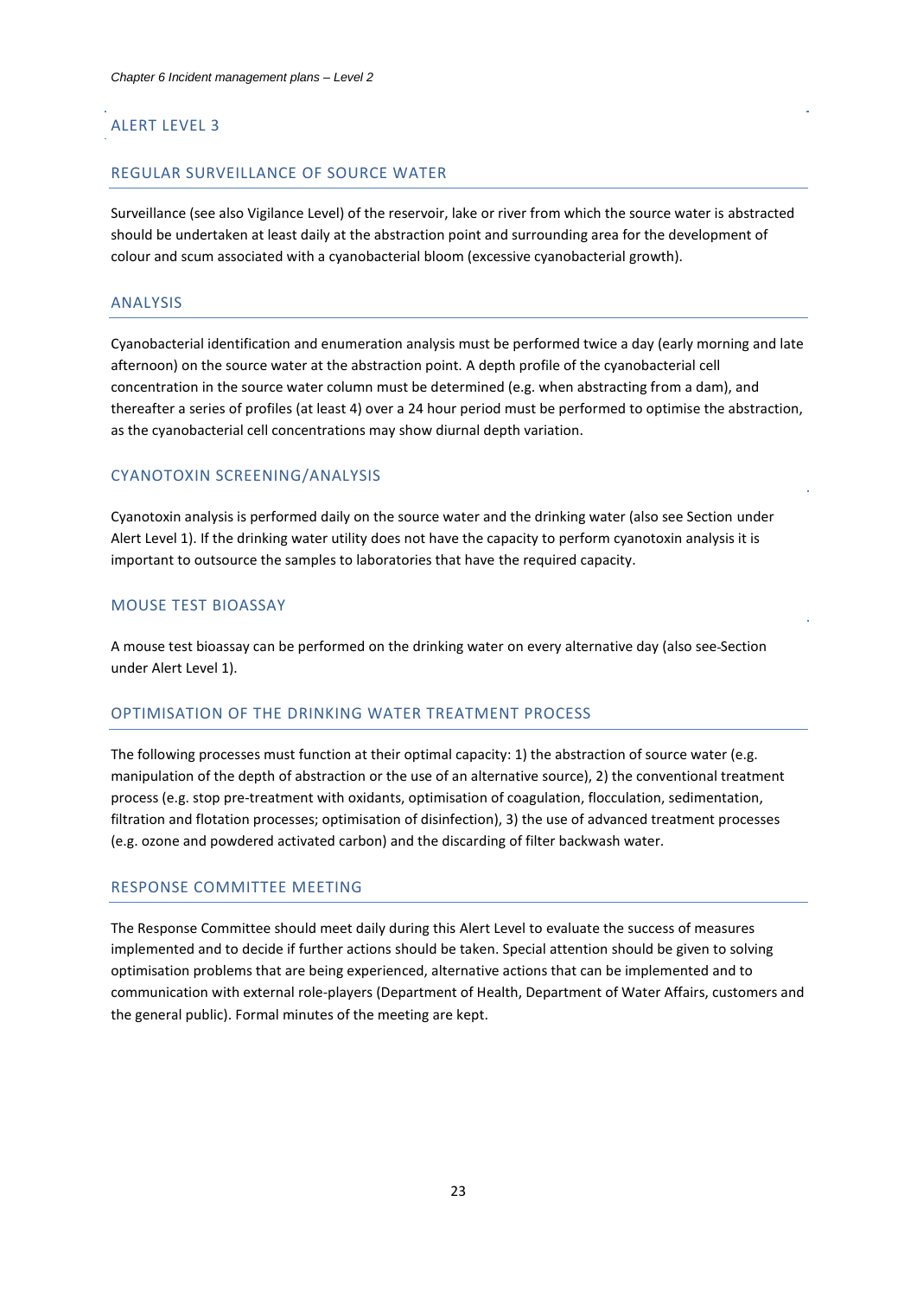# ALERT LEVEL 3

#### REGULAR SURVEILLANCE OF SOURCE WATER

Surveillance (see also Vigilance Level) of the reservoir, lake or river from which the source water is abstracted should be undertaken at least daily at the abstraction point and surrounding area for the development of colour and scum associated with a cyanobacterial bloom (excessive cyanobacterial growth).

#### ANALYSIS

Cyanobacterial identification and enumeration analysis must be performed twice a day (early morning and late afternoon) on the source water at the abstraction point. A depth profile of the cyanobacterial cell concentration in the source water column must be determined (e.g. when abstracting from a dam), and thereafter a series of profiles (at least 4) over a 24 hour period must be performed to optimise the abstraction, as the cyanobacterial cell concentrations may show diurnal depth variation.

## CYANOTOXIN SCREENING/ANALYSIS

Cyanotoxin analysis is performed daily on the source water and the drinking water (also see Section under Alert Level 1). If the drinking water utility does not have the capacity to perform cyanotoxin analysis it is important to outsource the samples to laboratories that have the required capacity.

## MOUSE TEST BIOASSAY

A mouse test bioassay can be performed on the drinking water on every alternative day (also see Section under Alert Level 1).

#### OPTIMISATION OF THE DRINKING WATER TREATMENT PROCESS

The following processes must function at their optimal capacity: 1) the abstraction of source water (e.g. manipulation of the depth of abstraction or the use of an alternative source), 2) the conventional treatment process (e.g. stop pre-treatment with oxidants, optimisation of coagulation, flocculation, sedimentation, filtration and flotation processes; optimisation of disinfection), 3) the use of advanced treatment processes (e.g. ozone and powdered activated carbon) and the discarding of filter backwash water.

## RESPONSE COMMITTEE MEETING

The Response Committee should meet daily during this Alert Level to evaluate the success of measures implemented and to decide if further actions should be taken. Special attention should be given to solving optimisation problems that are being experienced, alternative actions that can be implemented and to communication with external role-players (Department of Health, Department of Water Affairs, customers and the general public). Formal minutes of the meeting are kept.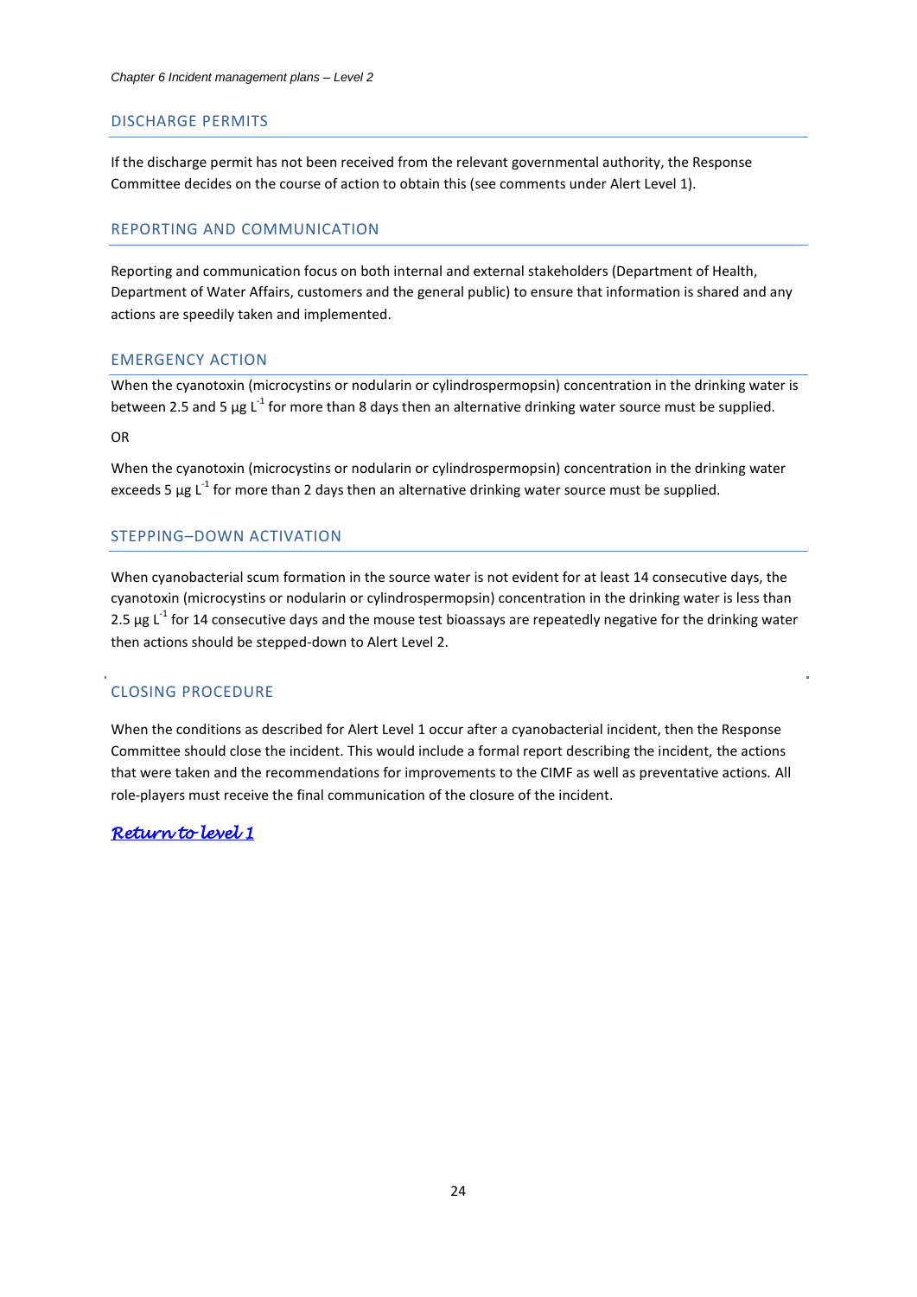#### DISCHARGE PERMITS

If the discharge permit has not been received from the relevant governmental authority, the Response Committee decides on the course of action to obtain this (see comments under Alert Level 1).

## REPORTING AND COMMUNICATION

Reporting and communication focus on both internal and external stakeholders (Department of Health, Department of Water Affairs, customers and the general public) to ensure that information is shared and any actions are speedily taken and implemented.

#### EMERGENCY ACTION

When the cyanotoxin (microcystins or nodularin or cylindrospermopsin) concentration in the drinking water is between 2.5 and 5  $\mu$ g L<sup>-1</sup> for more than 8 days then an alternative drinking water source must be supplied.

OR

When the cyanotoxin (microcystins or nodularin or cylindrospermopsin) concentration in the drinking water exceeds 5  $\mu$ g L<sup>-1</sup> for more than 2 days then an alternative drinking water source must be supplied.

## STEPPING–DOWN ACTIVATION

When cyanobacterial scum formation in the source water is not evident for at least 14 consecutive days, the cyanotoxin (microcystins or nodularin or cylindrospermopsin) concentration in the drinking water is less than 2.5  $\mu$ g L<sup>-1</sup> for 14 consecutive days and the mouse test bioassays are repeatedly negative for the drinking water then actions should be stepped-down to Alert Level 2.

#### CLOSING PROCEDURE

When the conditions as described for Alert Level 1 occur after a cyanobacterial incident, then the Response Committee should close the incident. This would include a formal report describing the incident, the actions that were taken and the recommendations for improvements to the CIMF as well as preventative actions. All role-players must receive the final communication of the closure of the incident.

## *[Return to level 1](#page-6-1)*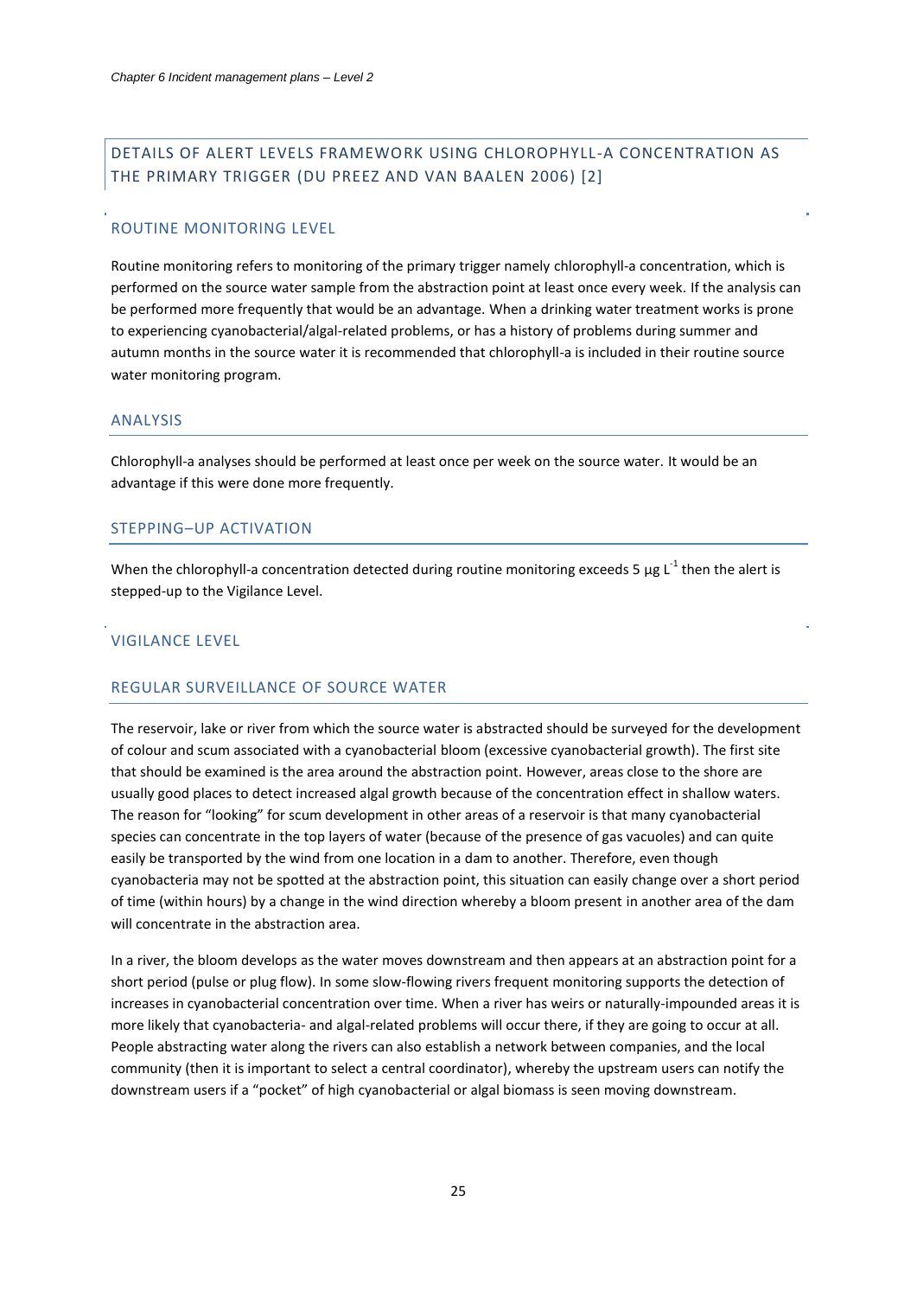# <span id="page-25-0"></span>DETAILS OF ALERT LEVELS FRAMEWORK USING CHLOROPHYLL-A CONCENTRATION AS THE PRIMARY TRIGGER (DU PREEZ AND VAN BAALEN 2006) [\[2\]](#page-6-2)

#### ROUTINE MONITORING LEVEL

Routine monitoring refers to monitoring of the primary trigger namely chlorophyll-a concentration, which is performed on the source water sample from the abstraction point at least once every week. If the analysis can be performed more frequently that would be an advantage. When a drinking water treatment works is prone to experiencing cyanobacterial/algal-related problems, or has a history of problems during summer and autumn months in the source water it is recommended that chlorophyll-a is included in their routine source water monitoring program.

### ANALYSIS

Chlorophyll-a analyses should be performed at least once per week on the source water. It would be an advantage if this were done more frequently.

#### STEPPING–UP ACTIVATION

When the chlorophyll-a concentration detected during routine monitoring exceeds 5  $\mu$ g L<sup>-1</sup> then the alert is stepped-up to the Vigilance Level.

#### VIGILANCE LEVEL

## REGULAR SURVEILLANCE OF SOURCE WATER

The reservoir, lake or river from which the source water is abstracted should be surveyed for the development of colour and scum associated with a cyanobacterial bloom (excessive cyanobacterial growth). The first site that should be examined is the area around the abstraction point. However, areas close to the shore are usually good places to detect increased algal growth because of the concentration effect in shallow waters. The reason for "looking" for scum development in other areas of a reservoir is that many cyanobacterial species can concentrate in the top layers of water (because of the presence of gas vacuoles) and can quite easily be transported by the wind from one location in a dam to another. Therefore, even though cyanobacteria may not be spotted at the abstraction point, this situation can easily change over a short period of time (within hours) by a change in the wind direction whereby a bloom present in another area of the dam will concentrate in the abstraction area.

In a river, the bloom develops as the water moves downstream and then appears at an abstraction point for a short period (pulse or plug flow). In some slow-flowing rivers frequent monitoring supports the detection of increases in cyanobacterial concentration over time. When a river has weirs or naturally-impounded areas it is more likely that cyanobacteria- and algal-related problems will occur there, if they are going to occur at all. People abstracting water along the rivers can also establish a network between companies, and the local community (then it is important to select a central coordinator), whereby the upstream users can notify the downstream users if a "pocket" of high cyanobacterial or algal biomass is seen moving downstream.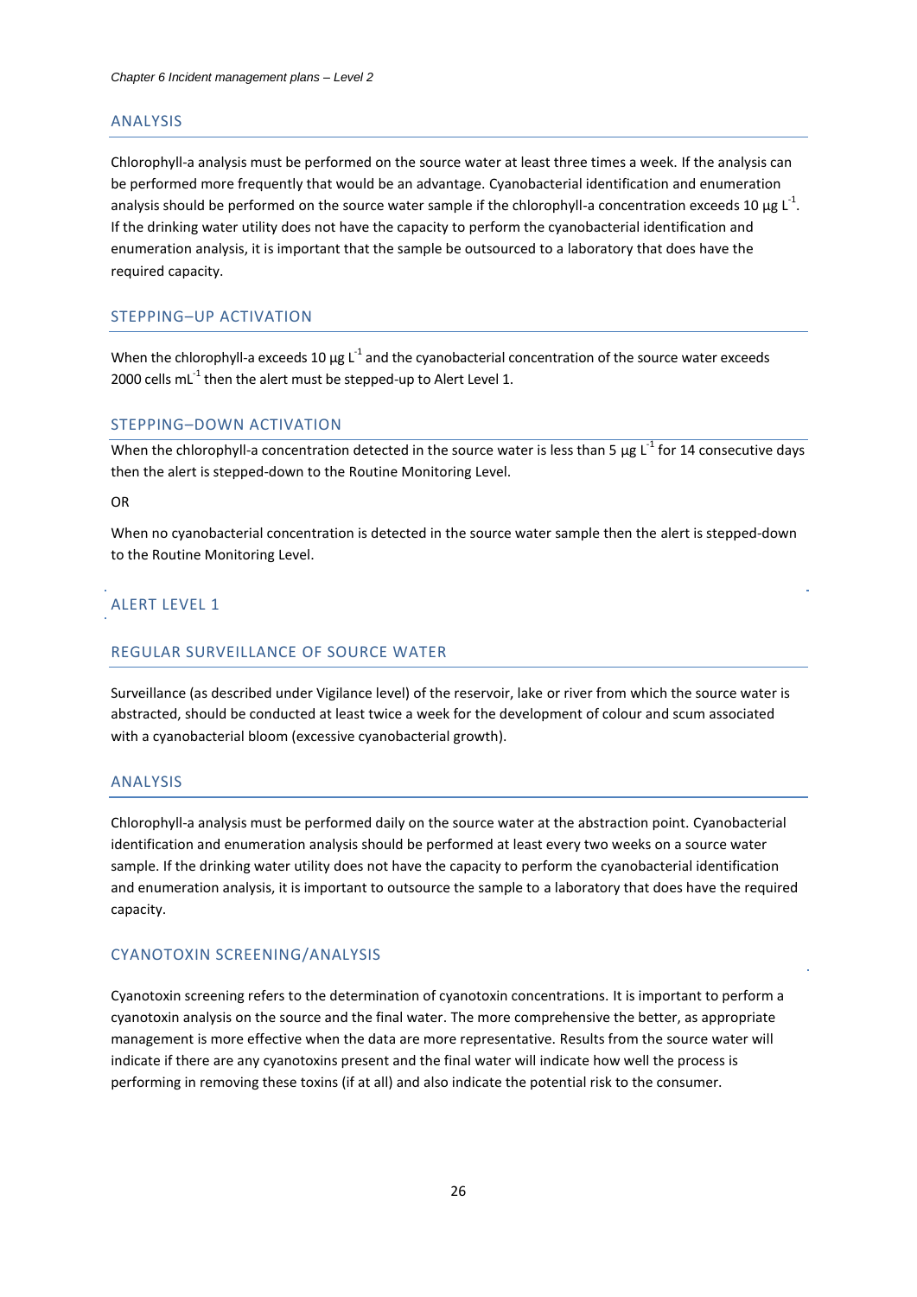#### ANALYSIS

Chlorophyll-a analysis must be performed on the source water at least three times a week. If the analysis can be performed more frequently that would be an advantage. Cyanobacterial identification and enumeration analysis should be performed on the source water sample if the chlorophyll-a concentration exceeds 10  $\mu$ g L<sup>-1</sup>. If the drinking water utility does not have the capacity to perform the cyanobacterial identification and enumeration analysis, it is important that the sample be outsourced to a laboratory that does have the required capacity.

## STEPPING–UP ACTIVATION

When the chlorophyll-a exceeds 10  $\mu$ g L<sup>-1</sup> and the cyanobacterial concentration of the source water exceeds 2000 cells mL $^{-1}$  then the alert must be stepped-up to Alert Level 1.

#### STEPPING–DOWN ACTIVATION

When the chlorophyll-a concentration detected in the source water is less than 5  $\mu$ g L<sup>-1</sup> for 14 consecutive days then the alert is stepped-down to the Routine Monitoring Level.

#### OR

When no cyanobacterial concentration is detected in the source water sample then the alert is stepped-down to the Routine Monitoring Level.

## ALERT LEVEL 1

#### REGULAR SURVEILLANCE OF SOURCE WATER

Surveillance (as described under Vigilance level) of the reservoir, lake or river from which the source water is abstracted, should be conducted at least twice a week for the development of colour and scum associated with a cyanobacterial bloom (excessive cyanobacterial growth).

## ANALYSIS

Chlorophyll-a analysis must be performed daily on the source water at the abstraction point. Cyanobacterial identification and enumeration analysis should be performed at least every two weeks on a source water sample. If the drinking water utility does not have the capacity to perform the cyanobacterial identification and enumeration analysis, it is important to outsource the sample to a laboratory that does have the required capacity.

#### CYANOTOXIN SCREENING/ANALYSIS

Cyanotoxin screening refers to the determination of cyanotoxin concentrations. It is important to perform a cyanotoxin analysis on the source and the final water. The more comprehensive the better, as appropriate management is more effective when the data are more representative. Results from the source water will indicate if there are any cyanotoxins present and the final water will indicate how well the process is performing in removing these toxins (if at all) and also indicate the potential risk to the consumer.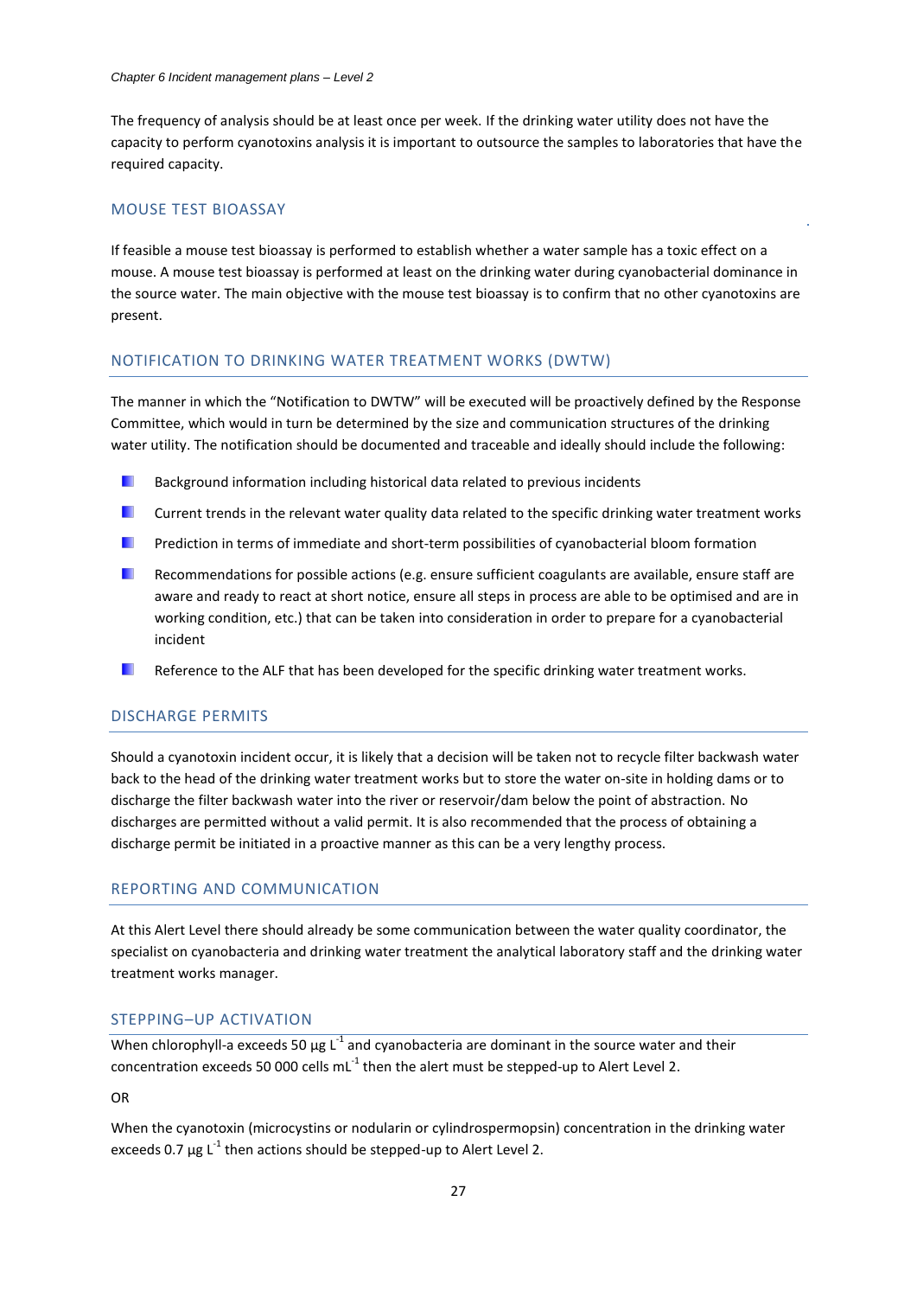The frequency of analysis should be at least once per week. If the drinking water utility does not have the capacity to perform cyanotoxins analysis it is important to outsource the samples to laboratories that have the required capacity.

## MOUSE TEST BIOASSAY

If feasible a mouse test bioassay is performed to establish whether a water sample has a toxic effect on a mouse. A mouse test bioassay is performed at least on the drinking water during cyanobacterial dominance in the source water. The main objective with the mouse test bioassay is to confirm that no other cyanotoxins are present.

#### NOTIFICATION TO DRINKING WATER TREATMENT WORKS (DWTW)

The manner in which the "Notification to DWTW" will be executed will be proactively defined by the Response Committee, which would in turn be determined by the size and communication structures of the drinking water utility. The notification should be documented and traceable and ideally should include the following:

- ٠ Background information including historical data related to previous incidents
- ٠ Current trends in the relevant water quality data related to the specific drinking water treatment works
- Prediction in terms of immediate and short-term possibilities of cyanobacterial bloom formation
- Recommendations for possible actions (e.g. ensure sufficient coagulants are available, ensure staff are aware and ready to react at short notice, ensure all steps in process are able to be optimised and are in working condition, etc.) that can be taken into consideration in order to prepare for a cyanobacterial incident
- Reference to the ALF that has been developed for the specific drinking water treatment works.

## DISCHARGE PERMITS

Should a cyanotoxin incident occur, it is likely that a decision will be taken not to recycle filter backwash water back to the head of the drinking water treatment works but to store the water on-site in holding dams or to discharge the filter backwash water into the river or reservoir/dam below the point of abstraction. No discharges are permitted without a valid permit. It is also recommended that the process of obtaining a discharge permit be initiated in a proactive manner as this can be a very lengthy process.

#### REPORTING AND COMMUNICATION

At this Alert Level there should already be some communication between the water quality coordinator, the specialist on cyanobacteria and drinking water treatment the analytical laboratory staff and the drinking water treatment works manager.

## STEPPING–UP ACTIVATION

When chlorophyll-a exceeds 50  $\mu$ g L<sup>-1</sup> and cyanobacteria are dominant in the source water and their concentration exceeds 50 000 cells mL $^{-1}$  then the alert must be stepped-up to Alert Level 2.

OR

When the cyanotoxin (microcystins or nodularin or cylindrospermopsin) concentration in the drinking water exceeds 0.7  $\mu$ g L<sup>-1</sup> then actions should be stepped-up to Alert Level 2.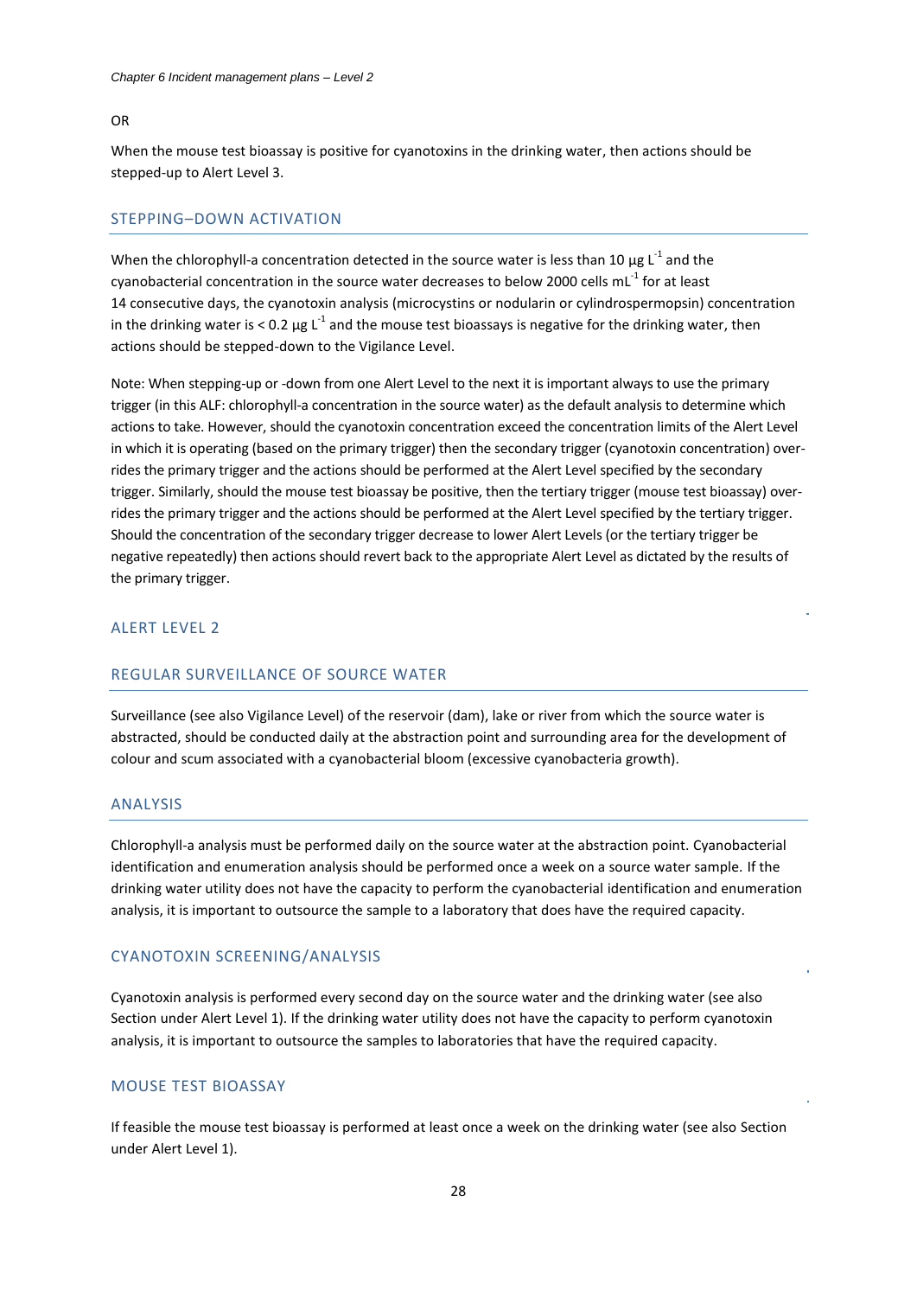#### OR

When the mouse test bioassay is positive for cyanotoxins in the drinking water, then actions should be stepped-up to Alert Level 3.

#### STEPPING–DOWN ACTIVATION

When the chlorophyll-a concentration detected in the source water is less than 10  $\mu$ g L<sup>-1</sup> and the cyanobacterial concentration in the source water decreases to below 2000 cells mL $^{-1}$  for at least 14 consecutive days, the cyanotoxin analysis (microcystins or nodularin or cylindrospermopsin) concentration in the drinking water is < 0.2 µg L<sup>-1</sup> and the mouse test bioassays is negative for the drinking water, then actions should be stepped-down to the Vigilance Level.

Note: When stepping-up or -down from one Alert Level to the next it is important always to use the primary trigger (in this ALF: chlorophyll-a concentration in the source water) as the default analysis to determine which actions to take. However, should the cyanotoxin concentration exceed the concentration limits of the Alert Level in which it is operating (based on the primary trigger) then the secondary trigger (cyanotoxin concentration) overrides the primary trigger and the actions should be performed at the Alert Level specified by the secondary trigger. Similarly, should the mouse test bioassay be positive, then the tertiary trigger (mouse test bioassay) overrides the primary trigger and the actions should be performed at the Alert Level specified by the tertiary trigger. Should the concentration of the secondary trigger decrease to lower Alert Levels (or the tertiary trigger be negative repeatedly) then actions should revert back to the appropriate Alert Level as dictated by the results of the primary trigger.

#### ALERT LEVEL 2

#### REGULAR SURVEILLANCE OF SOURCE WATER

Surveillance (see also Vigilance Level) of the reservoir (dam), lake or river from which the source water is abstracted, should be conducted daily at the abstraction point and surrounding area for the development of colour and scum associated with a cyanobacterial bloom (excessive cyanobacteria growth).

## ANALYSIS

Chlorophyll-a analysis must be performed daily on the source water at the abstraction point. Cyanobacterial identification and enumeration analysis should be performed once a week on a source water sample. If the drinking water utility does not have the capacity to perform the cyanobacterial identification and enumeration analysis, it is important to outsource the sample to a laboratory that does have the required capacity.

#### CYANOTOXIN SCREENING/ANALYSIS

Cyanotoxin analysis is performed every second day on the source water and the drinking water (see also Section under Alert Level 1). If the drinking water utility does not have the capacity to perform cyanotoxin analysis, it is important to outsource the samples to laboratories that have the required capacity.

## MOUSE TEST BIOASSAY

If feasible the mouse test bioassay is performed at least once a week on the drinking water (see also Section under Alert Level 1).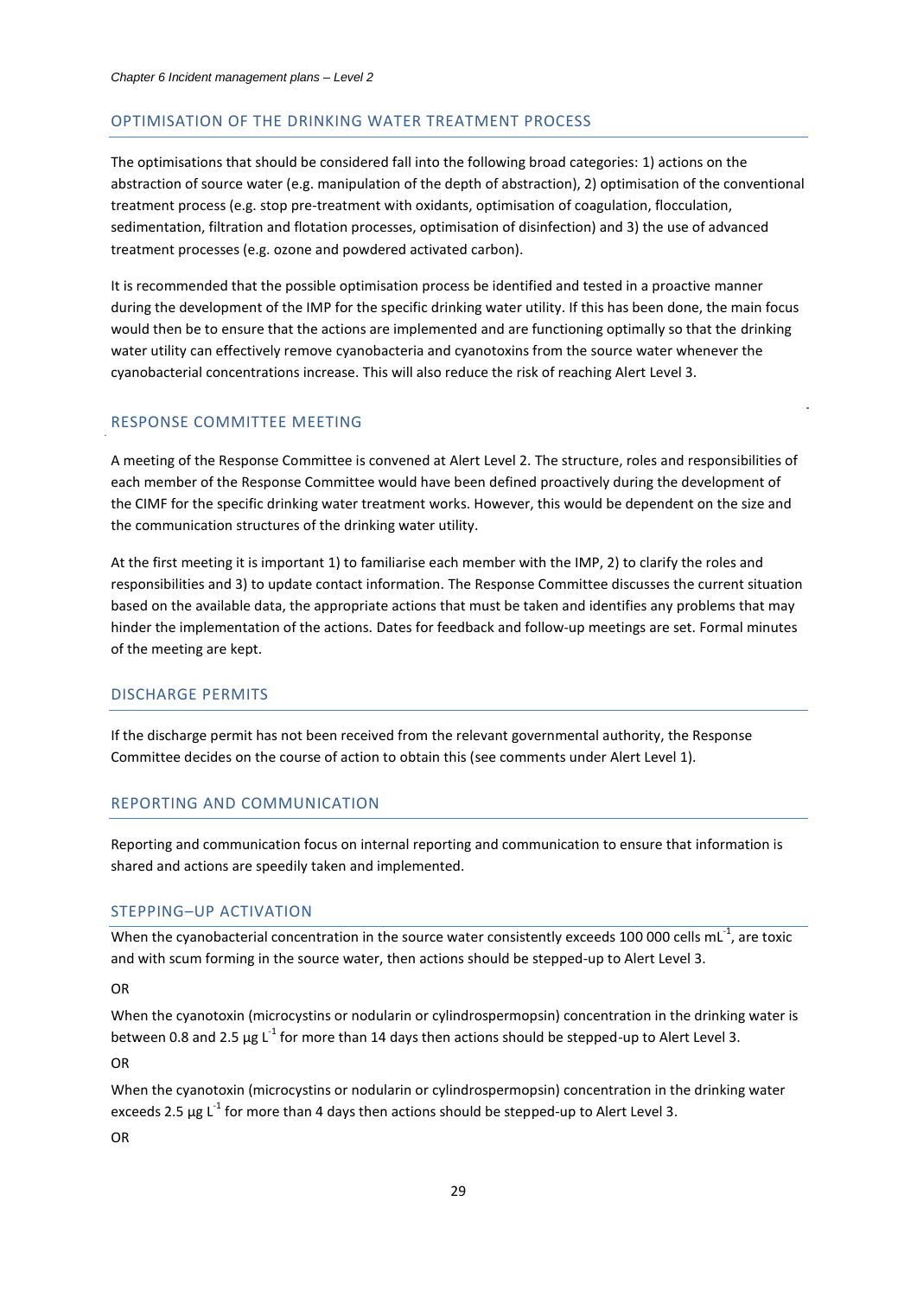#### OPTIMISATION OF THE DRINKING WATER TREATMENT PROCESS

The optimisations that should be considered fall into the following broad categories: 1) actions on the abstraction of source water (e.g. manipulation of the depth of abstraction), 2) optimisation of the conventional treatment process (e.g. stop pre-treatment with oxidants, optimisation of coagulation, flocculation, sedimentation, filtration and flotation processes, optimisation of disinfection) and 3) the use of advanced treatment processes (e.g. ozone and powdered activated carbon).

It is recommended that the possible optimisation process be identified and tested in a proactive manner during the development of the IMP for the specific drinking water utility. If this has been done, the main focus would then be to ensure that the actions are implemented and are functioning optimally so that the drinking water utility can effectively remove cyanobacteria and cyanotoxins from the source water whenever the cyanobacterial concentrations increase. This will also reduce the risk of reaching Alert Level 3.

#### RESPONSE COMMITTEE MEETING

A meeting of the Response Committee is convened at Alert Level 2. The structure, roles and responsibilities of each member of the Response Committee would have been defined proactively during the development of the CIMF for the specific drinking water treatment works. However, this would be dependent on the size and the communication structures of the drinking water utility.

At the first meeting it is important 1) to familiarise each member with the IMP, 2) to clarify the roles and responsibilities and 3) to update contact information. The Response Committee discusses the current situation based on the available data, the appropriate actions that must be taken and identifies any problems that may hinder the implementation of the actions. Dates for feedback and follow-up meetings are set. Formal minutes of the meeting are kept.

#### DISCHARGE PERMITS

If the discharge permit has not been received from the relevant governmental authority, the Response Committee decides on the course of action to obtain this (see comments under Alert Level 1).

#### REPORTING AND COMMUNICATION

Reporting and communication focus on internal reporting and communication to ensure that information is shared and actions are speedily taken and implemented.

#### STEPPING–UP ACTIVATION

When the cyanobacterial concentration in the source water consistently exceeds 100 000 cells mL<sup>-1</sup>, are toxic and with scum forming in the source water, then actions should be stepped-up to Alert Level 3.

OR

When the cyanotoxin (microcystins or nodularin or cylindrospermopsin) concentration in the drinking water is between 0.8 and 2.5  $\mu$ g L<sup>-1</sup> for more than 14 days then actions should be stepped-up to Alert Level 3.

OR

When the cyanotoxin (microcystins or nodularin or cylindrospermopsin) concentration in the drinking water exceeds 2.5  $\mu$ g L<sup>-1</sup> for more than 4 days then actions should be stepped-up to Alert Level 3. OR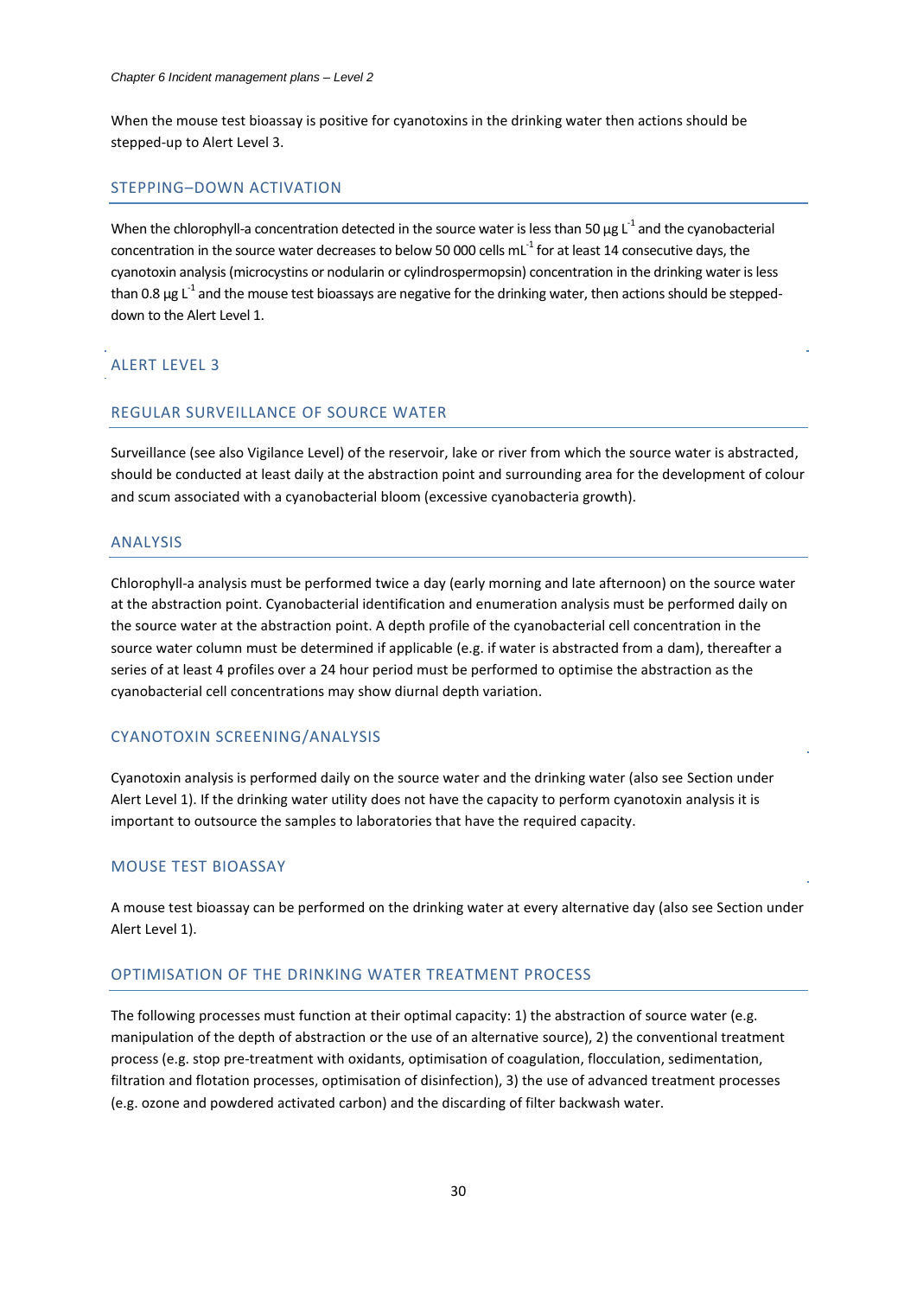When the mouse test bioassay is positive for cyanotoxins in the drinking water then actions should be stepped-up to Alert Level 3.

#### STEPPING–DOWN ACTIVATION

When the chlorophyll-a concentration detected in the source water is less than 50  $\mu$ g L<sup>-1</sup> and the cyanobacterial concentration in the source water decreases to below 50 000 cells mL $^1$  for at least 14 consecutive days, the cyanotoxin analysis (microcystins or nodularin or cylindrospermopsin) concentration in the drinking water is less than 0.8  $\mu$ g L $^1$  and the mouse test bioassays are negative for the drinking water, then actions should be steppeddown to the Alert Level 1.

## ALERT LEVEL 3

## REGULAR SURVEILLANCE OF SOURCE WATER

Surveillance (see also Vigilance Level) of the reservoir, lake or river from which the source water is abstracted, should be conducted at least daily at the abstraction point and surrounding area for the development of colour and scum associated with a cyanobacterial bloom (excessive cyanobacteria growth).

#### ANALYSIS

Chlorophyll-a analysis must be performed twice a day (early morning and late afternoon) on the source water at the abstraction point. Cyanobacterial identification and enumeration analysis must be performed daily on the source water at the abstraction point. A depth profile of the cyanobacterial cell concentration in the source water column must be determined if applicable (e.g. if water is abstracted from a dam), thereafter a series of at least 4 profiles over a 24 hour period must be performed to optimise the abstraction as the cyanobacterial cell concentrations may show diurnal depth variation.

## CYANOTOXIN SCREENING/ANALYSIS

Cyanotoxin analysis is performed daily on the source water and the drinking water (also see Section under Alert Level 1). If the drinking water utility does not have the capacity to perform cyanotoxin analysis it is important to outsource the samples to laboratories that have the required capacity.

## MOUSE TEST BIOASSAY

A mouse test bioassay can be performed on the drinking water at every alternative day (also see Section under Alert Level 1).

## OPTIMISATION OF THE DRINKING WATER TREATMENT PROCESS

The following processes must function at their optimal capacity: 1) the abstraction of source water (e.g. manipulation of the depth of abstraction or the use of an alternative source), 2) the conventional treatment process (e.g. stop pre-treatment with oxidants, optimisation of coagulation, flocculation, sedimentation, filtration and flotation processes, optimisation of disinfection), 3) the use of advanced treatment processes (e.g. ozone and powdered activated carbon) and the discarding of filter backwash water.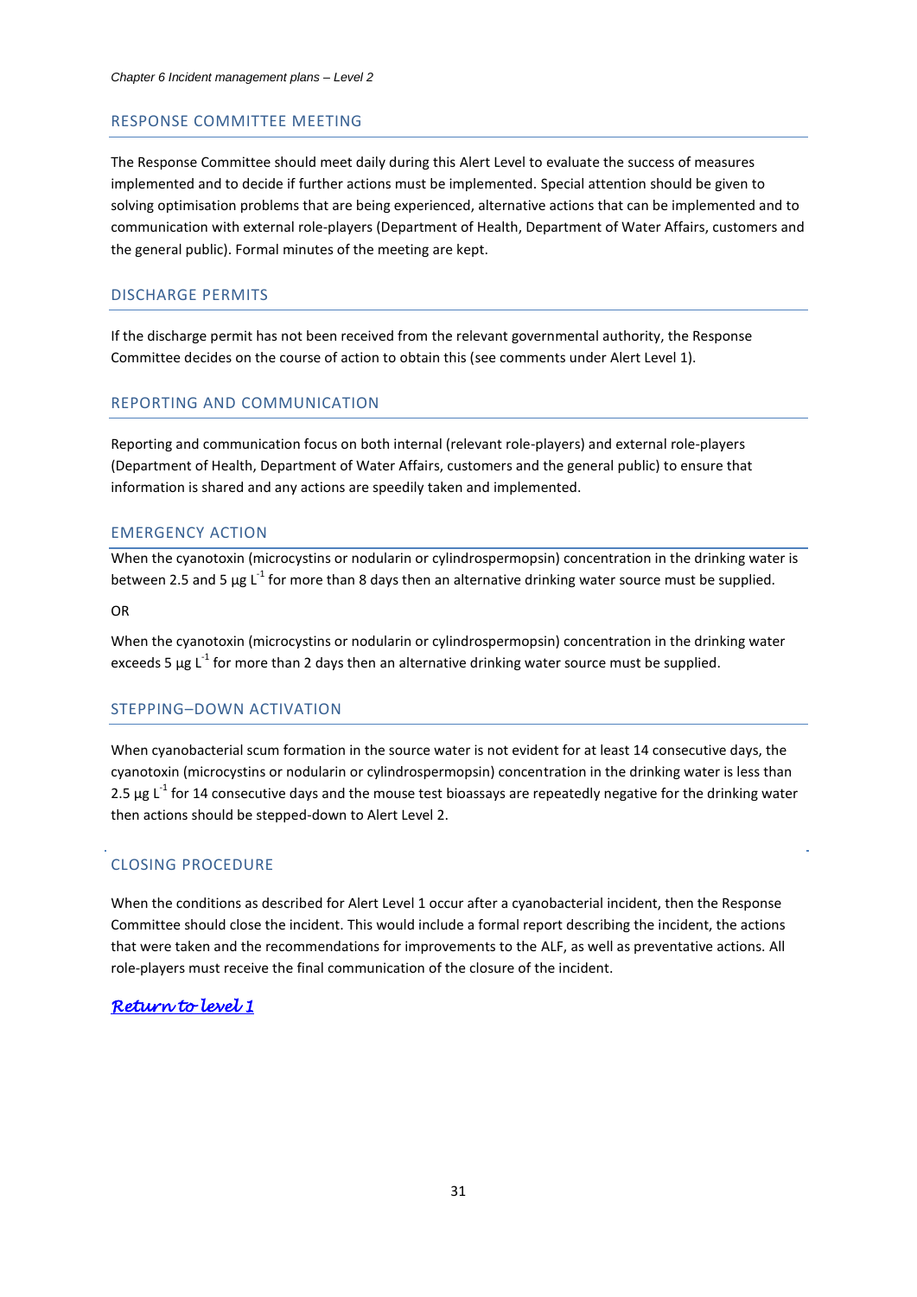#### RESPONSE COMMITTEE MEETING

The Response Committee should meet daily during this Alert Level to evaluate the success of measures implemented and to decide if further actions must be implemented. Special attention should be given to solving optimisation problems that are being experienced, alternative actions that can be implemented and to communication with external role-players (Department of Health, Department of Water Affairs, customers and the general public). Formal minutes of the meeting are kept.

#### DISCHARGE PERMITS

If the discharge permit has not been received from the relevant governmental authority, the Response Committee decides on the course of action to obtain this (see comments under Alert Level 1).

#### REPORTING AND COMMUNICATION

Reporting and communication focus on both internal (relevant role-players) and external role-players (Department of Health, Department of Water Affairs, customers and the general public) to ensure that information is shared and any actions are speedily taken and implemented.

## EMERGENCY ACTION

When the cyanotoxin (microcystins or nodularin or cylindrospermopsin) concentration in the drinking water is between 2.5 and 5  $\mu$ g L<sup>-1</sup> for more than 8 days then an alternative drinking water source must be supplied.

OR

When the cyanotoxin (microcystins or nodularin or cylindrospermopsin) concentration in the drinking water exceeds 5  $\mu$ g L<sup>-1</sup> for more than 2 days then an alternative drinking water source must be supplied.

#### STEPPING–DOWN ACTIVATION

When cyanobacterial scum formation in the source water is not evident for at least 14 consecutive days, the cyanotoxin (microcystins or nodularin or cylindrospermopsin) concentration in the drinking water is less than 2.5  $\mu$ g L<sup>-1</sup> for 14 consecutive days and the mouse test bioassays are repeatedly negative for the drinking water then actions should be stepped-down to Alert Level 2.

## CLOSING PROCEDURE

When the conditions as described for Alert Level 1 occur after a cyanobacterial incident, then the Response Committee should close the incident. This would include a formal report describing the incident, the actions that were taken and the recommendations for improvements to the ALF, as well as preventative actions. All role-players must receive the final communication of the closure of the incident.

## *[Return to level 1](#page-7-0)*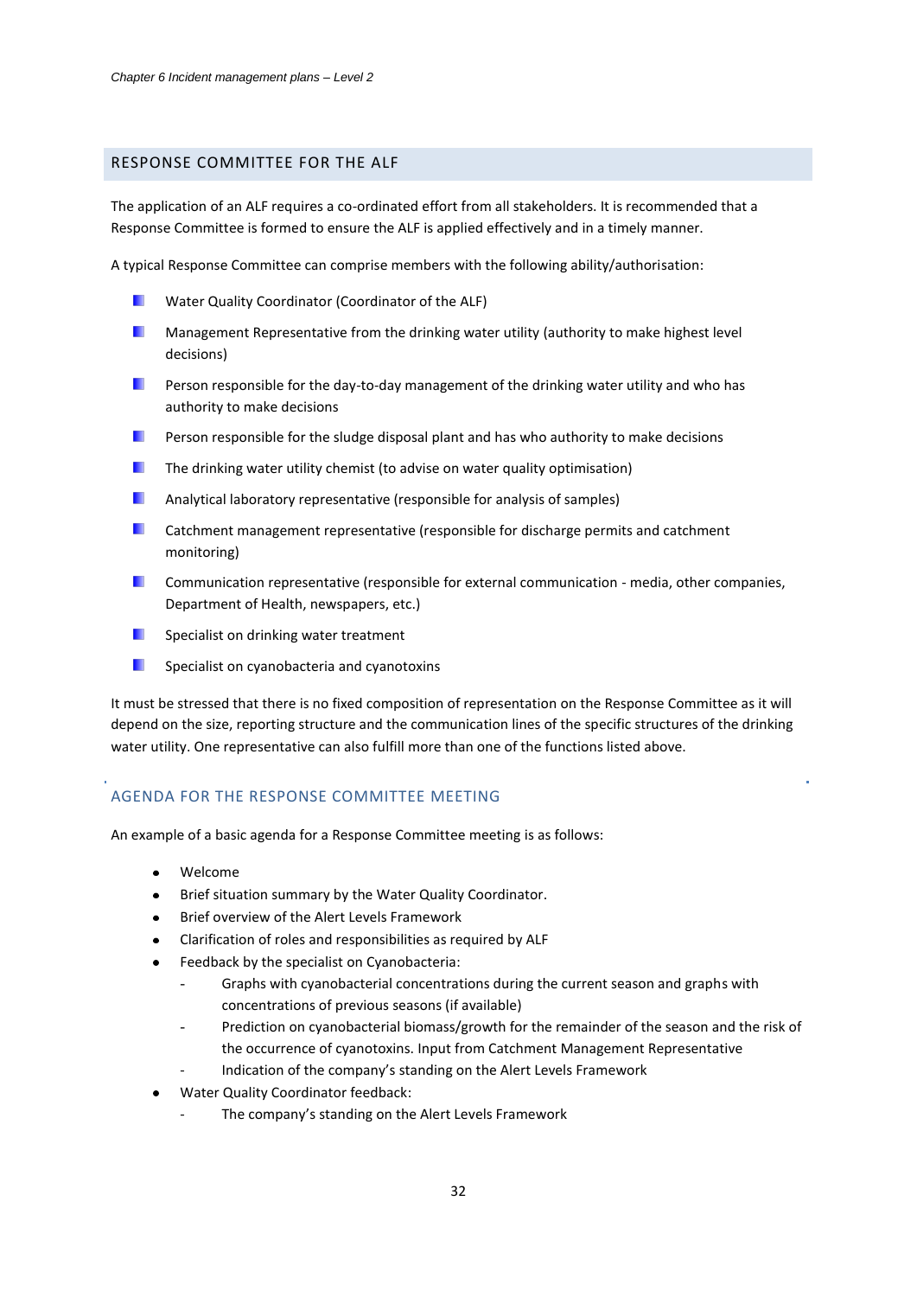## <span id="page-32-0"></span>RESPONSE COMMITTEE FOR THE ALF

The application of an ALF requires a co-ordinated effort from all stakeholders. It is recommended that a Response Committee is formed to ensure the ALF is applied effectively and in a timely manner.

A typical Response Committee can comprise members with the following ability/authorisation:

- Water Quality Coordinator (Coordinator of the ALF)
- ٠ Management Representative from the drinking water utility (authority to make highest level decisions)
- . Person responsible for the day-to-day management of the drinking water utility and who has authority to make decisions
- п Person responsible for the sludge disposal plant and has who authority to make decisions
- ш The drinking water utility chemist (to advise on water quality optimisation)
- ш Analytical laboratory representative (responsible for analysis of samples)
- Catchment management representative (responsible for discharge permits and catchment . monitoring)
- ٠ Communication representative (responsible for external communication - media, other companies, Department of Health, newspapers, etc.)
- п Specialist on drinking water treatment
- ٠ Specialist on cyanobacteria and cyanotoxins

It must be stressed that there is no fixed composition of representation on the Response Committee as it will depend on the size, reporting structure and the communication lines of the specific structures of the drinking water utility. One representative can also fulfill more than one of the functions listed above.

## AGENDA FOR THE RESPONSE COMMITTEE MEETING

An example of a basic agenda for a Response Committee meeting is as follows:

- Welcome  $\bullet$
- Brief situation summary by the Water Quality Coordinator.
- Brief overview of the Alert Levels Framework
- Clarification of roles and responsibilities as required by ALF
- Feedback by the specialist on Cyanobacteria:
	- Graphs with cyanobacterial concentrations during the current season and graphs with concentrations of previous seasons (if available)
	- Prediction on cyanobacterial biomass/growth for the remainder of the season and the risk of the occurrence of cyanotoxins. Input from Catchment Management Representative
	- Indication of the company's standing on the Alert Levels Framework
- Water Quality Coordinator feedback:
	- The company's standing on the Alert Levels Framework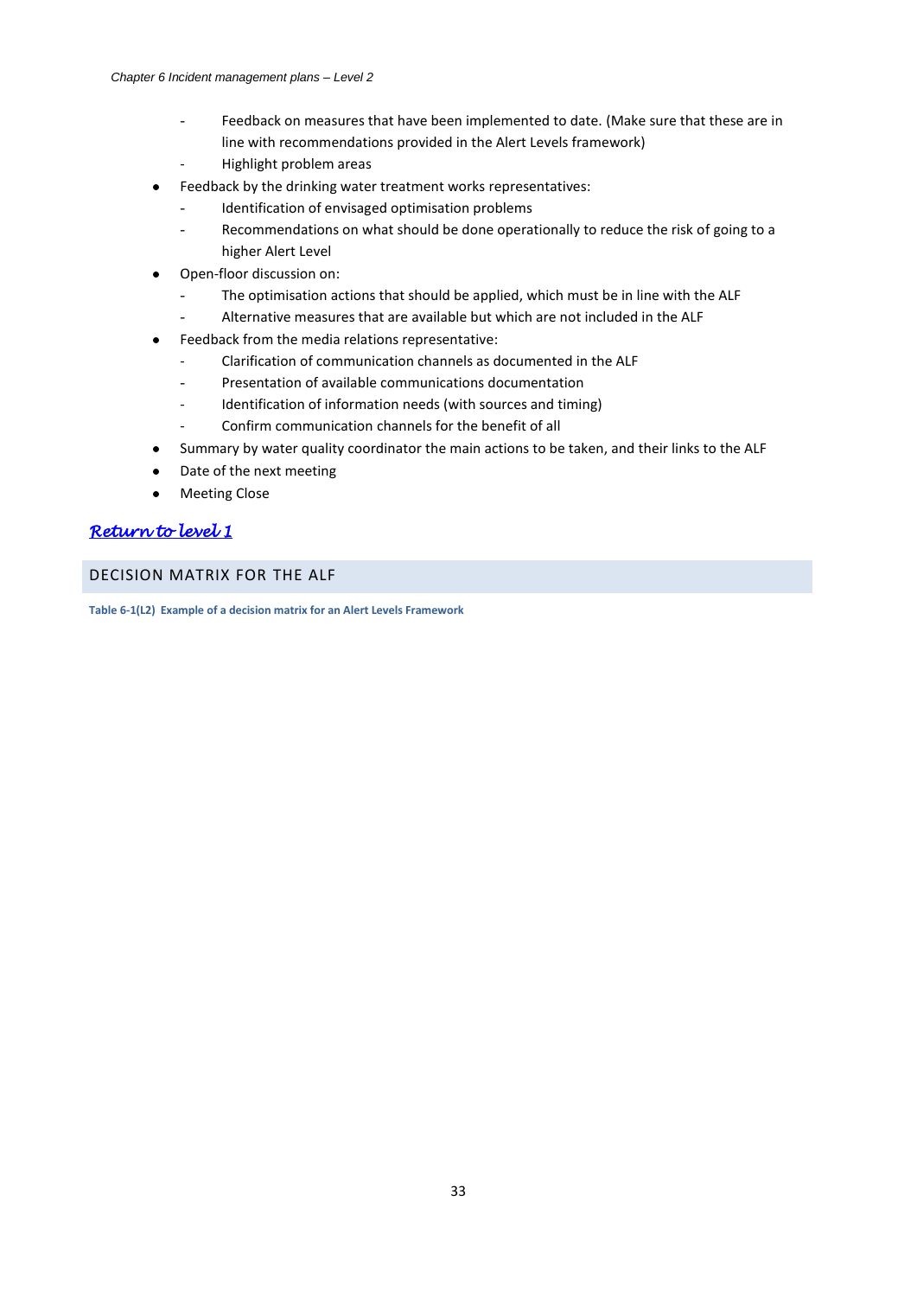- <span id="page-33-1"></span>Feedback on measures that have been implemented to date. (Make sure that these are in line with recommendations provided in the Alert Levels framework)
- Highlight problem areas
- Feedback by the drinking water treatment works representatives:
	- Identification of envisaged optimisation problems
		- Recommendations on what should be done operationally to reduce the risk of going to a higher Alert Level
- Open-floor discussion on:
	- The optimisation actions that should be applied, which must be in line with the ALF
	- Alternative measures that are available but which are not included in the ALF
- Feedback from the media relations representative:  $\bullet$ 
	- Clarification of communication channels as documented in the ALF
	- Presentation of available communications documentation
	- Identification of information needs (with sources and timing)
	- Confirm communication channels for the benefit of all
- Summary by water quality coordinator the main actions to be taken, and their links to the ALF
- Date of the next meeting
- Meeting Close  $\bullet$

# *[Return to level 1](#page-6-3)*

<span id="page-33-0"></span>DECISION MATRIX FOR THE ALF

**Table 6-1(L2) Example of a decision matrix for an Alert Levels Framework**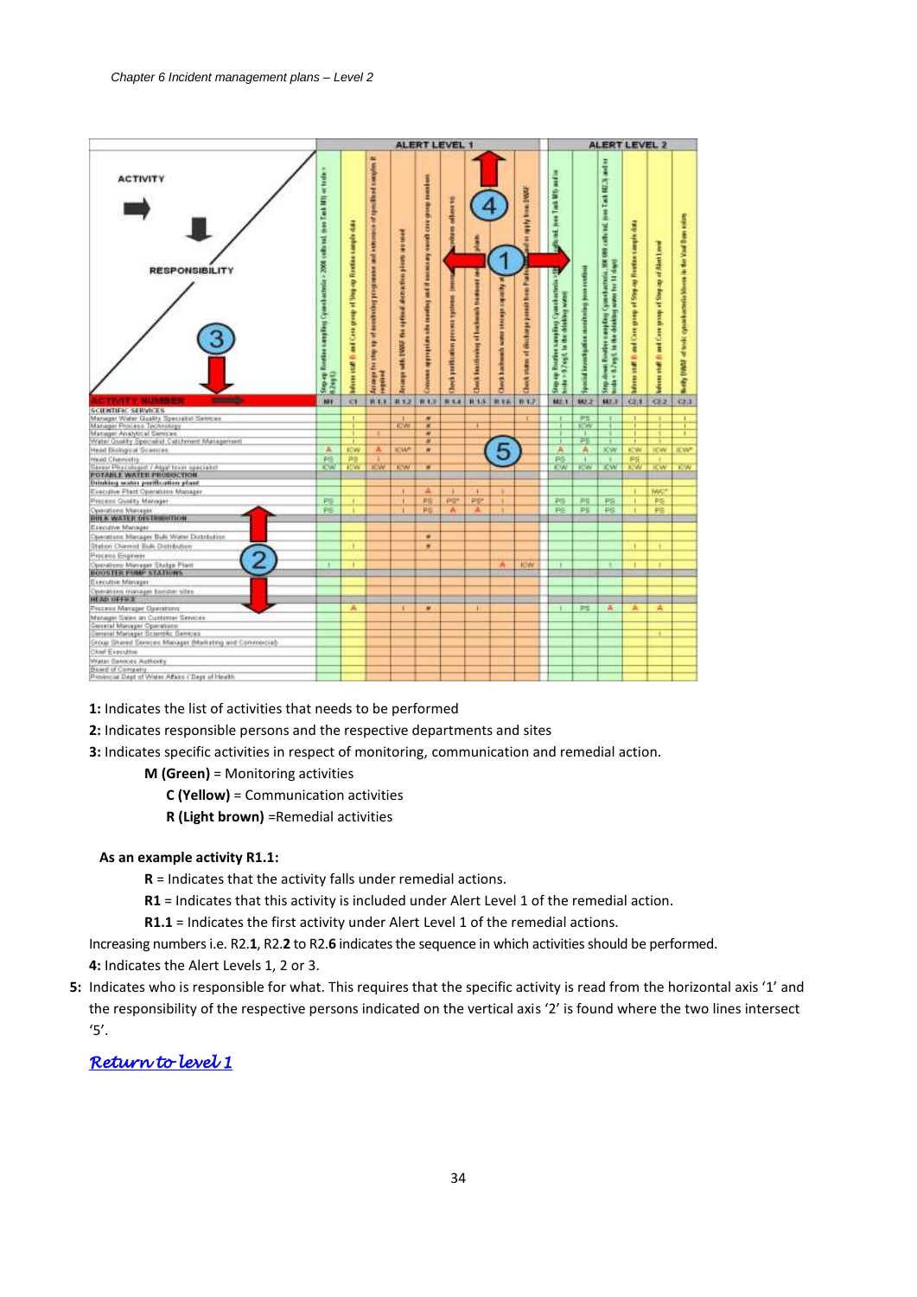

**1:** Indicates the list of activities that needs to be performed

**2:** Indicates responsible persons and the respective departments and sites

**3:** Indicates specific activities in respect of monitoring, communication and remedial action.

- **M (Green)** = Monitoring activities
	- **C (Yellow)** = Communication activities
	- **R (Light brown)** =Remedial activities

#### **As an example activity R1.1:**

- **R** = Indicates that the activity falls under remedial actions.
- **R1** = Indicates that this activity is included under Alert Level 1 of the remedial action.

**R1.1** = Indicates the first activity under Alert Level 1 of the remedial actions.

Increasing numbers i.e. R2.**1**, R2.**2** to R2.**6** indicates the sequence in which activities should be performed. **4:** Indicates the Alert Levels 1, 2 or 3.

**5:** Indicates who is responsible for what. This requires that the specific activity is read from the horizontal axis '1' and the responsibility of the respective persons indicated on the vertical axis '2' is found where the two lines intersect '5'.

# *[Return to level 1](#page-7-0)*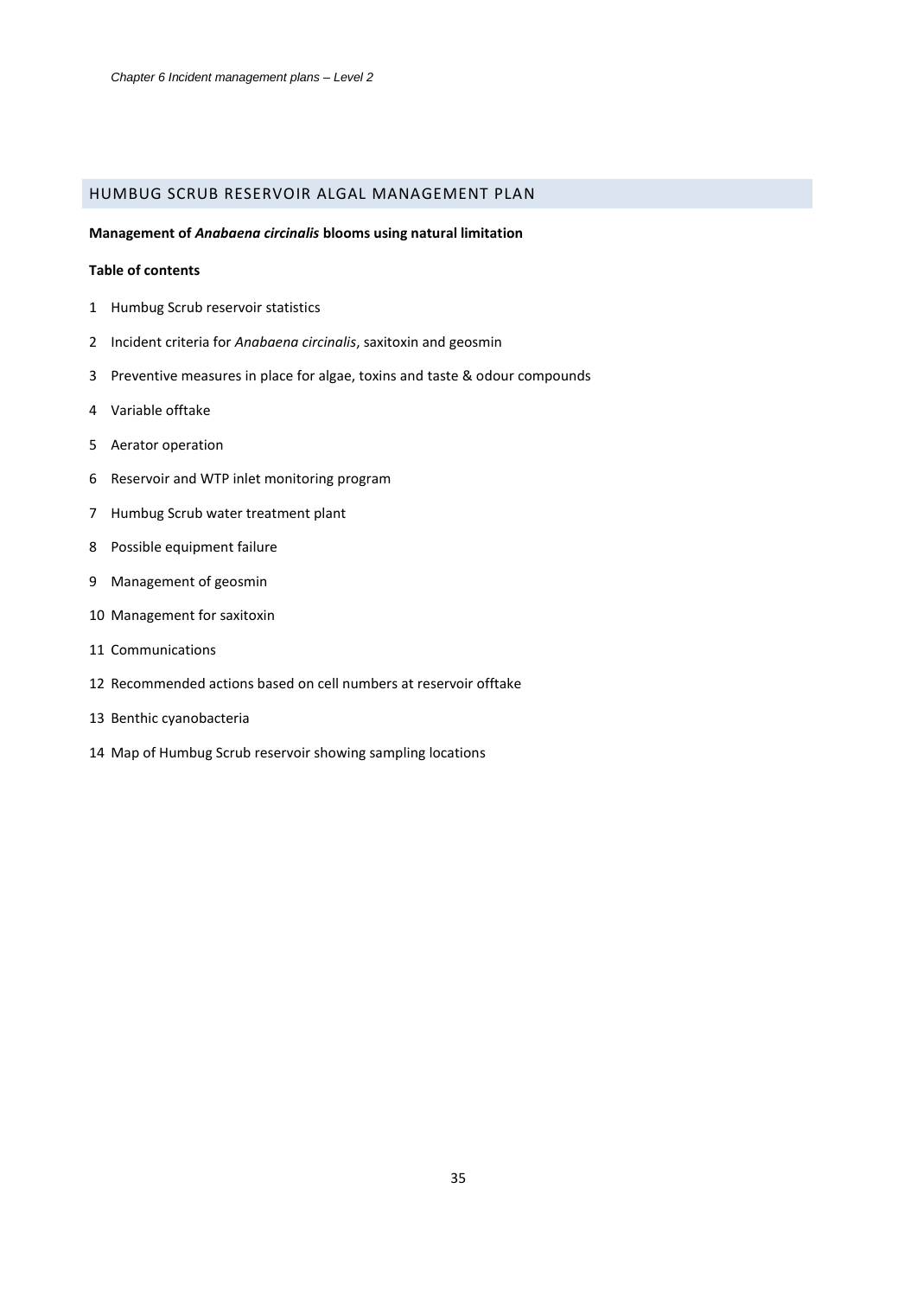## <span id="page-35-1"></span><span id="page-35-0"></span>HUMBUG SCRUB RESERVOIR ALGAL MANAGEMENT PLAN

#### **Management of** *Anabaena circinalis* **blooms using natural limitation**

#### **Table of contents**

- Humbug Scrub reservoir statistics
- Incident criteria for *Anabaena circinalis*, saxitoxin and geosmin
- Preventive measures in place for algae, toxins and taste & odour compounds
- 4 Variable offtake
- Aerator operation
- Reservoir and WTP inlet monitoring program
- Humbug Scrub water treatment plant
- Possible equipment failure
- Management of geosmin
- Management for saxitoxin
- Communications
- Recommended actions based on cell numbers at reservoir offtake
- Benthic cyanobacteria
- Map of Humbug Scrub reservoir showing sampling locations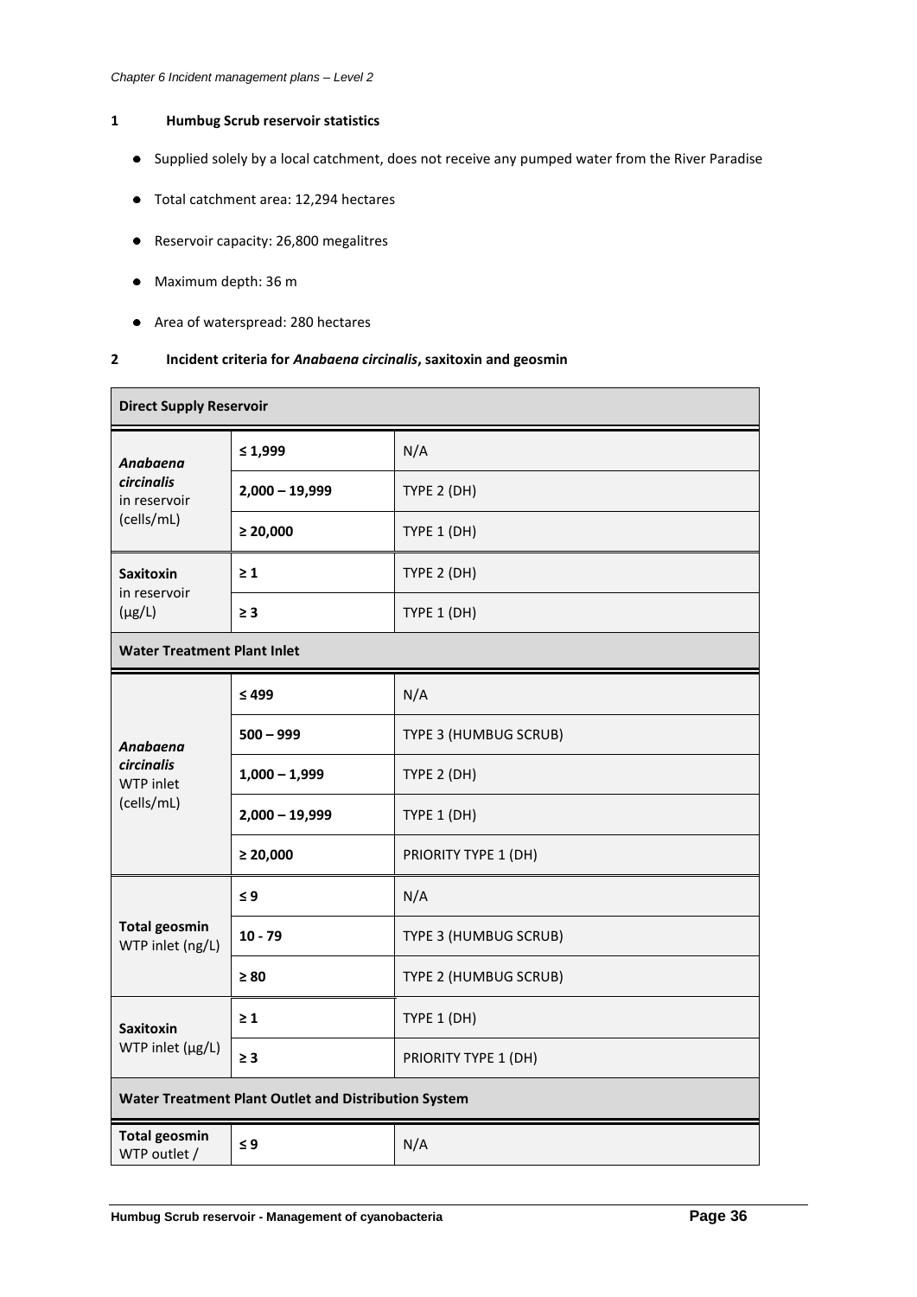## **1 Humbug Scrub reservoir statistics**

- Supplied solely by a local catchment, does not receive any pumped water from the River Paradise
- Total catchment area: 12,294 hectares
- Reservoir capacity: 26,800 megalitres
- Maximum depth: 36 m
- Area of waterspread: 280 hectares

## **2 Incident criteria for** *Anabaena circinalis***, saxitoxin and geosmin**

| <b>Direct Supply Reservoir</b>                       |                  |                       |  |
|------------------------------------------------------|------------------|-----------------------|--|
| Anabaena                                             | $\leq 1,999$     | N/A                   |  |
| <b>circinalis</b><br>in reservoir                    | $2,000 - 19,999$ | TYPE 2 (DH)           |  |
| (cells/mL)                                           | $\geq 20,000$    | TYPE 1 (DH)           |  |
| <b>Saxitoxin</b><br>in reservoir                     | $\geq 1$         | TYPE 2 (DH)           |  |
| $(\mu g/L)$                                          | $\geq 3$         | TYPE 1 (DH)           |  |
| <b>Water Treatment Plant Inlet</b>                   |                  |                       |  |
|                                                      | $\leq 499$       | N/A                   |  |
| Anabaena                                             | $500 - 999$      | TYPE 3 (HUMBUG SCRUB) |  |
| <b>circinalis</b><br>WTP inlet                       | $1,000 - 1,999$  | TYPE 2 (DH)           |  |
| (cells/mL)                                           | $2,000 - 19,999$ | TYPE 1 (DH)           |  |
|                                                      | $\geq 20,000$    | PRIORITY TYPE 1 (DH)  |  |
|                                                      | $\leq 9$         | N/A                   |  |
| <b>Total geosmin</b><br>WTP inlet (ng/L)             | $10 - 79$        | TYPE 3 (HUMBUG SCRUB) |  |
|                                                      | $\geq 80$        | TYPE 2 (HUMBUG SCRUB) |  |
| <b>Saxitoxin</b>                                     | $\geq 1$         | TYPE 1 (DH)           |  |
| WTP inlet (µg/L)                                     | $\geq 3$         | PRIORITY TYPE 1 (DH)  |  |
| Water Treatment Plant Outlet and Distribution System |                  |                       |  |
| <b>Total geosmin</b><br>WTP outlet /                 | $\leq 9$         | N/A                   |  |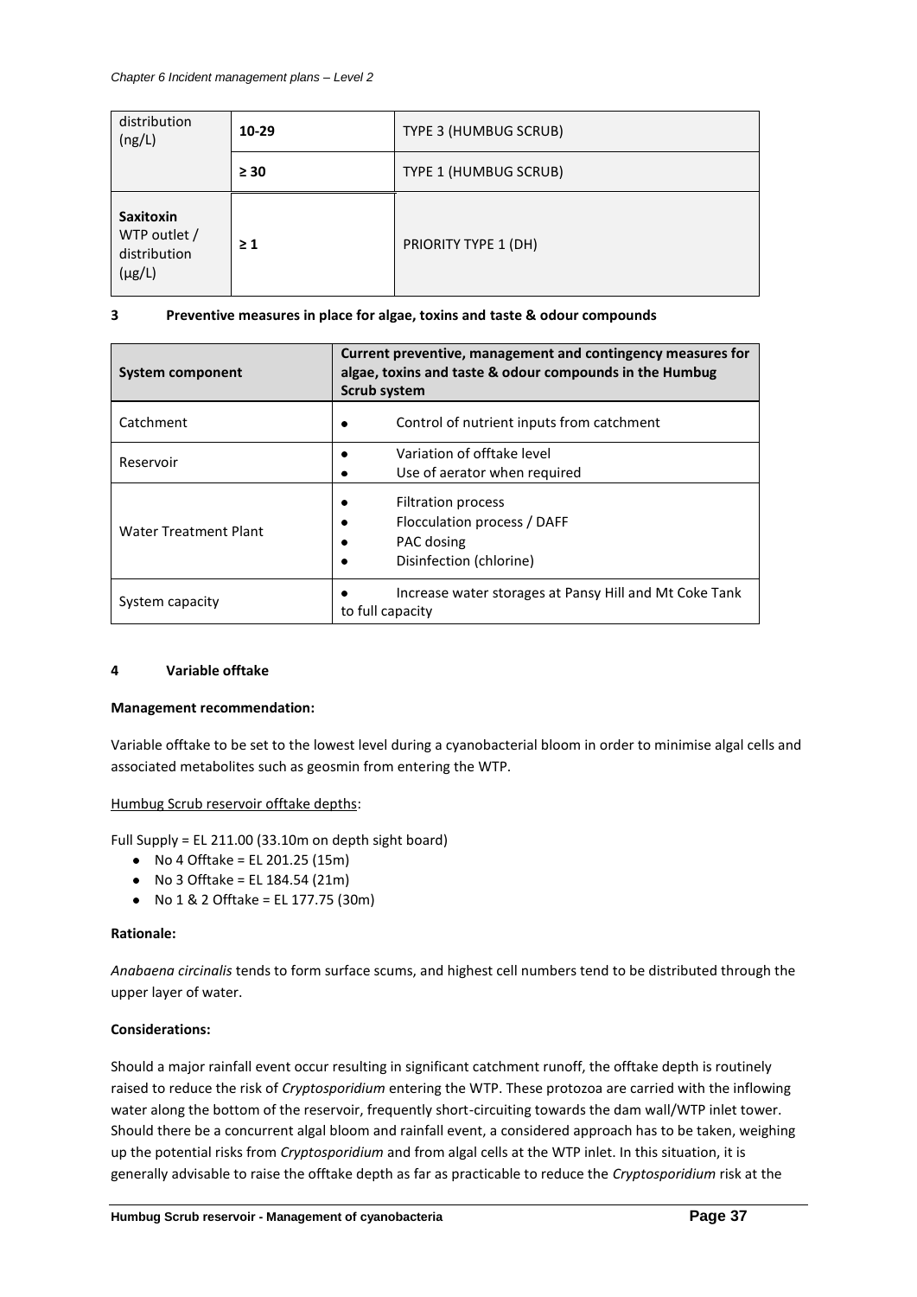| distribution<br>(ng/L)                                          | 10-29     | TYPE 3 (HUMBUG SCRUB) |  |
|-----------------------------------------------------------------|-----------|-----------------------|--|
|                                                                 | $\geq 30$ | TYPE 1 (HUMBUG SCRUB) |  |
| <b>Saxitoxin</b><br>WTP outlet /<br>distribution<br>$(\mu g/L)$ | $\geq 1$  | PRIORITY TYPE 1 (DH)  |  |

## **3 Preventive measures in place for algae, toxins and taste & odour compounds**

| <b>System component</b>      | Current preventive, management and contingency measures for<br>algae, toxins and taste & odour compounds in the Humbug<br><b>Scrub system</b> |  |  |
|------------------------------|-----------------------------------------------------------------------------------------------------------------------------------------------|--|--|
| Catchment                    | Control of nutrient inputs from catchment                                                                                                     |  |  |
| Reservoir                    | Variation of offtake level<br>Use of aerator when required                                                                                    |  |  |
| <b>Water Treatment Plant</b> | <b>Filtration process</b><br>Flocculation process / DAFF<br>PAC dosing<br>Disinfection (chlorine)                                             |  |  |
| System capacity              | Increase water storages at Pansy Hill and Mt Coke Tank<br>to full capacity                                                                    |  |  |

## **4 Variable offtake**

## **Management recommendation:**

Variable offtake to be set to the lowest level during a cyanobacterial bloom in order to minimise algal cells and associated metabolites such as geosmin from entering the WTP.

## Humbug Scrub reservoir offtake depths:

Full Supply = EL 211.00 (33.10m on depth sight board)

- $\bullet$  No 4 Offtake = EL 201.25 (15m)
- No 3 Offtake = EL 184.54 (21m)
- No 1 & 2 Offtake = EL 177.75 (30m)

## **Rationale:**

*Anabaena circinalis* tends to form surface scums, and highest cell numbers tend to be distributed through the upper layer of water.

## **Considerations:**

Should a major rainfall event occur resulting in significant catchment runoff, the offtake depth is routinely raised to reduce the risk of *Cryptosporidium* entering the WTP. These protozoa are carried with the inflowing water along the bottom of the reservoir, frequently short-circuiting towards the dam wall/WTP inlet tower. Should there be a concurrent algal bloom and rainfall event, a considered approach has to be taken, weighing up the potential risks from *Cryptosporidium* and from algal cells at the WTP inlet. In this situation, it is generally advisable to raise the offtake depth as far as practicable to reduce the *Cryptosporidium* risk at the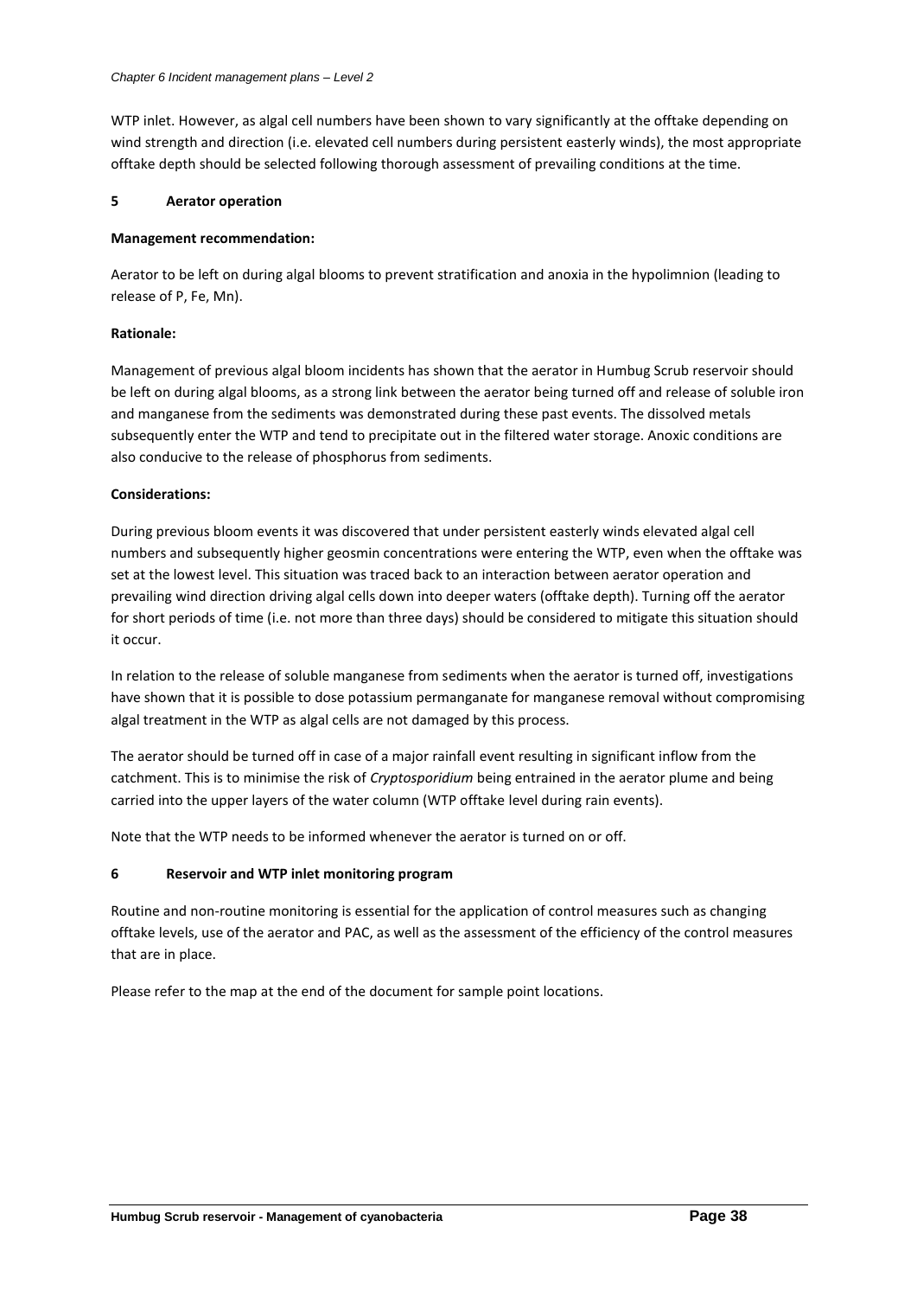WTP inlet. However, as algal cell numbers have been shown to vary significantly at the offtake depending on wind strength and direction (i.e. elevated cell numbers during persistent easterly winds), the most appropriate offtake depth should be selected following thorough assessment of prevailing conditions at the time.

## **5 Aerator operation**

## **Management recommendation:**

Aerator to be left on during algal blooms to prevent stratification and anoxia in the hypolimnion (leading to release of P, Fe, Mn).

## **Rationale:**

Management of previous algal bloom incidents has shown that the aerator in Humbug Scrub reservoir should be left on during algal blooms, as a strong link between the aerator being turned off and release of soluble iron and manganese from the sediments was demonstrated during these past events. The dissolved metals subsequently enter the WTP and tend to precipitate out in the filtered water storage. Anoxic conditions are also conducive to the release of phosphorus from sediments.

## **Considerations:**

During previous bloom events it was discovered that under persistent easterly winds elevated algal cell numbers and subsequently higher geosmin concentrations were entering the WTP, even when the offtake was set at the lowest level. This situation was traced back to an interaction between aerator operation and prevailing wind direction driving algal cells down into deeper waters (offtake depth). Turning off the aerator for short periods of time (i.e. not more than three days) should be considered to mitigate this situation should it occur.

In relation to the release of soluble manganese from sediments when the aerator is turned off, investigations have shown that it is possible to dose potassium permanganate for manganese removal without compromising algal treatment in the WTP as algal cells are not damaged by this process.

The aerator should be turned off in case of a major rainfall event resulting in significant inflow from the catchment. This is to minimise the risk of *Cryptosporidium* being entrained in the aerator plume and being carried into the upper layers of the water column (WTP offtake level during rain events).

Note that the WTP needs to be informed whenever the aerator is turned on or off.

## **6 Reservoir and WTP inlet monitoring program**

Routine and non-routine monitoring is essential for the application of control measures such as changing offtake levels, use of the aerator and PAC, as well as the assessment of the efficiency of the control measures that are in place.

Please refer to the map at the end of the document for sample point locations.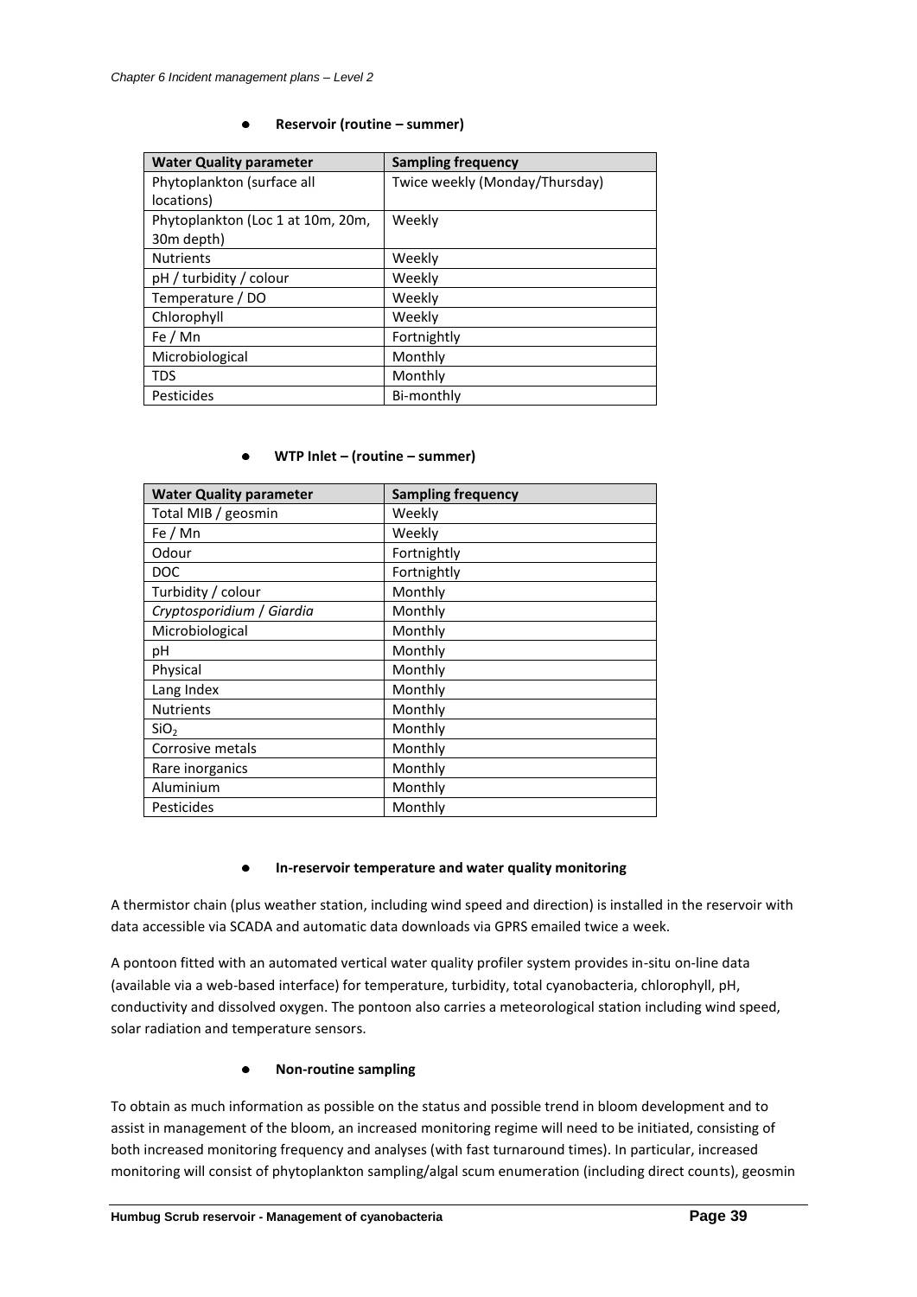#### $\bullet$ **Reservoir (routine – summer)**

| <b>Water Quality parameter</b>    | <b>Sampling frequency</b>      |
|-----------------------------------|--------------------------------|
| Phytoplankton (surface all        | Twice weekly (Monday/Thursday) |
| locations)                        |                                |
| Phytoplankton (Loc 1 at 10m, 20m, | Weekly                         |
| 30m depth)                        |                                |
| <b>Nutrients</b>                  | Weekly                         |
| pH / turbidity / colour           | Weekly                         |
| Temperature / DO                  | Weekly                         |
| Chlorophyll                       | Weekly                         |
| Fe / Mn                           | Fortnightly                    |
| Microbiological                   | Monthly                        |
| <b>TDS</b>                        | Monthly                        |
| Pesticides                        | Bi-monthly                     |

## **WTP Inlet – (routine – summer)**

| <b>Water Quality parameter</b> | <b>Sampling frequency</b> |
|--------------------------------|---------------------------|
| Total MIB / geosmin            | Weekly                    |
| Fe / Mn                        | Weekly                    |
| Odour                          | Fortnightly               |
| <b>DOC</b>                     | Fortnightly               |
| Turbidity / colour             | Monthly                   |
| Cryptosporidium / Giardia      | Monthly                   |
| Microbiological                | Monthly                   |
| рH                             | Monthly                   |
| Physical                       | Monthly                   |
| Lang Index                     | Monthly                   |
| <b>Nutrients</b>               | Monthly                   |
| SiO <sub>2</sub>               | Monthly                   |
| Corrosive metals               | Monthly                   |
| Rare inorganics                | Monthly                   |
| Aluminium                      | Monthly                   |
| Pesticides                     | Monthly                   |

#### $\bullet$ **In-reservoir temperature and water quality monitoring**

A thermistor chain (plus weather station, including wind speed and direction) is installed in the reservoir with data accessible via SCADA and automatic data downloads via GPRS emailed twice a week.

A pontoon fitted with an automated vertical water quality profiler system provides in-situ on-line data (available via a web-based interface) for temperature, turbidity, total cyanobacteria, chlorophyll, pH, conductivity and dissolved oxygen. The pontoon also carries a meteorological station including wind speed, solar radiation and temperature sensors.

## **Non-routine sampling**

To obtain as much information as possible on the status and possible trend in bloom development and to assist in management of the bloom, an increased monitoring regime will need to be initiated, consisting of both increased monitoring frequency and analyses (with fast turnaround times). In particular, increased monitoring will consist of phytoplankton sampling/algal scum enumeration (including direct counts), geosmin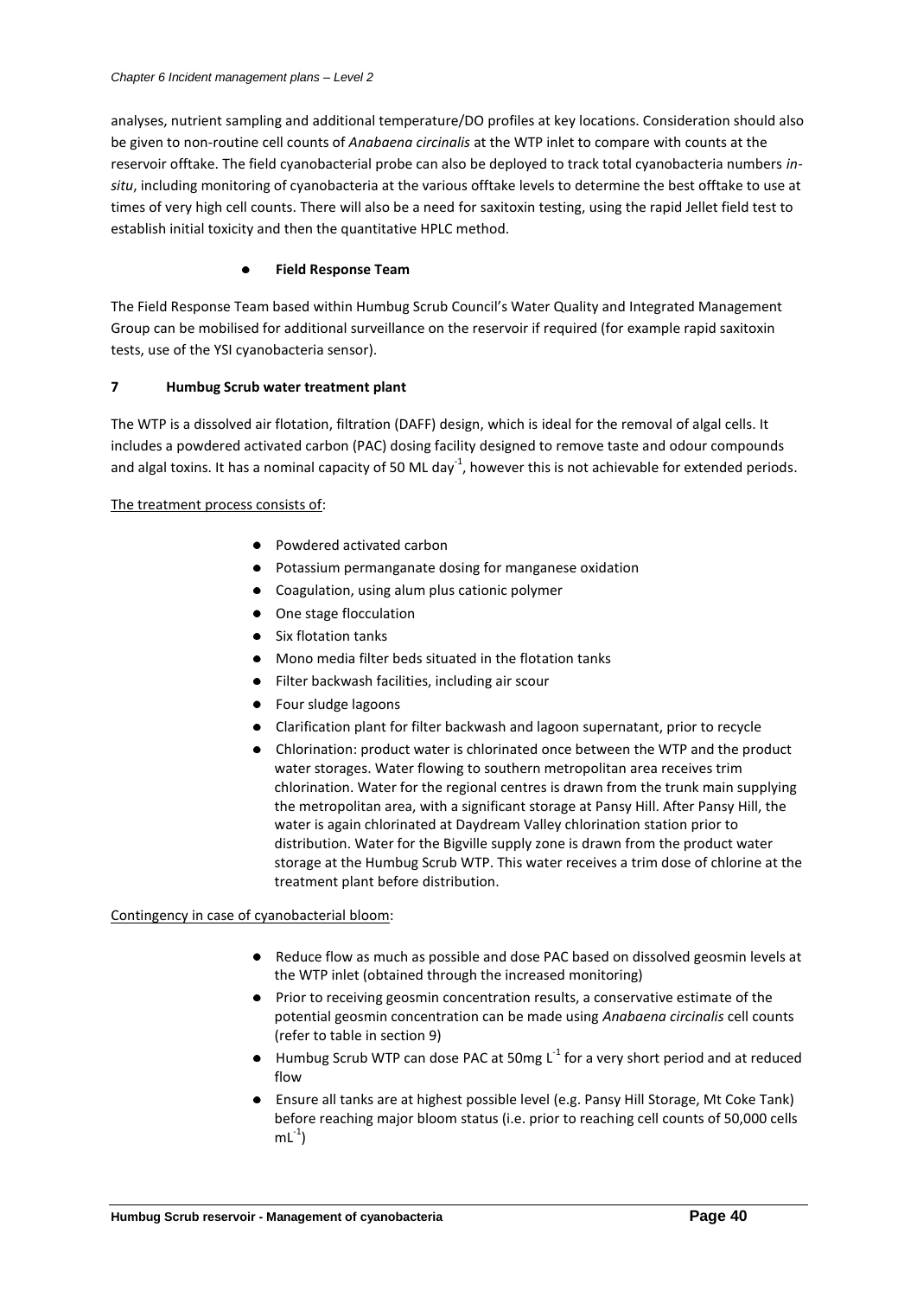analyses, nutrient sampling and additional temperature/DO profiles at key locations. Consideration should also be given to non-routine cell counts of *Anabaena circinalis* at the WTP inlet to compare with counts at the reservoir offtake. The field cyanobacterial probe can also be deployed to track total cyanobacteria numbers *insitu*, including monitoring of cyanobacteria at the various offtake levels to determine the best offtake to use at times of very high cell counts. There will also be a need for saxitoxin testing, using the rapid Jellet field test to establish initial toxicity and then the quantitative HPLC method.

## **Field Response Team**

The Field Response Team based within Humbug Scrub Council's Water Quality and Integrated Management Group can be mobilised for additional surveillance on the reservoir if required (for example rapid saxitoxin tests, use of the YSI cyanobacteria sensor).

## **7 Humbug Scrub water treatment plant**

The WTP is a dissolved air flotation, filtration (DAFF) design, which is ideal for the removal of algal cells. It includes a powdered activated carbon (PAC) dosing facility designed to remove taste and odour compounds and algal toxins. It has a nominal capacity of 50 ML day<sup>-1</sup>, however this is not achievable for extended periods.

## The treatment process consists of:

- Powdered activated carbon
- Potassium permanganate dosing for manganese oxidation
- Coagulation, using alum plus cationic polymer
- One stage flocculation
- Six flotation tanks
- Mono media filter beds situated in the flotation tanks
- Filter backwash facilities, including air scour
- Four sludge lagoons
- Clarification plant for filter backwash and lagoon supernatant, prior to recycle
- Chlorination: product water is chlorinated once between the WTP and the product water storages. Water flowing to southern metropolitan area receives trim chlorination. Water for the regional centres is drawn from the trunk main supplying the metropolitan area, with a significant storage at Pansy Hill. After Pansy Hill, the water is again chlorinated at Daydream Valley chlorination station prior to distribution. Water for the Bigville supply zone is drawn from the product water storage at the Humbug Scrub WTP. This water receives a trim dose of chlorine at the treatment plant before distribution.

## Contingency in case of cyanobacterial bloom:

- Reduce flow as much as possible and dose PAC based on dissolved geosmin levels at the WTP inlet (obtained through the increased monitoring)
- Prior to receiving geosmin concentration results, a conservative estimate of the potential geosmin concentration can be made using *Anabaena circinalis* cell counts (refer to table in section 9)
- Humbug Scrub WTP can dose PAC at 50mg  $L^{-1}$  for a very short period and at reduced flow
- Ensure all tanks are at highest possible level (e.g. Pansy Hill Storage, Mt Coke Tank) before reaching major bloom status (i.e. prior to reaching cell counts of 50,000 cells  $mL^{-1}$ )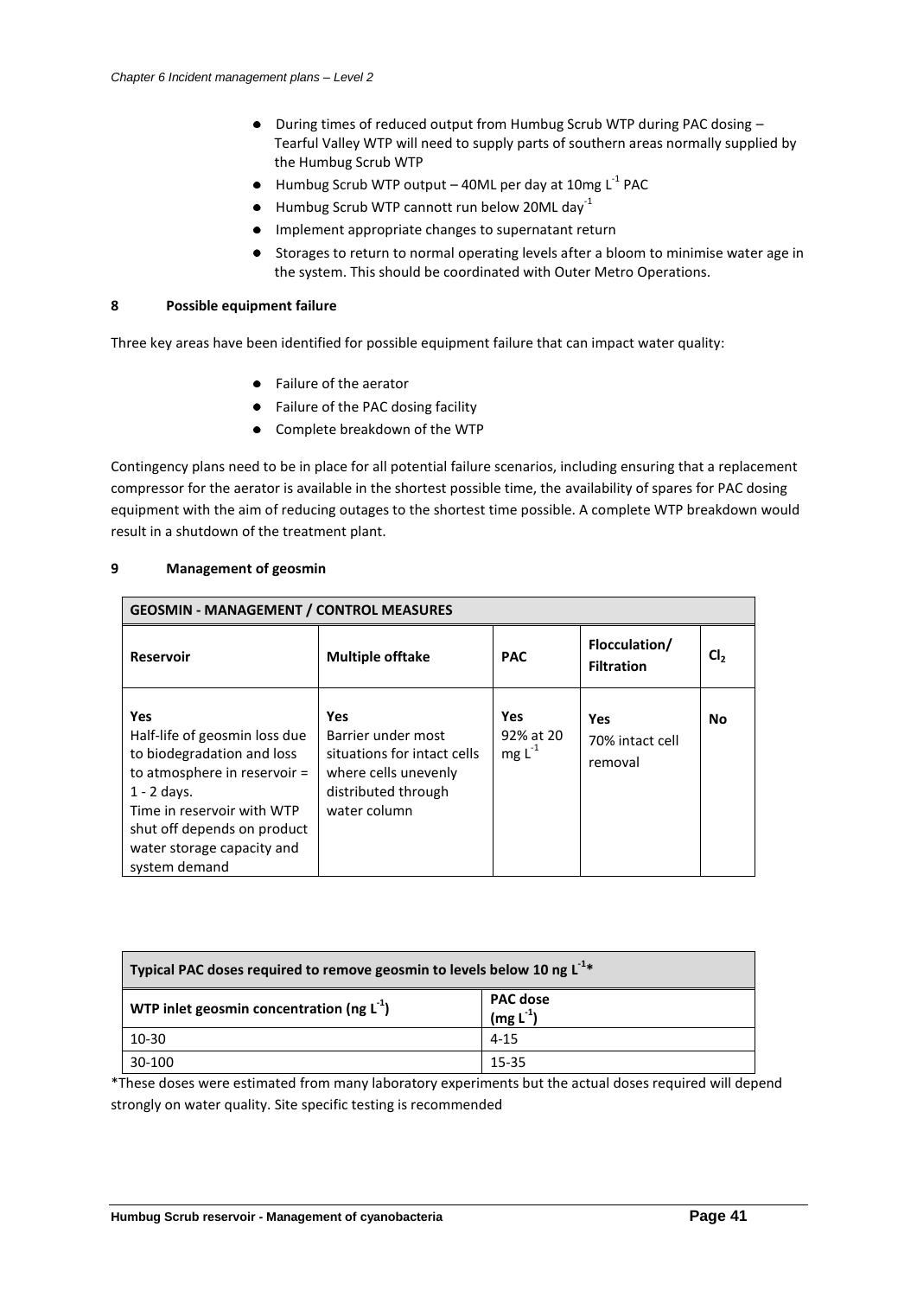- During times of reduced output from Humbug Scrub WTP during PAC dosing Tearful Valley WTP will need to supply parts of southern areas normally supplied by the Humbug Scrub WTP
- Humbug Scrub WTP output 40ML per day at 10mg  $\textsf{L}^{\text{-1}}$  PAC
- $\bullet$  Humbug Scrub WTP cannott run below 20ML day<sup>-1</sup>
- Implement appropriate changes to supernatant return
- Storages to return to normal operating levels after a bloom to minimise water age in the system. This should be coordinated with Outer Metro Operations.

## **8 Possible equipment failure**

Three key areas have been identified for possible equipment failure that can impact water quality:

- Failure of the aerator
- Failure of the PAC dosing facility
- Complete breakdown of the WTP  $\bullet$

Contingency plans need to be in place for all potential failure scenarios, including ensuring that a replacement compressor for the aerator is available in the shortest possible time, the availability of spares for PAC dosing equipment with the aim of reducing outages to the shortest time possible. A complete WTP breakdown would result in a shutdown of the treatment plant.

| <b>GEOSMIN - MANAGEMENT / CONTROL MEASURES</b>                                                                                                                                                                                         |                                                                                                                         |                                        |                                    |                 |  |
|----------------------------------------------------------------------------------------------------------------------------------------------------------------------------------------------------------------------------------------|-------------------------------------------------------------------------------------------------------------------------|----------------------------------------|------------------------------------|-----------------|--|
| <b>Reservoir</b>                                                                                                                                                                                                                       | <b>Multiple offtake</b>                                                                                                 | <b>PAC</b>                             | Flocculation/<br><b>Filtration</b> | CI <sub>2</sub> |  |
| <b>Yes</b><br>Half-life of geosmin loss due<br>to biodegradation and loss<br>to atmosphere in reservoir =<br>$1 - 2$ days.<br>Time in reservoir with WTP<br>shut off depends on product<br>water storage capacity and<br>system demand | Yes<br>Barrier under most<br>situations for intact cells<br>where cells unevenly<br>distributed through<br>water column | <b>Yes</b><br>92% at 20<br>mg $L^{-1}$ | Yes<br>70% intact cell<br>removal  | <b>No</b>       |  |

## **9 Management of geosmin**

| Typical PAC doses required to remove geosmin to levels below 10 ng L <sup>-1*</sup>    |          |  |  |  |
|----------------------------------------------------------------------------------------|----------|--|--|--|
| <b>PAC dose</b><br>WTP inlet geosmin concentration (ng $L^1$ )<br>(mg L <sup>1</sup> ) |          |  |  |  |
| 10-30                                                                                  | $4 - 15$ |  |  |  |
| 30-100<br>15-35                                                                        |          |  |  |  |

\*These doses were estimated from many laboratory experiments but the actual doses required will depend strongly on water quality. Site specific testing is recommended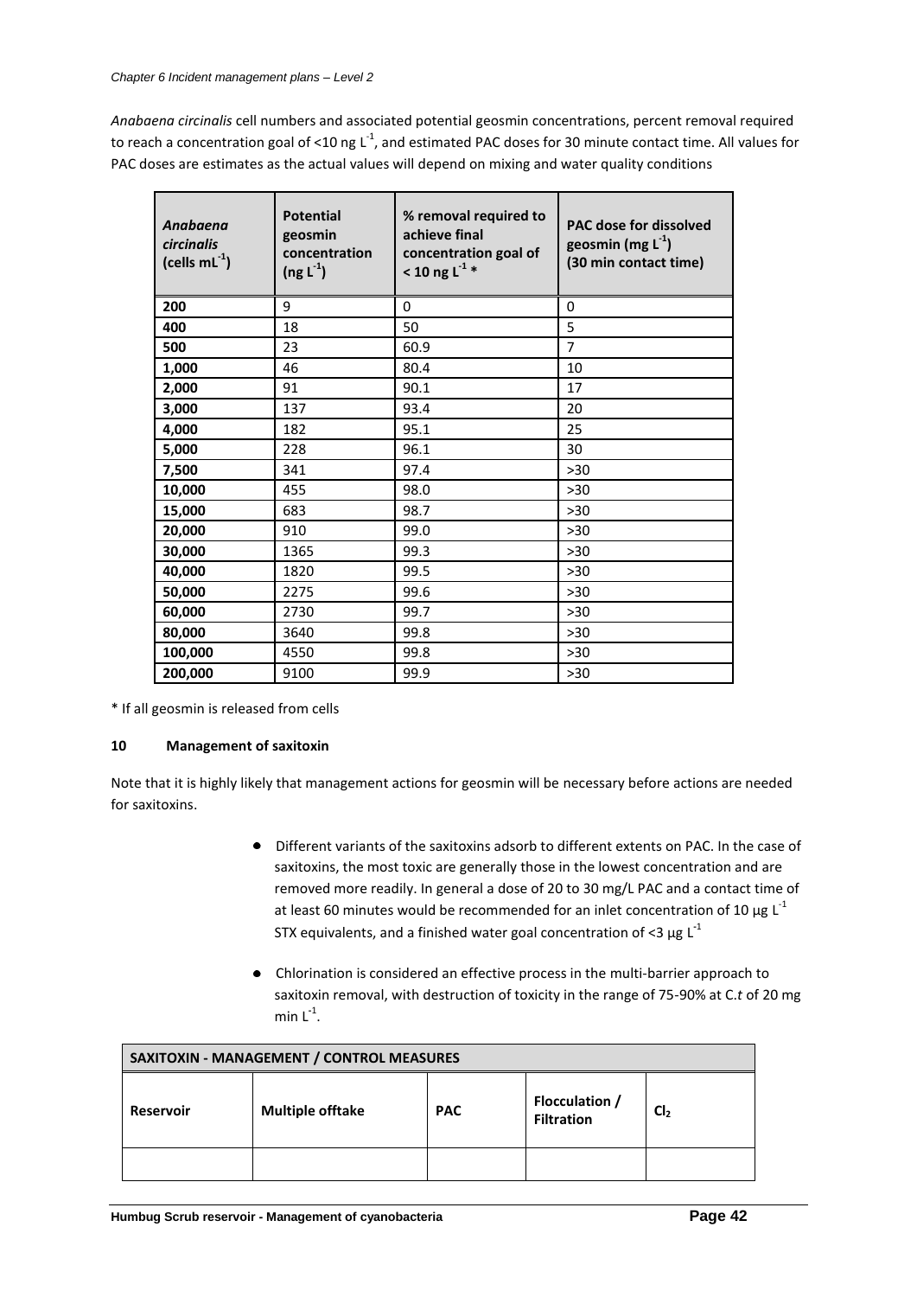*Anabaena circinalis* cell numbers and associated potential geosmin concentrations, percent removal required to reach a concentration goal of <10 ng L<sup>-1</sup>, and estimated PAC doses for 30 minute contact time. All values for PAC doses are estimates as the actual values will depend on mixing and water quality conditions

| Anabaena<br>circinalis<br>(cells $mL^{-1}$ ) | <b>Potential</b><br>geosmin<br>concentration<br>$(ng L-1)$ | % removal required to<br>achieve final<br>concentration goal of<br>< 10 ng L <sup>-1</sup> * | <b>PAC dose for dissolved</b><br>geosmin (mg $L^{-1}$ )<br>(30 min contact time) |
|----------------------------------------------|------------------------------------------------------------|----------------------------------------------------------------------------------------------|----------------------------------------------------------------------------------|
| 200                                          | 9                                                          | 0                                                                                            | $\Omega$                                                                         |
| 400                                          | 18                                                         | 50                                                                                           | 5                                                                                |
| 500                                          | 23                                                         | 60.9                                                                                         | $\overline{7}$                                                                   |
| 1,000                                        | 46                                                         | 80.4                                                                                         | 10                                                                               |
| 2,000                                        | 91                                                         | 90.1                                                                                         | 17                                                                               |
| 3,000                                        | 137                                                        | 93.4                                                                                         | 20                                                                               |
| 4,000                                        | 182                                                        | 95.1                                                                                         | 25                                                                               |
| 5,000                                        | 228                                                        | 96.1                                                                                         | 30                                                                               |
| 7,500                                        | 341                                                        | 97.4                                                                                         | $>30$                                                                            |
| 10,000                                       | 455                                                        | 98.0                                                                                         | >30                                                                              |
| 15,000                                       | 683                                                        | 98.7                                                                                         | $>30$                                                                            |
| 20,000                                       | 910                                                        | 99.0                                                                                         | $>30$                                                                            |
| 30,000                                       | 1365                                                       | 99.3                                                                                         | >30                                                                              |
| 40,000                                       | 1820                                                       | 99.5                                                                                         | $>30$                                                                            |
| 50,000                                       | 2275                                                       | 99.6                                                                                         | $>30$                                                                            |
| 60,000                                       | 2730                                                       | 99.7                                                                                         | $>30$                                                                            |
| 80,000                                       | 3640                                                       | 99.8                                                                                         | >30                                                                              |
| 100,000                                      | 4550                                                       | 99.8                                                                                         | >30                                                                              |
| 200,000                                      | 9100                                                       | 99.9                                                                                         | $>30$                                                                            |

\* If all geosmin is released from cells

## **10 Management of saxitoxin**

Note that it is highly likely that management actions for geosmin will be necessary before actions are needed for saxitoxins.

- Different variants of the saxitoxins adsorb to different extents on PAC. In the case of  $\bullet$ saxitoxins, the most toxic are generally those in the lowest concentration and are removed more readily. In general a dose of 20 to 30 mg/L PAC and a contact time of at least 60 minutes would be recommended for an inlet concentration of 10  $\mu$ g L<sup>-1</sup> STX equivalents, and a finished water goal concentration of <3  $\mu$ g L<sup>-1</sup>
- Chlorination is considered an effective process in the multi-barrier approach to saxitoxin removal, with destruction of toxicity in the range of 75-90% at C.*t* of 20 mg min L **-**1 .

| SAXITOXIN - MANAGEMENT / CONTROL MEASURES                                                                      |  |  |  |  |  |
|----------------------------------------------------------------------------------------------------------------|--|--|--|--|--|
| <b>Flocculation /</b><br><b>PAC</b><br><b>Multiple offtake</b><br>Cl,<br><b>Reservoir</b><br><b>Filtration</b> |  |  |  |  |  |
|                                                                                                                |  |  |  |  |  |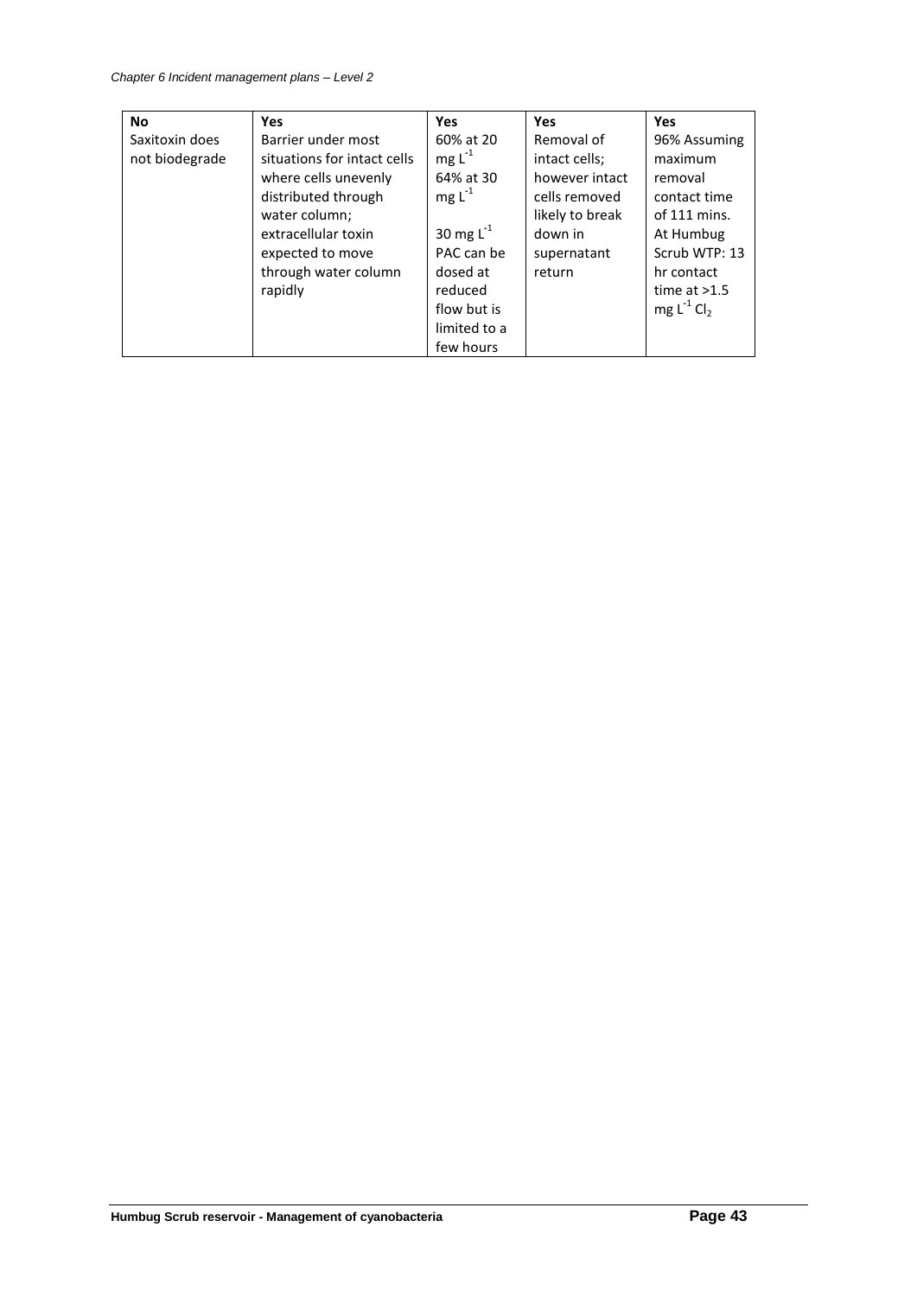| <b>No</b>      | <b>Yes</b>                  | <b>Yes</b>     | <b>Yes</b>      | <b>Yes</b>     |
|----------------|-----------------------------|----------------|-----------------|----------------|
| Saxitoxin does | Barrier under most          | 60% at 20      | Removal of      | 96% Assuming   |
| not biodegrade | situations for intact cells | $mg L-1$       | intact cells;   | maximum        |
|                | where cells unevenly        | 64% at 30      | however intact  | removal        |
|                | distributed through         | $mg L-1$       | cells removed   | contact time   |
|                | water column;               |                | likely to break | of $111$ mins. |
|                | extracellular toxin         | 30 mg $L^{-1}$ | down in         | At Humbug      |
|                | expected to move            | PAC can be     | supernatant     | Scrub WTP: 13  |
|                | through water column        | dosed at       | return          | hr contact     |
|                | rapidly                     | reduced        |                 | time at $>1.5$ |
|                |                             | flow but is    |                 | $mg L-1 Cl2$   |
|                |                             | limited to a   |                 |                |
|                |                             | few hours      |                 |                |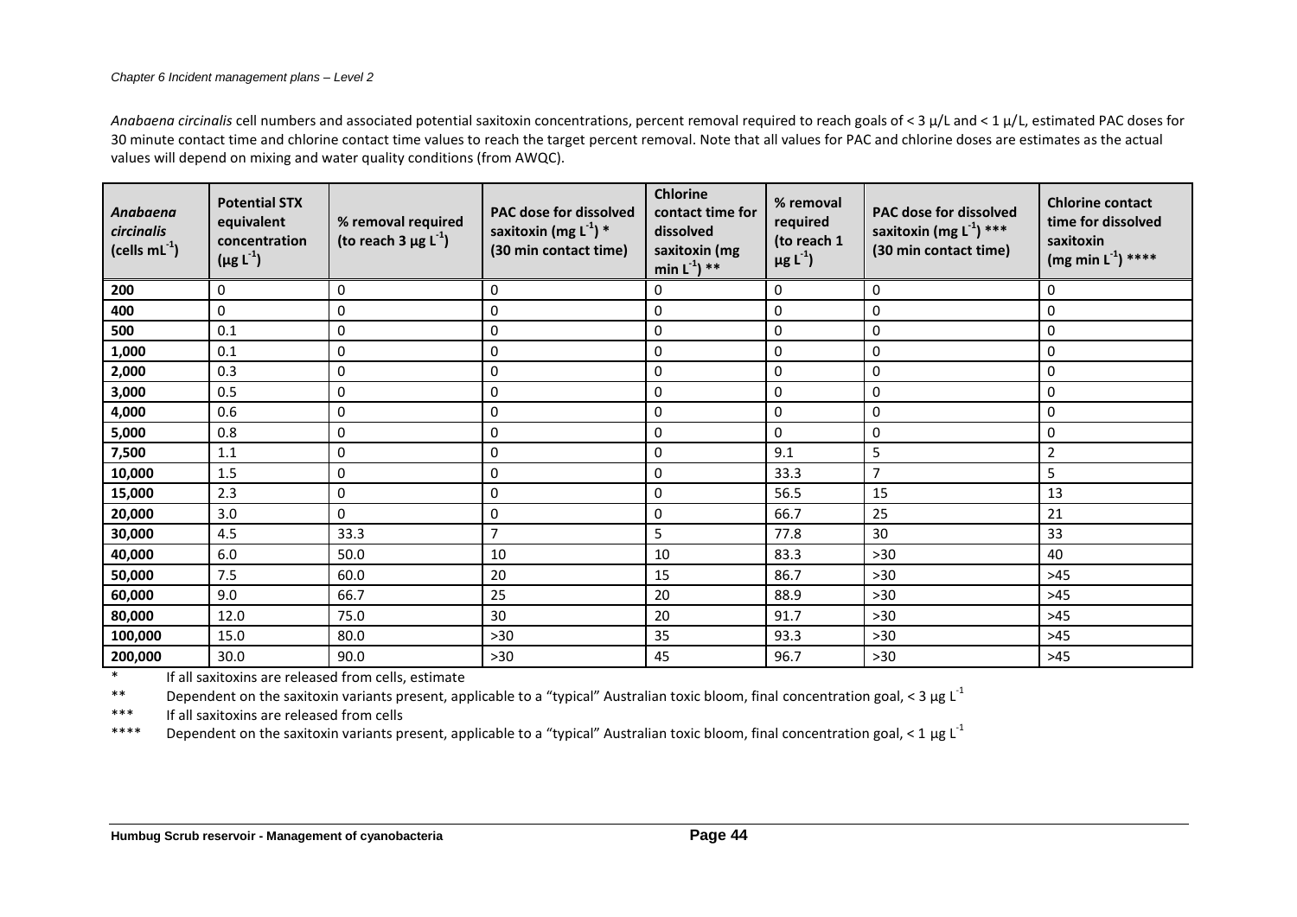*Anabaena circinalis* cell numbers and associated potential saxitoxin concentrations, percent removal required to reach goals of < 3 µ/L and < 1 µ/L, estimated PAC doses for 30 minute contact time and chlorine contact time values to reach the target percent removal. Note that all values for PAC and chlorine doses are estimates as the actual values will depend on mixing and water quality conditions (from AWQC).

| Anabaena<br>circinalis<br>(cells $mL^{-1}$ ) | <b>Potential STX</b><br>equivalent<br>concentration<br>$(\mu g L^{-1})$ | % removal required<br>(to reach 3 $\mu$ g L <sup>-1</sup> ) | <b>PAC dose for dissolved</b><br>saxitoxin (mg $L^{-1}$ ) *<br>(30 min contact time) | <b>Chlorine</b><br>contact time for<br>dissolved<br>saxitoxin (mg<br>min $L^{-1}$ ) ** | % removal<br>required<br>(to reach 1<br>$\mu$ g L <sup>-1</sup> ) | PAC dose for dissolved<br>saxitoxin (mg $L^{-1}$ ) ***<br>(30 min contact time) | <b>Chlorine contact</b><br>time for dissolved<br>saxitoxin<br>$(mg min L-1)$ **** |
|----------------------------------------------|-------------------------------------------------------------------------|-------------------------------------------------------------|--------------------------------------------------------------------------------------|----------------------------------------------------------------------------------------|-------------------------------------------------------------------|---------------------------------------------------------------------------------|-----------------------------------------------------------------------------------|
| 200                                          | 0                                                                       | $\mathbf 0$                                                 | 0                                                                                    | 0                                                                                      | 0                                                                 | 0                                                                               | 0                                                                                 |
| 400                                          | 0                                                                       | $\pmb{0}$                                                   | 0                                                                                    | $\pmb{0}$                                                                              | $\pmb{0}$                                                         | 0                                                                               | 0                                                                                 |
| 500                                          | 0.1                                                                     | $\pmb{0}$                                                   | 0                                                                                    | 0                                                                                      | $\mathbf 0$                                                       | 0                                                                               | 0                                                                                 |
| 1,000                                        | 0.1                                                                     | $\pmb{0}$                                                   | 0                                                                                    | $\pmb{0}$                                                                              | $\pmb{0}$                                                         | 0                                                                               | 0                                                                                 |
| 2,000                                        | 0.3                                                                     | $\pmb{0}$                                                   | 0                                                                                    | $\pmb{0}$                                                                              | $\pmb{0}$                                                         | 0                                                                               | 0                                                                                 |
| 3,000                                        | 0.5                                                                     | 0                                                           | 0                                                                                    | 0                                                                                      | 0                                                                 | 0                                                                               | 0                                                                                 |
| 4,000                                        | 0.6                                                                     | $\mathbf 0$                                                 | 0                                                                                    | $\pmb{0}$                                                                              | 0                                                                 | 0                                                                               | 0                                                                                 |
| 5,000                                        | 0.8                                                                     | $\mathbf 0$                                                 | 0                                                                                    | $\pmb{0}$                                                                              | 0                                                                 | 0                                                                               | 0                                                                                 |
| 7,500                                        | 1.1                                                                     | $\pmb{0}$                                                   | $\pmb{0}$                                                                            | $\pmb{0}$                                                                              | 9.1                                                               | 5                                                                               | $\overline{2}$                                                                    |
| 10,000                                       | 1.5                                                                     | $\mathbf 0$                                                 | 0                                                                                    | 0                                                                                      | 33.3                                                              | $\overline{7}$                                                                  | 5                                                                                 |
| 15,000                                       | 2.3                                                                     | $\pmb{0}$                                                   | 0                                                                                    | $\pmb{0}$                                                                              | 56.5                                                              | 15                                                                              | 13                                                                                |
| 20,000                                       | 3.0                                                                     | 0                                                           | 0                                                                                    | $\pmb{0}$                                                                              | 66.7                                                              | 25                                                                              | 21                                                                                |
| 30,000                                       | 4.5                                                                     | 33.3                                                        | $\overline{7}$                                                                       | 5                                                                                      | 77.8                                                              | 30                                                                              | 33                                                                                |
| 40,000                                       | 6.0                                                                     | 50.0                                                        | 10                                                                                   | 10                                                                                     | 83.3                                                              | $>30$                                                                           | 40                                                                                |
| 50,000                                       | 7.5                                                                     | 60.0                                                        | 20                                                                                   | 15                                                                                     | 86.7                                                              | $>30$                                                                           | >45                                                                               |
| 60,000                                       | 9.0                                                                     | 66.7                                                        | 25                                                                                   | 20                                                                                     | 88.9                                                              | $>30$                                                                           | $>45$                                                                             |
| 80,000                                       | 12.0                                                                    | 75.0                                                        | 30                                                                                   | 20                                                                                     | 91.7                                                              | $>30$                                                                           | >45                                                                               |
| 100,000                                      | 15.0                                                                    | 80.0                                                        | $>30$                                                                                | 35                                                                                     | 93.3                                                              | $>30$                                                                           | $>45$                                                                             |
| 200,000                                      | 30.0                                                                    | 90.0                                                        | $>30$                                                                                | 45                                                                                     | 96.7                                                              | >30                                                                             | $>45$                                                                             |

\* If all saxitoxins are released from cells, estimate

\*\* Dependent on the saxitoxin variants present, applicable to a "typical" Australian toxic bloom, final concentration goal, < 3 µg L<sup>-1</sup>

\*\*\* If all saxitoxins are released from cells

\*\*\*\* Dependent on the saxitoxin variants present, applicable to a "typical" Australian toxic bloom, final concentration goal, < 1 µg L<sup>-1</sup>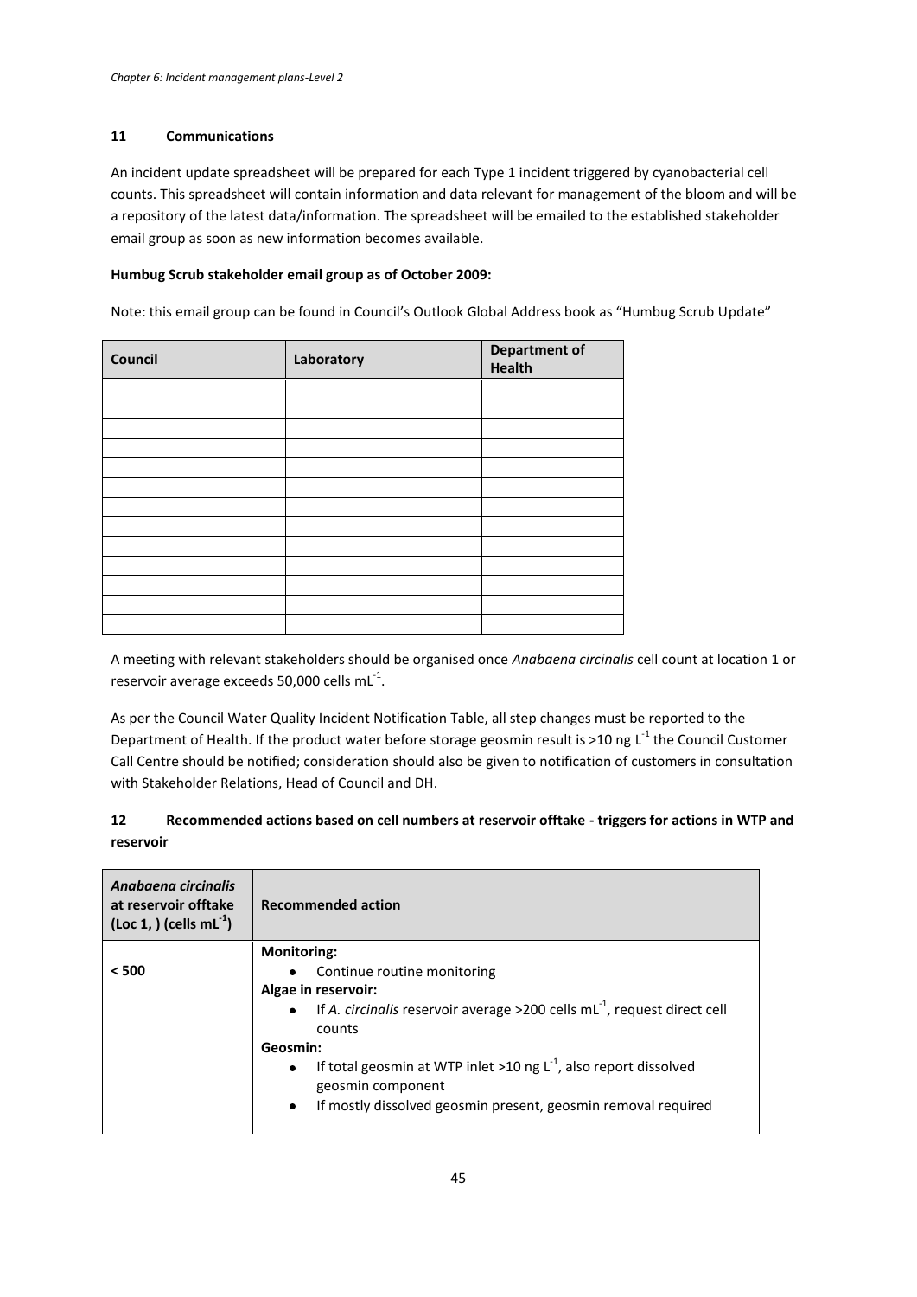#### **11 Communications**

An incident update spreadsheet will be prepared for each Type 1 incident triggered by cyanobacterial cell counts. This spreadsheet will contain information and data relevant for management of the bloom and will be a repository of the latest data/information. The spreadsheet will be emailed to the established stakeholder email group as soon as new information becomes available.

#### **Humbug Scrub stakeholder email group as of October 2009:**

Note: this email group can be found in Council's Outlook Global Address book as "Humbug Scrub Update"

| Council | Laboratory | <b>Department of</b><br><b>Health</b> |
|---------|------------|---------------------------------------|
|         |            |                                       |
|         |            |                                       |
|         |            |                                       |
|         |            |                                       |
|         |            |                                       |
|         |            |                                       |
|         |            |                                       |
|         |            |                                       |
|         |            |                                       |
|         |            |                                       |
|         |            |                                       |
|         |            |                                       |
|         |            |                                       |

A meeting with relevant stakeholders should be organised once *Anabaena circinalis* cell count at location 1 or reservoir average exceeds 50,000 cells  $mL^{-1}$ .

As per the Council Water Quality Incident Notification Table, all step changes must be reported to the Department of Health. If the product water before storage geosmin result is >10 ng L<sup>-1</sup> the Council Customer Call Centre should be notified; consideration should also be given to notification of customers in consultation with Stakeholder Relations, Head of Council and DH.

## **12 Recommended actions based on cell numbers at reservoir offtake - triggers for actions in WTP and reservoir**

| Anabaena circinalis<br>at reservoir offtake<br>$($ Loc 1, $)$ (cells mL $^{-1}$ ) | <b>Recommended action</b>                                                                               |  |
|-----------------------------------------------------------------------------------|---------------------------------------------------------------------------------------------------------|--|
|                                                                                   | <b>Monitoring:</b>                                                                                      |  |
| < 500                                                                             | Continue routine monitoring<br>$\bullet$                                                                |  |
|                                                                                   | Algae in reservoir:                                                                                     |  |
|                                                                                   | If A. circinalis reservoir average >200 cells $mL^{-1}$ , request direct cell<br>$\bullet$<br>counts    |  |
|                                                                                   | Geosmin:                                                                                                |  |
|                                                                                   | If total geosmin at WTP inlet >10 ng $L^{-1}$ , also report dissolved<br>$\bullet$<br>geosmin component |  |
|                                                                                   | If mostly dissolved geosmin present, geosmin removal required<br>$\bullet$                              |  |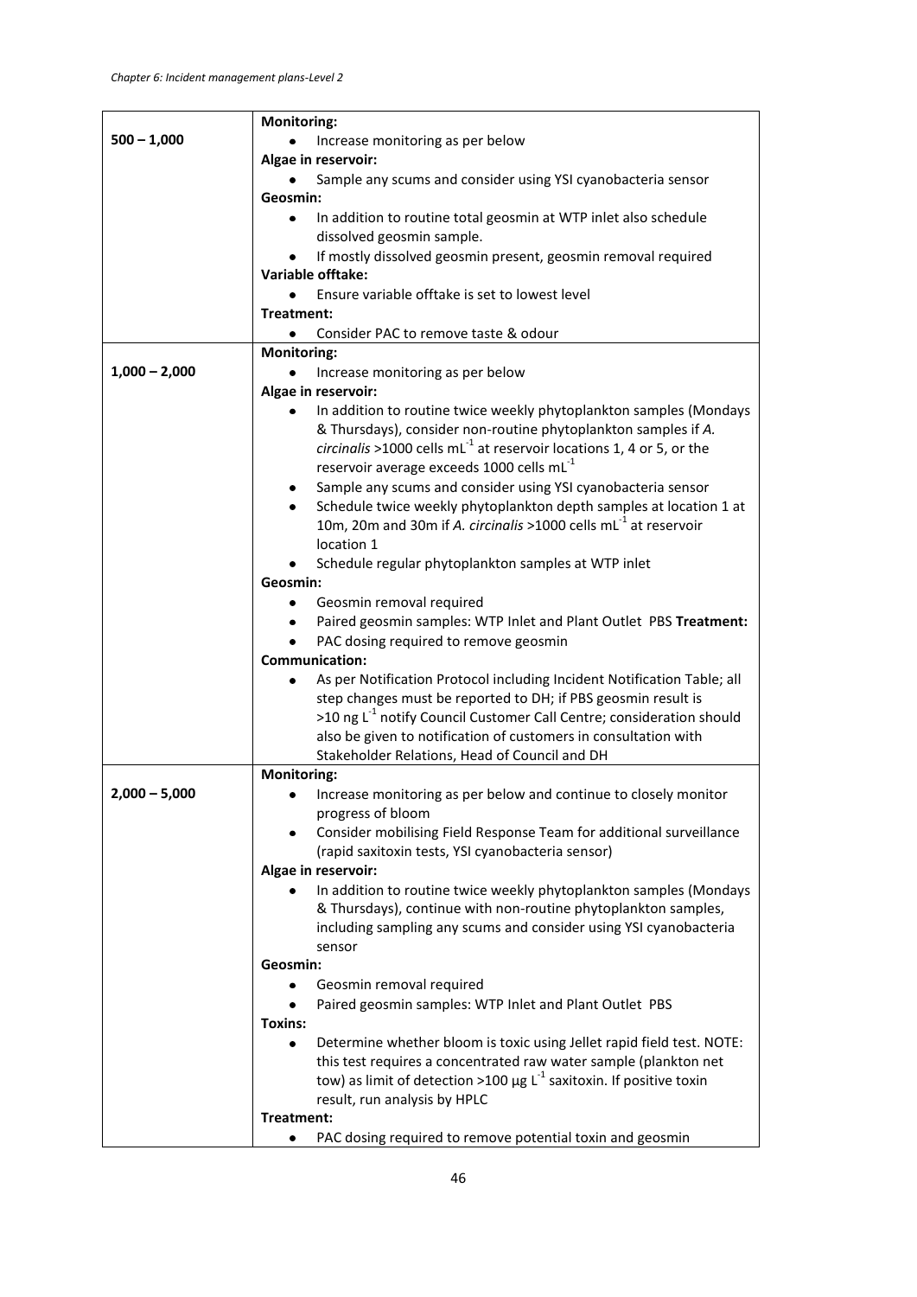|                 | <b>Monitoring:</b>                                                                   |  |
|-----------------|--------------------------------------------------------------------------------------|--|
| $500 - 1,000$   | Increase monitoring as per below                                                     |  |
|                 | Algae in reservoir:                                                                  |  |
|                 | Sample any scums and consider using YSI cyanobacteria sensor                         |  |
|                 | Geosmin:                                                                             |  |
|                 | In addition to routine total geosmin at WTP inlet also schedule<br>$\bullet$         |  |
|                 | dissolved geosmin sample.                                                            |  |
|                 | If mostly dissolved geosmin present, geosmin removal required                        |  |
|                 | <b>Variable offtake:</b>                                                             |  |
|                 | Ensure variable offtake is set to lowest level<br>$\bullet$                          |  |
|                 | Treatment:                                                                           |  |
|                 | Consider PAC to remove taste & odour<br>٠                                            |  |
|                 | <b>Monitoring:</b>                                                                   |  |
| $1,000 - 2,000$ | Increase monitoring as per below<br>٠                                                |  |
|                 | Algae in reservoir:                                                                  |  |
|                 | In addition to routine twice weekly phytoplankton samples (Mondays<br>٠              |  |
|                 | & Thursdays), consider non-routine phytoplankton samples if A.                       |  |
|                 | circinalis >1000 cells $mL-1$ at reservoir locations 1, 4 or 5, or the               |  |
|                 | reservoir average exceeds 1000 cells mL <sup>-1</sup>                                |  |
|                 | Sample any scums and consider using YSI cyanobacteria sensor<br>٠                    |  |
|                 | Schedule twice weekly phytoplankton depth samples at location 1 at                   |  |
|                 | 10m, 20m and 30m if A. circinalis >1000 cells mL <sup>-1</sup> at reservoir          |  |
|                 | location 1                                                                           |  |
|                 | Schedule regular phytoplankton samples at WTP inlet                                  |  |
|                 | Geosmin:                                                                             |  |
|                 | Geosmin removal required<br>٠                                                        |  |
|                 | Paired geosmin samples: WTP Inlet and Plant Outlet PBS Treatment:                    |  |
|                 | PAC dosing required to remove geosmin                                                |  |
|                 | <b>Communication:</b>                                                                |  |
|                 | As per Notification Protocol including Incident Notification Table; all<br>٠         |  |
|                 | step changes must be reported to DH; if PBS geosmin result is                        |  |
|                 | >10 ng L <sup>-1</sup> notify Council Customer Call Centre; consideration should     |  |
|                 | also be given to notification of customers in consultation with                      |  |
|                 | Stakeholder Relations, Head of Council and DH                                        |  |
|                 | <b>Monitoring:</b>                                                                   |  |
| $2,000 - 5,000$ | Increase monitoring as per below and continue to closely monitor                     |  |
|                 | progress of bloom                                                                    |  |
|                 | Consider mobilising Field Response Team for additional surveillance<br>٠             |  |
|                 | (rapid saxitoxin tests, YSI cyanobacteria sensor)                                    |  |
|                 | Algae in reservoir:                                                                  |  |
|                 | In addition to routine twice weekly phytoplankton samples (Mondays                   |  |
|                 | & Thursdays), continue with non-routine phytoplankton samples,                       |  |
|                 | including sampling any scums and consider using YSI cyanobacteria<br>sensor          |  |
|                 | Geosmin:                                                                             |  |
|                 | Geosmin removal required<br>٠                                                        |  |
|                 | Paired geosmin samples: WTP Inlet and Plant Outlet PBS<br>٠                          |  |
|                 | Toxins:                                                                              |  |
|                 | Determine whether bloom is toxic using Jellet rapid field test. NOTE:<br>٠           |  |
|                 | this test requires a concentrated raw water sample (plankton net                     |  |
|                 | tow) as limit of detection >100 $\mu$ g L <sup>-1</sup> saxitoxin. If positive toxin |  |
|                 | result, run analysis by HPLC                                                         |  |
|                 | Treatment:                                                                           |  |
|                 | PAC dosing required to remove potential toxin and geosmin                            |  |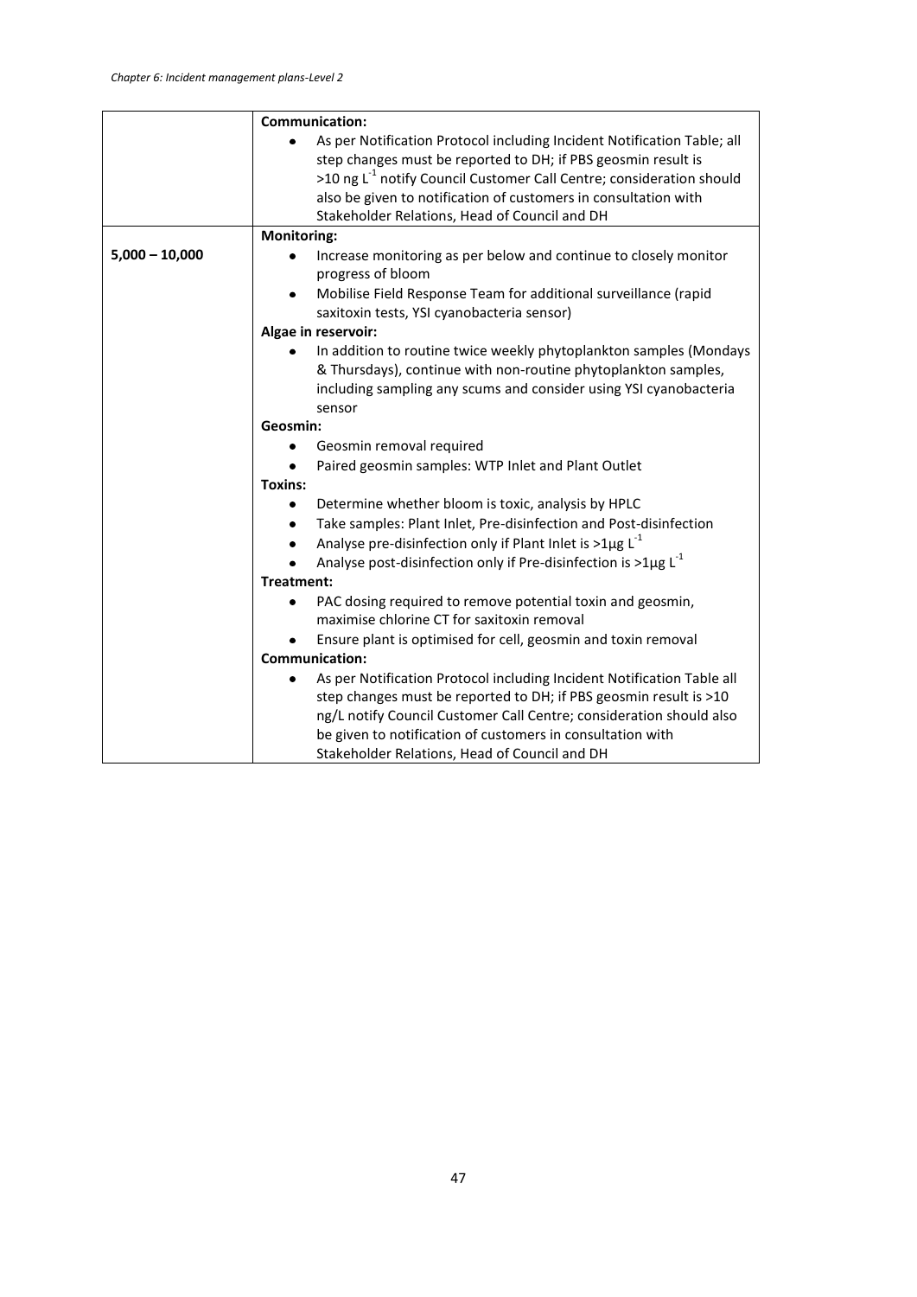| <b>Communication:</b>                                                                                                                    |  |
|------------------------------------------------------------------------------------------------------------------------------------------|--|
| As per Notification Protocol including Incident Notification Table; all<br>step changes must be reported to DH; if PBS geosmin result is |  |
| >10 ng L <sup>-1</sup> notify Council Customer Call Centre; consideration should                                                         |  |
| also be given to notification of customers in consultation with                                                                          |  |
| Stakeholder Relations, Head of Council and DH                                                                                            |  |
| <b>Monitoring:</b>                                                                                                                       |  |
| Increase monitoring as per below and continue to closely monitor<br>progress of bloom                                                    |  |
| Mobilise Field Response Team for additional surveillance (rapid                                                                          |  |
| saxitoxin tests, YSI cyanobacteria sensor)                                                                                               |  |
| Algae in reservoir:                                                                                                                      |  |
| In addition to routine twice weekly phytoplankton samples (Mondays<br>٠                                                                  |  |
| & Thursdays), continue with non-routine phytoplankton samples,                                                                           |  |
| including sampling any scums and consider using YSI cyanobacteria                                                                        |  |
| sensor                                                                                                                                   |  |
| Geosmin:                                                                                                                                 |  |
| Geosmin removal required                                                                                                                 |  |
| Paired geosmin samples: WTP Inlet and Plant Outlet                                                                                       |  |
| <b>Toxins:</b>                                                                                                                           |  |
| Determine whether bloom is toxic, analysis by HPLC                                                                                       |  |
| Take samples: Plant Inlet, Pre-disinfection and Post-disinfection<br>٠                                                                   |  |
| Analyse pre-disinfection only if Plant Inlet is $>1\mu g L^{-1}$<br>۰                                                                    |  |
| Analyse post-disinfection only if Pre-disinfection is $>1\mu g L^{-1}$                                                                   |  |
| Treatment:                                                                                                                               |  |
| PAC dosing required to remove potential toxin and geosmin,<br>maximise chlorine CT for saxitoxin removal                                 |  |
| Ensure plant is optimised for cell, geosmin and toxin removal                                                                            |  |
| <b>Communication:</b>                                                                                                                    |  |
| As per Notification Protocol including Incident Notification Table all                                                                   |  |
| step changes must be reported to DH; if PBS geosmin result is >10                                                                        |  |
| ng/L notify Council Customer Call Centre; consideration should also                                                                      |  |
| be given to notification of customers in consultation with                                                                               |  |
| Stakeholder Relations, Head of Council and DH                                                                                            |  |
|                                                                                                                                          |  |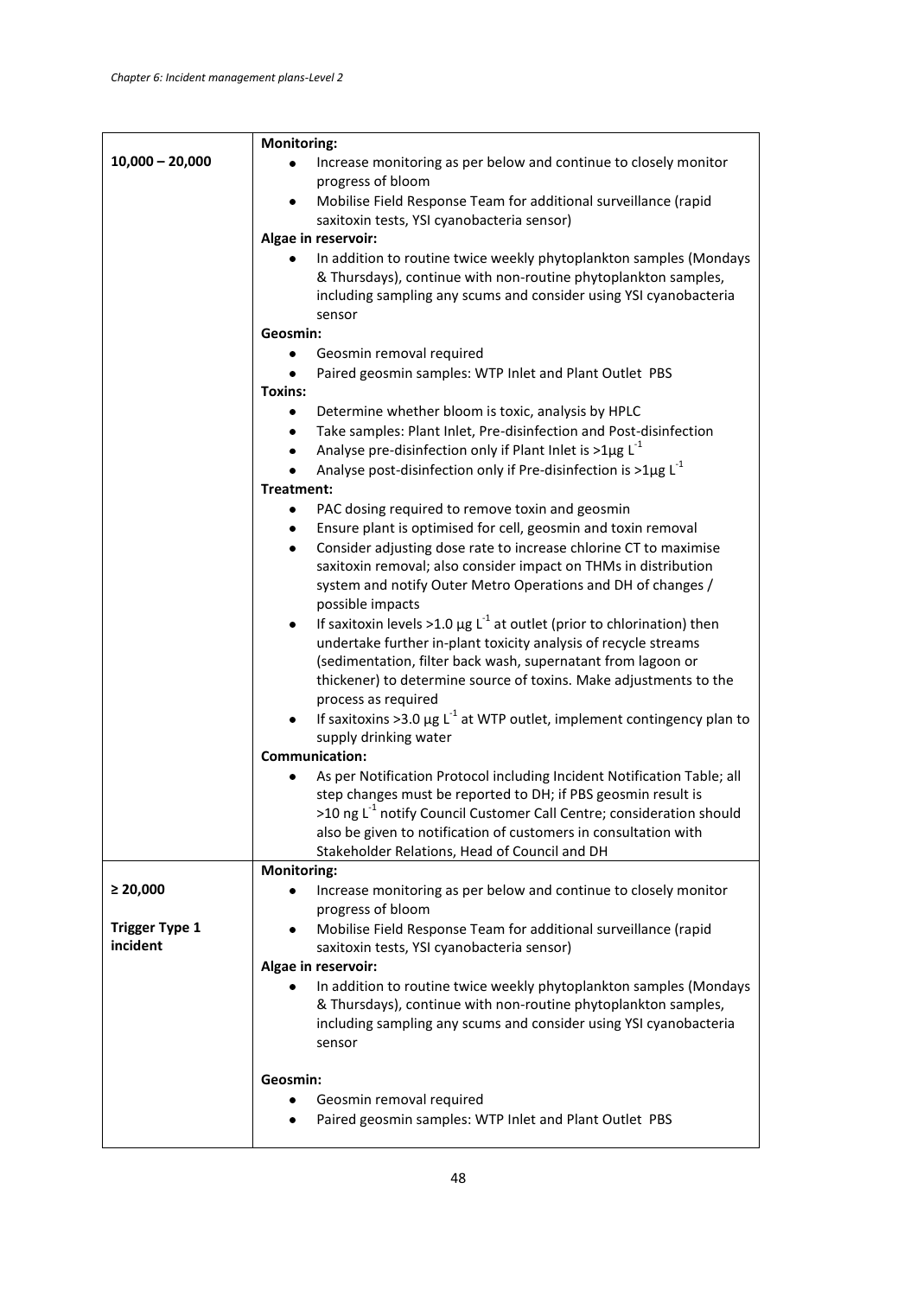|                       | <b>Monitoring:</b>                                                                                                                                                                                                                                                                                                                                            |  |  |
|-----------------------|---------------------------------------------------------------------------------------------------------------------------------------------------------------------------------------------------------------------------------------------------------------------------------------------------------------------------------------------------------------|--|--|
| $10,000 - 20,000$     | Increase monitoring as per below and continue to closely monitor<br>progress of bloom                                                                                                                                                                                                                                                                         |  |  |
|                       | Mobilise Field Response Team for additional surveillance (rapid<br>$\bullet$<br>saxitoxin tests, YSI cyanobacteria sensor)                                                                                                                                                                                                                                    |  |  |
|                       | Algae in reservoir:                                                                                                                                                                                                                                                                                                                                           |  |  |
|                       | In addition to routine twice weekly phytoplankton samples (Mondays<br>٠                                                                                                                                                                                                                                                                                       |  |  |
|                       | & Thursdays), continue with non-routine phytoplankton samples,<br>including sampling any scums and consider using YSI cyanobacteria                                                                                                                                                                                                                           |  |  |
|                       | sensor                                                                                                                                                                                                                                                                                                                                                        |  |  |
|                       | Geosmin:                                                                                                                                                                                                                                                                                                                                                      |  |  |
|                       | Geosmin removal required<br>٠                                                                                                                                                                                                                                                                                                                                 |  |  |
|                       | Paired geosmin samples: WTP Inlet and Plant Outlet PBS                                                                                                                                                                                                                                                                                                        |  |  |
|                       | <b>Toxins:</b>                                                                                                                                                                                                                                                                                                                                                |  |  |
|                       | Determine whether bloom is toxic, analysis by HPLC                                                                                                                                                                                                                                                                                                            |  |  |
|                       | Take samples: Plant Inlet, Pre-disinfection and Post-disinfection<br>۰<br>Analyse pre-disinfection only if Plant Inlet is $>1\mu g L^{-1}$                                                                                                                                                                                                                    |  |  |
|                       | ٠<br>Analyse post-disinfection only if Pre-disinfection is $>1\mu g L^{-1}$                                                                                                                                                                                                                                                                                   |  |  |
|                       | Treatment:                                                                                                                                                                                                                                                                                                                                                    |  |  |
|                       | PAC dosing required to remove toxin and geosmin<br>٠                                                                                                                                                                                                                                                                                                          |  |  |
|                       | Ensure plant is optimised for cell, geosmin and toxin removal<br>٠                                                                                                                                                                                                                                                                                            |  |  |
|                       | Consider adjusting dose rate to increase chlorine CT to maximise<br>$\bullet$                                                                                                                                                                                                                                                                                 |  |  |
|                       | saxitoxin removal; also consider impact on THMs in distribution                                                                                                                                                                                                                                                                                               |  |  |
|                       | system and notify Outer Metro Operations and DH of changes /                                                                                                                                                                                                                                                                                                  |  |  |
|                       | possible impacts                                                                                                                                                                                                                                                                                                                                              |  |  |
|                       | If saxitoxin levels >1.0 $\mu$ g L <sup>-1</sup> at outlet (prior to chlorination) then<br>٠                                                                                                                                                                                                                                                                  |  |  |
|                       | undertake further in-plant toxicity analysis of recycle streams                                                                                                                                                                                                                                                                                               |  |  |
|                       | (sedimentation, filter back wash, supernatant from lagoon or                                                                                                                                                                                                                                                                                                  |  |  |
|                       | thickener) to determine source of toxins. Make adjustments to the                                                                                                                                                                                                                                                                                             |  |  |
|                       | process as required                                                                                                                                                                                                                                                                                                                                           |  |  |
|                       | If saxitoxins >3.0 $\mu$ g L <sup>-1</sup> at WTP outlet, implement contingency plan to<br>٠                                                                                                                                                                                                                                                                  |  |  |
|                       | supply drinking water                                                                                                                                                                                                                                                                                                                                         |  |  |
|                       | <b>Communication:</b>                                                                                                                                                                                                                                                                                                                                         |  |  |
|                       | As per Notification Protocol including Incident Notification Table; all<br>$\bullet$<br>step changes must be reported to DH; if PBS geosmin result is<br>>10 ng L <sup>-1</sup> notify Council Customer Call Centre; consideration should<br>also be given to notification of customers in consultation with<br>Stakeholder Relations, Head of Council and DH |  |  |
|                       | <b>Monitoring:</b>                                                                                                                                                                                                                                                                                                                                            |  |  |
| $\geq 20,000$         | Increase monitoring as per below and continue to closely monitor                                                                                                                                                                                                                                                                                              |  |  |
|                       | progress of bloom                                                                                                                                                                                                                                                                                                                                             |  |  |
| <b>Trigger Type 1</b> | Mobilise Field Response Team for additional surveillance (rapid                                                                                                                                                                                                                                                                                               |  |  |
| incident              | saxitoxin tests, YSI cyanobacteria sensor)                                                                                                                                                                                                                                                                                                                    |  |  |
|                       | Algae in reservoir:                                                                                                                                                                                                                                                                                                                                           |  |  |
|                       | In addition to routine twice weekly phytoplankton samples (Mondays<br>& Thursdays), continue with non-routine phytoplankton samples,<br>including sampling any scums and consider using YSI cyanobacteria<br>sensor                                                                                                                                           |  |  |
|                       |                                                                                                                                                                                                                                                                                                                                                               |  |  |
|                       | Geosmin:                                                                                                                                                                                                                                                                                                                                                      |  |  |
|                       | Geosmin removal required                                                                                                                                                                                                                                                                                                                                      |  |  |
|                       | Paired geosmin samples: WTP Inlet and Plant Outlet PBS<br>٠                                                                                                                                                                                                                                                                                                   |  |  |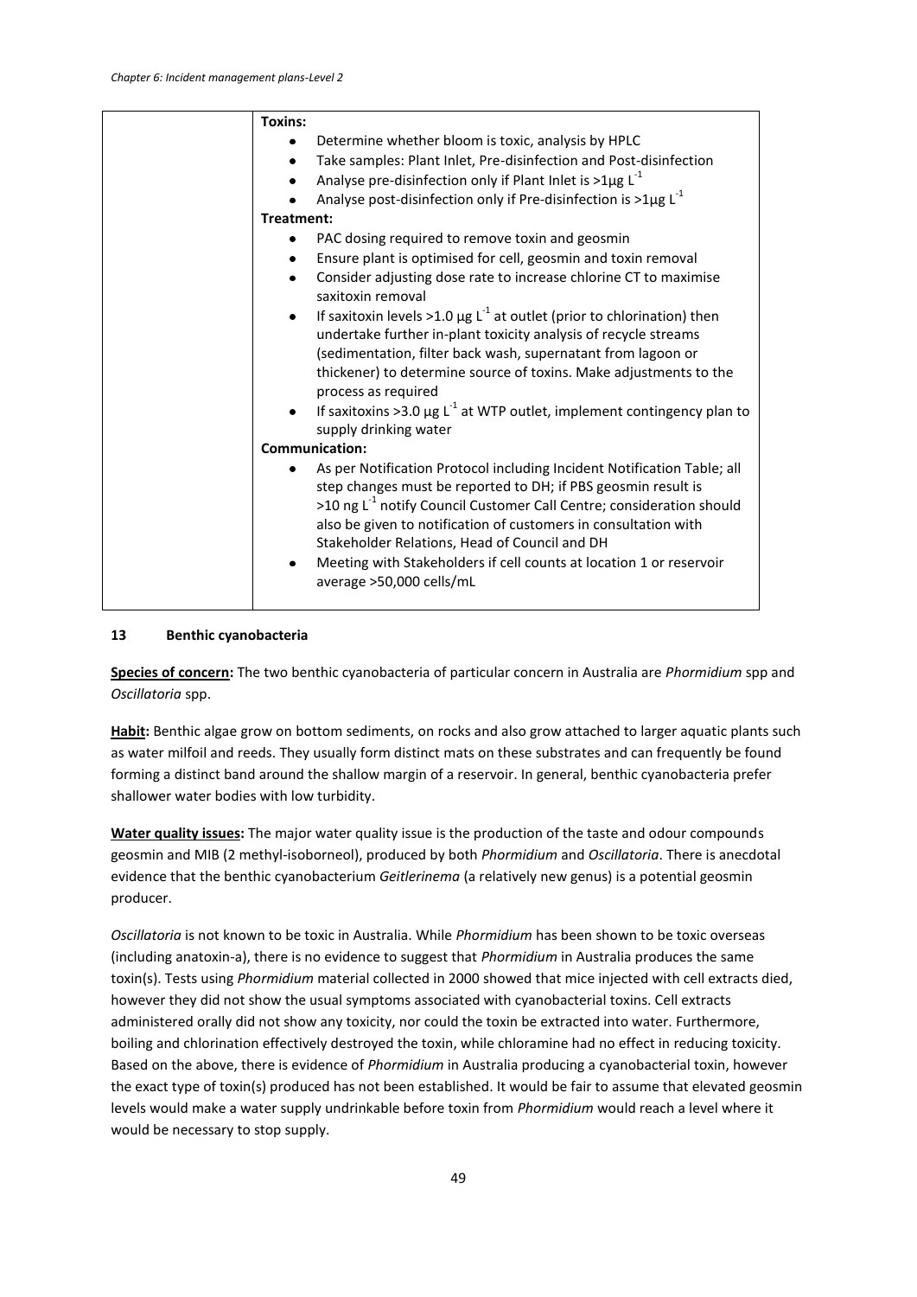| <b>Toxins:</b>                                                                                                                                                                                                                                                                                                                                                                                                                                      |
|-----------------------------------------------------------------------------------------------------------------------------------------------------------------------------------------------------------------------------------------------------------------------------------------------------------------------------------------------------------------------------------------------------------------------------------------------------|
| Determine whether bloom is toxic, analysis by HPLC<br>٠                                                                                                                                                                                                                                                                                                                                                                                             |
| Take samples: Plant Inlet, Pre-disinfection and Post-disinfection<br>$\bullet$                                                                                                                                                                                                                                                                                                                                                                      |
| Analyse pre-disinfection only if Plant Inlet is >1 $\mu$ g L <sup>-1</sup>                                                                                                                                                                                                                                                                                                                                                                          |
| Analyse post-disinfection only if Pre-disinfection is >1 $\mu$ g L <sup>-1</sup>                                                                                                                                                                                                                                                                                                                                                                    |
| Treatment:                                                                                                                                                                                                                                                                                                                                                                                                                                          |
| PAC dosing required to remove toxin and geosmin                                                                                                                                                                                                                                                                                                                                                                                                     |
| Ensure plant is optimised for cell, geosmin and toxin removal                                                                                                                                                                                                                                                                                                                                                                                       |
| Consider adjusting dose rate to increase chlorine CT to maximise<br>saxitoxin removal                                                                                                                                                                                                                                                                                                                                                               |
| If saxitoxin levels >1.0 $\mu$ g L <sup>-1</sup> at outlet (prior to chlorination) then<br>$\bullet$                                                                                                                                                                                                                                                                                                                                                |
| undertake further in-plant toxicity analysis of recycle streams                                                                                                                                                                                                                                                                                                                                                                                     |
| (sedimentation, filter back wash, supernatant from lagoon or                                                                                                                                                                                                                                                                                                                                                                                        |
| thickener) to determine source of toxins. Make adjustments to the<br>process as required                                                                                                                                                                                                                                                                                                                                                            |
| If saxitoxins >3.0 $\mu$ g L <sup>-1</sup> at WTP outlet, implement contingency plan to<br>supply drinking water                                                                                                                                                                                                                                                                                                                                    |
| <b>Communication:</b>                                                                                                                                                                                                                                                                                                                                                                                                                               |
| As per Notification Protocol including Incident Notification Table; all<br>step changes must be reported to DH; if PBS geosmin result is<br>>10 ng L <sup>-1</sup> notify Council Customer Call Centre; consideration should<br>also be given to notification of customers in consultation with<br>Stakeholder Relations, Head of Council and DH<br>Meeting with Stakeholders if cell counts at location 1 or reservoir<br>average >50,000 cells/mL |

#### **13 Benthic cyanobacteria**

**Species of concern:** The two benthic cyanobacteria of particular concern in Australia are *Phormidium* spp and *Oscillatoria* spp.

**Habit:** Benthic algae grow on bottom sediments, on rocks and also grow attached to larger aquatic plants such as water milfoil and reeds. They usually form distinct mats on these substrates and can frequently be found forming a distinct band around the shallow margin of a reservoir. In general, benthic cyanobacteria prefer shallower water bodies with low turbidity.

**Water quality issues:** The major water quality issue is the production of the taste and odour compounds geosmin and MIB (2 methyl-isoborneol), produced by both *Phormidium* and *Oscillatoria*. There is anecdotal evidence that the benthic cyanobacterium *Geitlerinema* (a relatively new genus) is a potential geosmin producer.

*Oscillatoria* is not known to be toxic in Australia. While *Phormidium* has been shown to be toxic overseas (including anatoxin-a), there is no evidence to suggest that *Phormidium* in Australia produces the same toxin(s). Tests using *Phormidium* material collected in 2000 showed that mice injected with cell extracts died, however they did not show the usual symptoms associated with cyanobacterial toxins. Cell extracts administered orally did not show any toxicity, nor could the toxin be extracted into water. Furthermore, boiling and chlorination effectively destroyed the toxin, while chloramine had no effect in reducing toxicity. Based on the above, there is evidence of *Phormidium* in Australia producing a cyanobacterial toxin, however the exact type of toxin(s) produced has not been established. It would be fair to assume that elevated geosmin levels would make a water supply undrinkable before toxin from *Phormidium* would reach a level where it would be necessary to stop supply.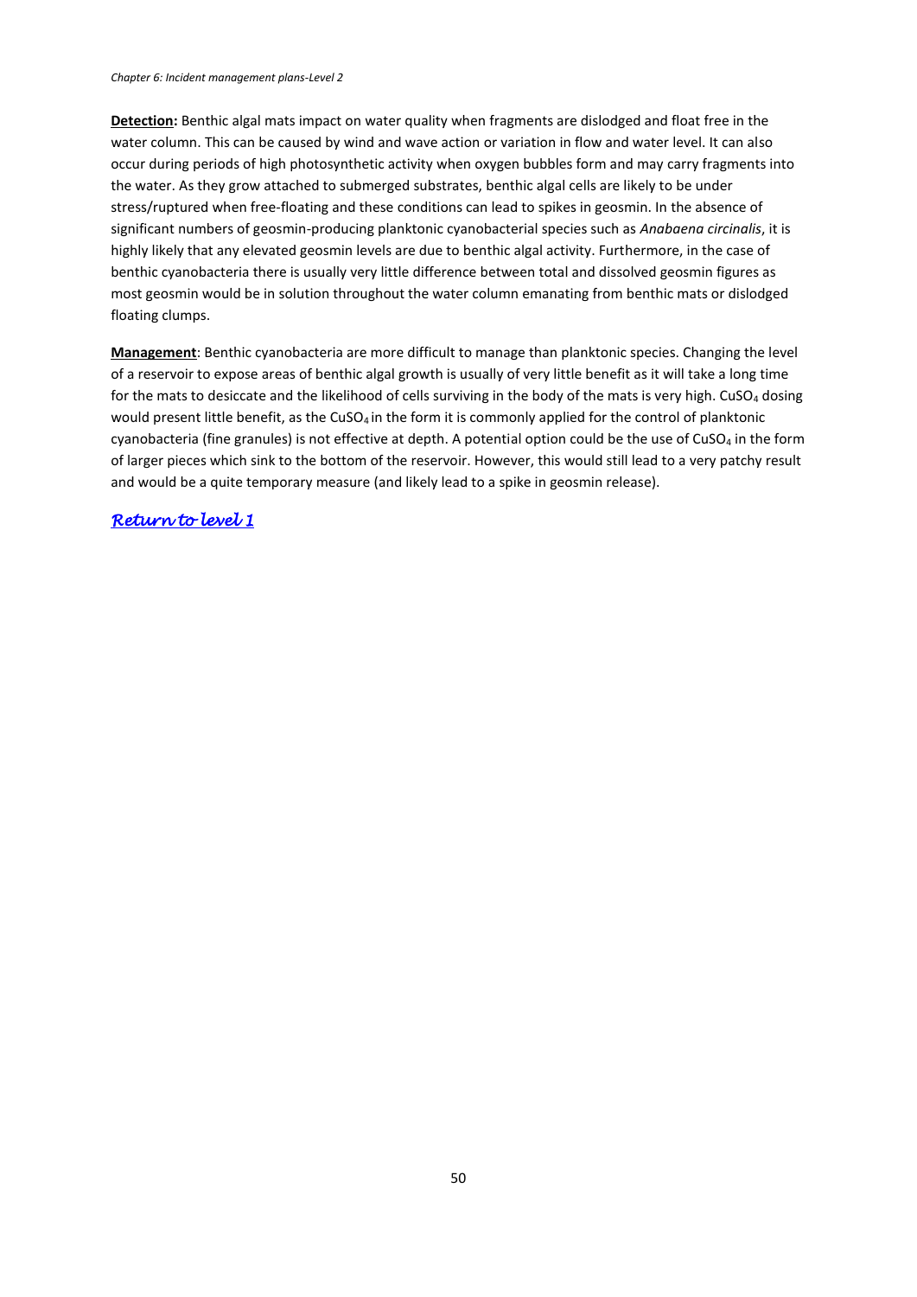**Detection:** Benthic algal mats impact on water quality when fragments are dislodged and float free in the water column. This can be caused by wind and wave action or variation in flow and water level. It can also occur during periods of high photosynthetic activity when oxygen bubbles form and may carry fragments into the water. As they grow attached to submerged substrates, benthic algal cells are likely to be under stress/ruptured when free-floating and these conditions can lead to spikes in geosmin. In the absence of significant numbers of geosmin-producing planktonic cyanobacterial species such as *Anabaena circinalis*, it is highly likely that any elevated geosmin levels are due to benthic algal activity. Furthermore, in the case of benthic cyanobacteria there is usually very little difference between total and dissolved geosmin figures as most geosmin would be in solution throughout the water column emanating from benthic mats or dislodged floating clumps.

**Management**: Benthic cyanobacteria are more difficult to manage than planktonic species. Changing the level of a reservoir to expose areas of benthic algal growth is usually of very little benefit as it will take a long time for the mats to desiccate and the likelihood of cells surviving in the body of the mats is very high.  $CuSO<sub>4</sub>$  dosing would present little benefit, as the CuSO<sub>4</sub> in the form it is commonly applied for the control of planktonic cyanobacteria (fine granules) is not effective at depth. A potential option could be the use of CuSO<sub>4</sub> in the form of larger pieces which sink to the bottom of the reservoir. However, this would still lead to a very patchy result and would be a quite temporary measure (and likely lead to a spike in geosmin release).

## *[Return to level 1](#page-11-0)*